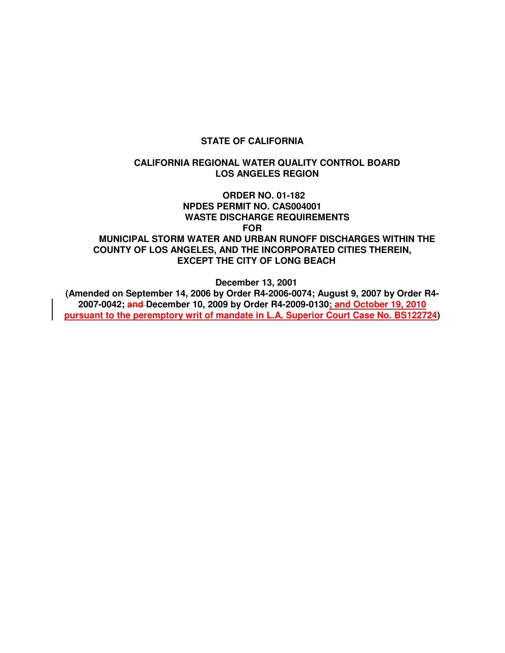#### **STATE OF CALIFORNIA**

#### **CALIFORNIA REGIONAL WATER QUALITY CONTROL BOARD LOS ANGELES REGION**

 **ORDER NO. 01-182 NPDES PERMIT NO. CAS004001 WASTE DISCHARGE REQUIREMENTS FOR MUNICIPAL STORM WATER AND URBAN RUNOFF DISCHARGES WITHIN THE COUNTY OF LOS ANGELES, AND THE INCORPORATED CITIES THEREIN, EXCEPT THE CITY OF LONG BEACH** 

**December 13, 2001** 

**(Amended on September 14, 2006 by Order R4-2006-0074; August 9, 2007 by Order R4- 2007-0042; and December 10, 2009 by Order R4-2009-0130; and October 19, 2010 pursuant to the peremptory writ of mandate in L.A. Superior Court Case No. BS122724)**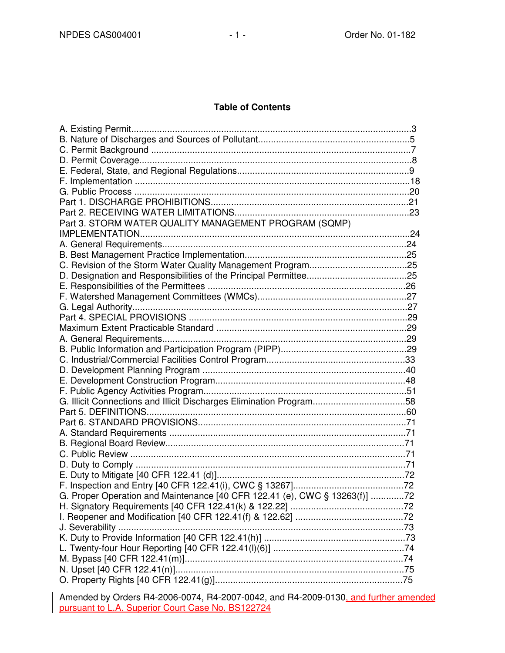#### **Table of Contents**

| Part 3. STORM WATER QUALITY MANAGEMENT PROGRAM (SQMP)                      |  |
|----------------------------------------------------------------------------|--|
|                                                                            |  |
|                                                                            |  |
|                                                                            |  |
|                                                                            |  |
|                                                                            |  |
|                                                                            |  |
|                                                                            |  |
|                                                                            |  |
|                                                                            |  |
|                                                                            |  |
|                                                                            |  |
|                                                                            |  |
|                                                                            |  |
|                                                                            |  |
|                                                                            |  |
|                                                                            |  |
| G. Illicit Connections and Illicit Discharges Elimination Program58        |  |
|                                                                            |  |
|                                                                            |  |
|                                                                            |  |
|                                                                            |  |
|                                                                            |  |
|                                                                            |  |
|                                                                            |  |
|                                                                            |  |
| G. Proper Operation and Maintenance [40 CFR 122.41 (e), CWC § 13263(f)] 72 |  |
|                                                                            |  |
|                                                                            |  |
|                                                                            |  |
|                                                                            |  |
|                                                                            |  |
|                                                                            |  |
|                                                                            |  |
|                                                                            |  |
|                                                                            |  |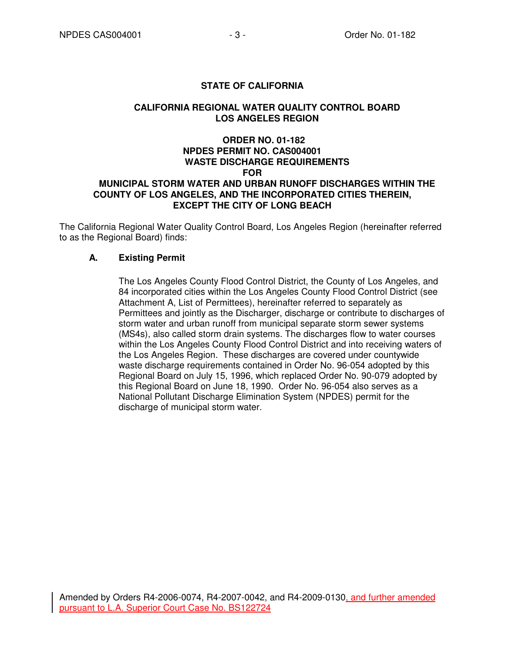# **STATE OF CALIFORNIA**

### **CALIFORNIA REGIONAL WATER QUALITY CONTROL BOARD LOS ANGELES REGION**

# **ORDER NO. 01-182 NPDES PERMIT NO. CAS004001 WASTE DISCHARGE REQUIREMENTS FOR MUNICIPAL STORM WATER AND URBAN RUNOFF DISCHARGES WITHIN THE COUNTY OF LOS ANGELES, AND THE INCORPORATED CITIES THEREIN, EXCEPT THE CITY OF LONG BEACH**

The California Regional Water Quality Control Board, Los Angeles Region (hereinafter referred to as the Regional Board) finds:

# **A. Existing Permit**

The Los Angeles County Flood Control District, the County of Los Angeles, and 84 incorporated cities within the Los Angeles County Flood Control District (see Attachment A, List of Permittees), hereinafter referred to separately as Permittees and jointly as the Discharger, discharge or contribute to discharges of storm water and urban runoff from municipal separate storm sewer systems (MS4s), also called storm drain systems. The discharges flow to water courses within the Los Angeles County Flood Control District and into receiving waters of the Los Angeles Region. These discharges are covered under countywide waste discharge requirements contained in Order No. 96-054 adopted by this Regional Board on July 15, 1996, which replaced Order No. 90-079 adopted by this Regional Board on June 18, 1990. Order No. 96-054 also serves as a National Pollutant Discharge Elimination System (NPDES) permit for the discharge of municipal storm water.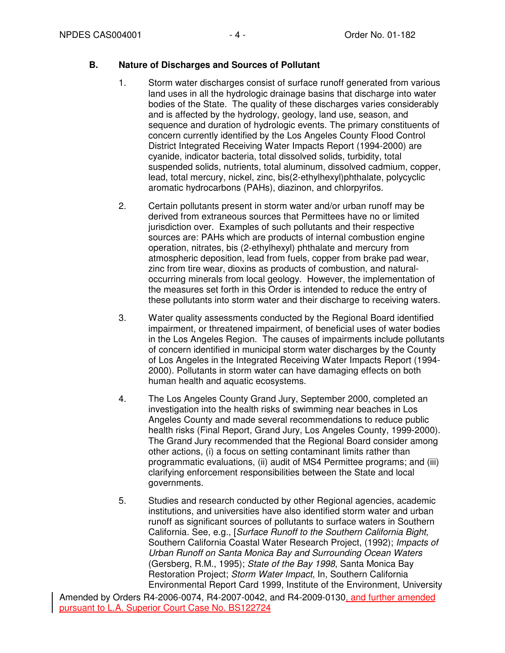### **B. Nature of Discharges and Sources of Pollutant**

- 1. Storm water discharges consist of surface runoff generated from various land uses in all the hydrologic drainage basins that discharge into water bodies of the State. The quality of these discharges varies considerably and is affected by the hydrology, geology, land use, season, and sequence and duration of hydrologic events. The primary constituents of concern currently identified by the Los Angeles County Flood Control District Integrated Receiving Water Impacts Report (1994-2000) are cyanide, indicator bacteria, total dissolved solids, turbidity, total suspended solids, nutrients, total aluminum, dissolved cadmium, copper, lead, total mercury, nickel, zinc, bis(2-ethylhexyl)phthalate, polycyclic aromatic hydrocarbons (PAHs), diazinon, and chlorpyrifos.
- 2. Certain pollutants present in storm water and/or urban runoff may be derived from extraneous sources that Permittees have no or limited jurisdiction over. Examples of such pollutants and their respective sources are: PAHs which are products of internal combustion engine operation, nitrates, bis (2-ethylhexyl) phthalate and mercury from atmospheric deposition, lead from fuels, copper from brake pad wear, zinc from tire wear, dioxins as products of combustion, and naturaloccurring minerals from local geology. However, the implementation of the measures set forth in this Order is intended to reduce the entry of these pollutants into storm water and their discharge to receiving waters.
- 3. Water quality assessments conducted by the Regional Board identified impairment, or threatened impairment, of beneficial uses of water bodies in the Los Angeles Region. The causes of impairments include pollutants of concern identified in municipal storm water discharges by the County of Los Angeles in the Integrated Receiving Water Impacts Report (1994- 2000). Pollutants in storm water can have damaging effects on both human health and aquatic ecosystems.
- 4. The Los Angeles County Grand Jury, September 2000, completed an investigation into the health risks of swimming near beaches in Los Angeles County and made several recommendations to reduce public health risks (Final Report, Grand Jury, Los Angeles County, 1999-2000). The Grand Jury recommended that the Regional Board consider among other actions, (i) a focus on setting contaminant limits rather than programmatic evaluations, (ii) audit of MS4 Permittee programs; and (iii) clarifying enforcement responsibilities between the State and local governments.
- 5. Studies and research conducted by other Regional agencies, academic institutions, and universities have also identified storm water and urban runoff as significant sources of pollutants to surface waters in Southern California. See, e.g., [Surface Runoff to the Southern California Bight, Southern California Coastal Water Research Project, (1992); Impacts of Urban Runoff on Santa Monica Bay and Surrounding Ocean Waters (Gersberg, R.M., 1995); State of the Bay 1998, Santa Monica Bay Restoration Project; Storm Water Impact, In, Southern California Environmental Report Card 1999, Institute of the Environment, University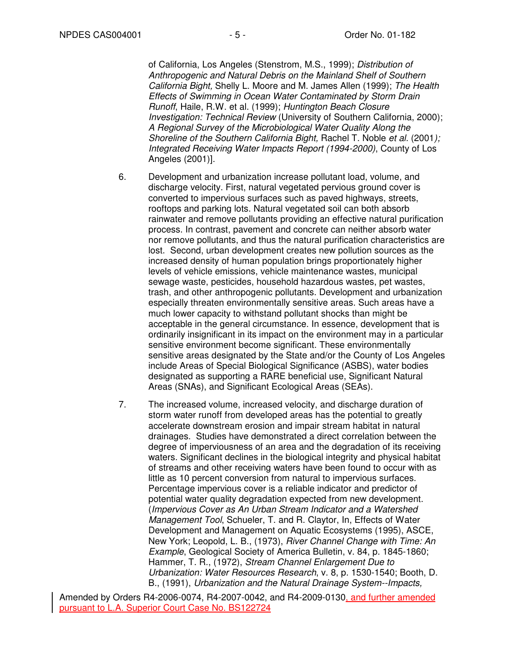of California, Los Angeles (Stenstrom, M.S., 1999); Distribution of Anthropogenic and Natural Debris on the Mainland Shelf of Southern California Bight, Shelly L. Moore and M. James Allen (1999); The Health Effects of Swimming in Ocean Water Contaminated by Storm Drain Runoff, Haile, R.W. et al. (1999); Huntington Beach Closure Investigation: Technical Review (University of Southern California, 2000); A Regional Survey of the Microbiological Water Quality Along the Shoreline of the Southern California Bight, Rachel T. Noble et al. (2001); Integrated Receiving Water Impacts Report (1994-2000), County of Los Angeles (2001)].

- 6. Development and urbanization increase pollutant load, volume, and discharge velocity. First, natural vegetated pervious ground cover is converted to impervious surfaces such as paved highways, streets, rooftops and parking lots. Natural vegetated soil can both absorb rainwater and remove pollutants providing an effective natural purification process. In contrast, pavement and concrete can neither absorb water nor remove pollutants, and thus the natural purification characteristics are lost. Second, urban development creates new pollution sources as the increased density of human population brings proportionately higher levels of vehicle emissions, vehicle maintenance wastes, municipal sewage waste, pesticides, household hazardous wastes, pet wastes, trash, and other anthropogenic pollutants. Development and urbanization especially threaten environmentally sensitive areas. Such areas have a much lower capacity to withstand pollutant shocks than might be acceptable in the general circumstance. In essence, development that is ordinarily insignificant in its impact on the environment may in a particular sensitive environment become significant. These environmentally sensitive areas designated by the State and/or the County of Los Angeles include Areas of Special Biological Significance (ASBS), water bodies designated as supporting a RARE beneficial use, Significant Natural Areas (SNAs), and Significant Ecological Areas (SEAs).
- 7. The increased volume, increased velocity, and discharge duration of storm water runoff from developed areas has the potential to greatly accelerate downstream erosion and impair stream habitat in natural drainages. Studies have demonstrated a direct correlation between the degree of imperviousness of an area and the degradation of its receiving waters. Significant declines in the biological integrity and physical habitat of streams and other receiving waters have been found to occur with as little as 10 percent conversion from natural to impervious surfaces. Percentage impervious cover is a reliable indicator and predictor of potential water quality degradation expected from new development. (Impervious Cover as An Urban Stream Indicator and a Watershed Management Tool, Schueler, T. and R. Claytor, In, Effects of Water Development and Management on Aquatic Ecosystems (1995), ASCE, New York; Leopold, L. B., (1973), River Channel Change with Time: An Example, Geological Society of America Bulletin, v. 84, p. 1845-1860; Hammer, T. R., (1972), Stream Channel Enlargement Due to Urbanization: Water Resources Research, v. 8, p. 1530-1540; Booth, D. B., (1991), Urbanization and the Natural Drainage System--Impacts,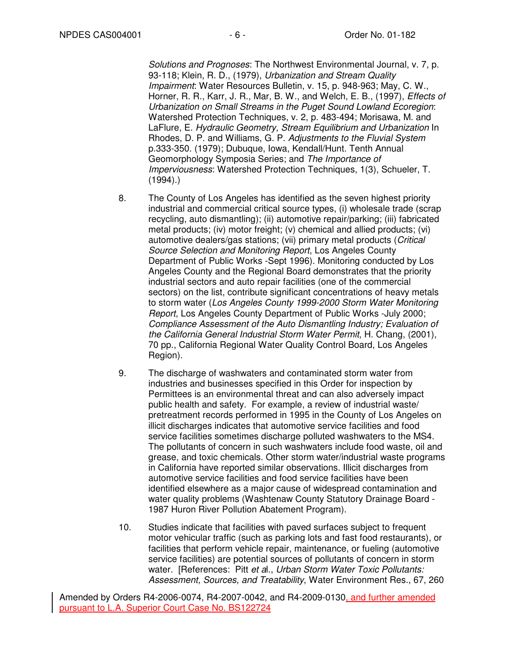Solutions and Prognoses: The Northwest Environmental Journal, v. 7, p. 93-118; Klein, R. D., (1979), Urbanization and Stream Quality Impairment: Water Resources Bulletin, v. 15, p. 948-963; May, C. W., Horner, R. R., Karr, J. R., Mar, B. W., and Welch, E. B., (1997), Effects of Urbanization on Small Streams in the Puget Sound Lowland Ecoregion: Watershed Protection Techniques, v. 2, p. 483-494; Morisawa, M. and LaFlure, E. Hydraulic Geometry, Stream Equilibrium and Urbanization In Rhodes, D. P. and Williams, G. P. Adjustments to the Fluvial System p.333-350. (1979); Dubuque, Iowa, Kendall/Hunt. Tenth Annual Geomorphology Symposia Series; and The Importance of Imperviousness: Watershed Protection Techniques, 1(3), Schueler, T.  $(1994).$ 

- 8. The County of Los Angeles has identified as the seven highest priority industrial and commercial critical source types, (i) wholesale trade (scrap recycling, auto dismantling); (ii) automotive repair/parking; (iii) fabricated metal products; (iv) motor freight; (v) chemical and allied products; (vi) automotive dealers/gas stations; (vii) primary metal products (Critical Source Selection and Monitoring Report, Los Angeles County Department of Public Works -Sept 1996). Monitoring conducted by Los Angeles County and the Regional Board demonstrates that the priority industrial sectors and auto repair facilities (one of the commercial sectors) on the list, contribute significant concentrations of heavy metals to storm water (Los Angeles County 1999-2000 Storm Water Monitoring Report, Los Angeles County Department of Public Works -July 2000; Compliance Assessment of the Auto Dismantling Industry; Evaluation of the California General Industrial Storm Water Permit, H. Chang, (2001), 70 pp., California Regional Water Quality Control Board, Los Angeles Region).
- 9. The discharge of washwaters and contaminated storm water from industries and businesses specified in this Order for inspection by Permittees is an environmental threat and can also adversely impact public health and safety. For example, a review of industrial waste/ pretreatment records performed in 1995 in the County of Los Angeles on illicit discharges indicates that automotive service facilities and food service facilities sometimes discharge polluted washwaters to the MS4. The pollutants of concern in such washwaters include food waste, oil and grease, and toxic chemicals. Other storm water/industrial waste programs in California have reported similar observations. Illicit discharges from automotive service facilities and food service facilities have been identified elsewhere as a major cause of widespread contamination and water quality problems (Washtenaw County Statutory Drainage Board - 1987 Huron River Pollution Abatement Program).
- 10. Studies indicate that facilities with paved surfaces subject to frequent motor vehicular traffic (such as parking lots and fast food restaurants), or facilities that perform vehicle repair, maintenance, or fueling (automotive service facilities) are potential sources of pollutants of concern in storm water. [References: Pitt et al., Urban Storm Water Toxic Pollutants: Assessment, Sources, and Treatability, Water Environment Res., 67, 260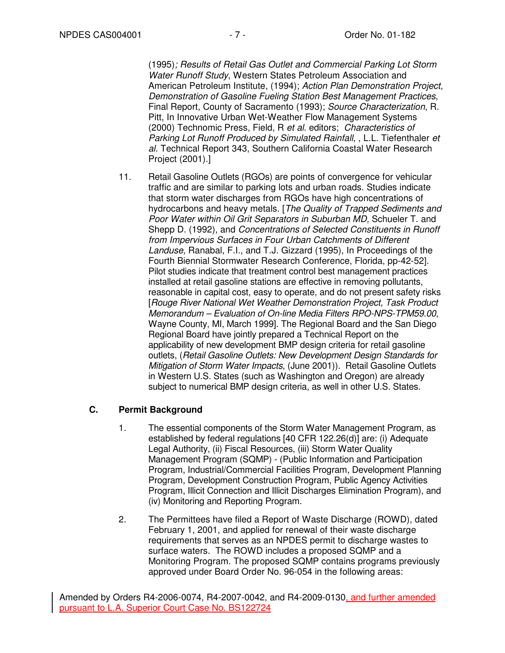(1995); Results of Retail Gas Outlet and Commercial Parking Lot Storm Water Runoff Study, Western States Petroleum Association and American Petroleum Institute, (1994); Action Plan Demonstration Project, Demonstration of Gasoline Fueling Station Best Management Practices, Final Report, County of Sacramento (1993); Source Characterization, R. Pitt, In Innovative Urban Wet-Weather Flow Management Systems (2000) Technomic Press, Field, R et al. editors; Characteristics of Parking Lot Runoff Produced by Simulated Rainfall, , L.L. Tiefenthaler et al. Technical Report 343, Southern California Coastal Water Research Project (2001).]

11. Retail Gasoline Outlets (RGOs) are points of convergence for vehicular traffic and are similar to parking lots and urban roads. Studies indicate that storm water discharges from RGOs have high concentrations of hydrocarbons and heavy metals. [The Quality of Trapped Sediments and Poor Water within Oil Grit Separators in Suburban MD, Schueler T. and Shepp D. (1992), and Concentrations of Selected Constituents in Runoff from Impervious Surfaces in Four Urban Catchments of Different Landuse, Ranabal, F.I., and T.J. Gizzard (1995), In Proceedings of the Fourth Biennial Stormwater Research Conference, Florida, pp-42-52]. Pilot studies indicate that treatment control best management practices installed at retail gasoline stations are effective in removing pollutants, reasonable in capital cost, easy to operate, and do not present safety risks [Rouge River National Wet Weather Demonstration Project, Task Product Memorandum – Evaluation of On-line Media Filters RPO-NPS-TPM59.00, Wayne County, MI, March 1999]. The Regional Board and the San Diego Regional Board have jointly prepared a Technical Report on the applicability of new development BMP design criteria for retail gasoline outlets, (Retail Gasoline Outlets: New Development Design Standards for Mitigation of Storm Water Impacts, (June 2001)). Retail Gasoline Outlets in Western U.S. States (such as Washington and Oregon) are already subject to numerical BMP design criteria, as well in other U.S. States.

# **C. Permit Background**

- 1. The essential components of the Storm Water Management Program, as established by federal regulations [40 CFR 122.26(d)] are: (i) Adequate Legal Authority, (ii) Fiscal Resources, (iii) Storm Water Quality Management Program (SQMP) - (Public Information and Participation Program, Industrial/Commercial Facilities Program, Development Planning Program, Development Construction Program, Public Agency Activities Program, Illicit Connection and Illicit Discharges Elimination Program), and (iv) Monitoring and Reporting Program.
- 2. The Permittees have filed a Report of Waste Discharge (ROWD), dated February 1, 2001, and applied for renewal of their waste discharge requirements that serves as an NPDES permit to discharge wastes to surface waters. The ROWD includes a proposed SQMP and a Monitoring Program. The proposed SQMP contains programs previously approved under Board Order No. 96-054 in the following areas: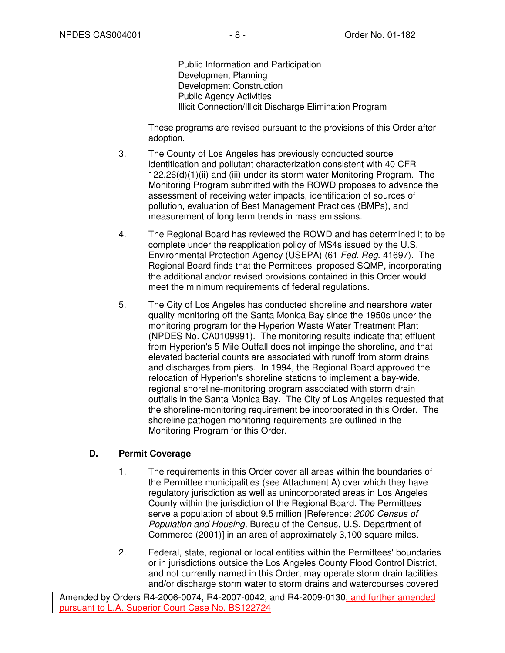Public Information and Participation Development Planning Development Construction Public Agency Activities Illicit Connection/Illicit Discharge Elimination Program

 These programs are revised pursuant to the provisions of this Order after adoption.

- 3. The County of Los Angeles has previously conducted source identification and pollutant characterization consistent with 40 CFR 122.26(d)(1)(ii) and (iii) under its storm water Monitoring Program. The Monitoring Program submitted with the ROWD proposes to advance the assessment of receiving water impacts, identification of sources of pollution, evaluation of Best Management Practices (BMPs), and measurement of long term trends in mass emissions.
- 4. The Regional Board has reviewed the ROWD and has determined it to be complete under the reapplication policy of MS4s issued by the U.S. Environmental Protection Agency (USEPA) (61 Fed. Reg. 41697). The Regional Board finds that the Permittees' proposed SQMP, incorporating the additional and/or revised provisions contained in this Order would meet the minimum requirements of federal regulations.
- 5. The City of Los Angeles has conducted shoreline and nearshore water quality monitoring off the Santa Monica Bay since the 1950s under the monitoring program for the Hyperion Waste Water Treatment Plant (NPDES No. CA0109991). The monitoring results indicate that effluent from Hyperion's 5-Mile Outfall does not impinge the shoreline, and that elevated bacterial counts are associated with runoff from storm drains and discharges from piers. In 1994, the Regional Board approved the relocation of Hyperion's shoreline stations to implement a bay-wide, regional shoreline-monitoring program associated with storm drain outfalls in the Santa Monica Bay. The City of Los Angeles requested that the shoreline-monitoring requirement be incorporated in this Order. The shoreline pathogen monitoring requirements are outlined in the Monitoring Program for this Order.

# **D. Permit Coverage**

- 1. The requirements in this Order cover all areas within the boundaries of the Permittee municipalities (see Attachment A) over which they have regulatory jurisdiction as well as unincorporated areas in Los Angeles County within the jurisdiction of the Regional Board. The Permittees serve a population of about 9.5 million [Reference: 2000 Census of Population and Housing, Bureau of the Census, U.S. Department of Commerce (2001)] in an area of approximately 3,100 square miles.
- 2. Federal, state, regional or local entities within the Permittees' boundaries or in jurisdictions outside the Los Angeles County Flood Control District, and not currently named in this Order, may operate storm drain facilities and/or discharge storm water to storm drains and watercourses covered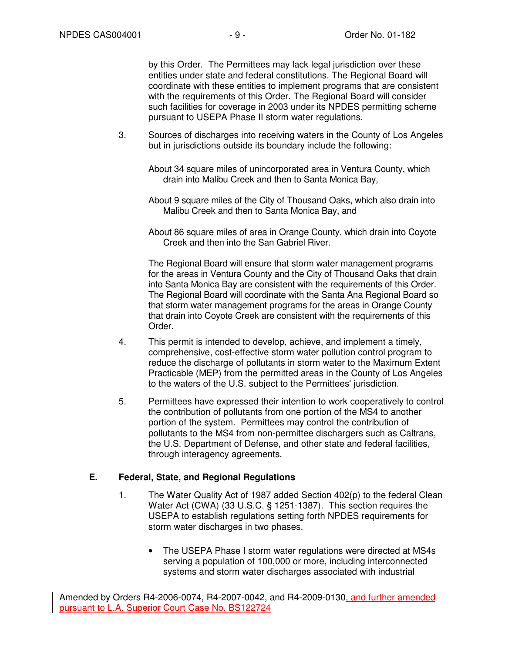by this Order. The Permittees may lack legal jurisdiction over these entities under state and federal constitutions. The Regional Board will coordinate with these entities to implement programs that are consistent with the requirements of this Order. The Regional Board will consider such facilities for coverage in 2003 under its NPDES permitting scheme pursuant to USEPA Phase II storm water regulations.

- 3. Sources of discharges into receiving waters in the County of Los Angeles but in jurisdictions outside its boundary include the following:
	- About 34 square miles of unincorporated area in Ventura County, which drain into Malibu Creek and then to Santa Monica Bay,
	- About 9 square miles of the City of Thousand Oaks, which also drain into Malibu Creek and then to Santa Monica Bay, and
	- About 86 square miles of area in Orange County, which drain into Coyote Creek and then into the San Gabriel River.

 The Regional Board will ensure that storm water management programs for the areas in Ventura County and the City of Thousand Oaks that drain into Santa Monica Bay are consistent with the requirements of this Order. The Regional Board will coordinate with the Santa Ana Regional Board so that storm water management programs for the areas in Orange County that drain into Coyote Creek are consistent with the requirements of this Order.

- 4. This permit is intended to develop, achieve, and implement a timely, comprehensive, cost-effective storm water pollution control program to reduce the discharge of pollutants in storm water to the Maximum Extent Practicable (MEP) from the permitted areas in the County of Los Angeles to the waters of the U.S. subject to the Permittees' jurisdiction.
- 5. Permittees have expressed their intention to work cooperatively to control the contribution of pollutants from one portion of the MS4 to another portion of the system. Permittees may control the contribution of pollutants to the MS4 from non-permittee dischargers such as Caltrans, the U.S. Department of Defense, and other state and federal facilities, through interagency agreements.

### **E. Federal, State, and Regional Regulations**

- 1. The Water Quality Act of 1987 added Section 402(p) to the federal Clean Water Act (CWA) (33 U.S.C. § 1251-1387). This section requires the USEPA to establish regulations setting forth NPDES requirements for storm water discharges in two phases.
	- The USEPA Phase I storm water regulations were directed at MS4s serving a population of 100,000 or more, including interconnected systems and storm water discharges associated with industrial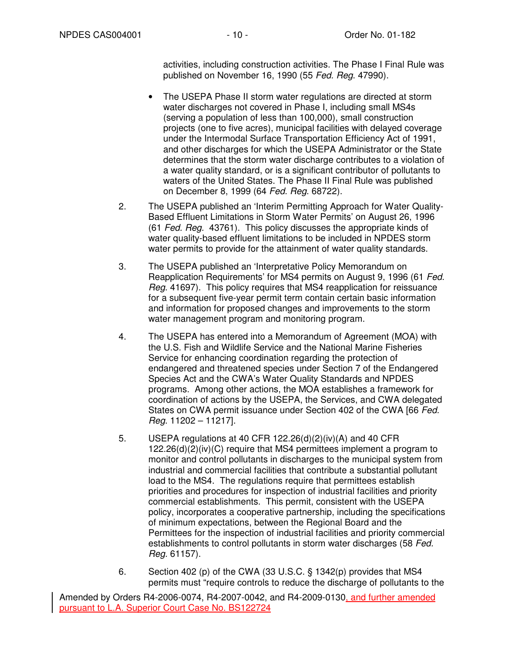activities, including construction activities. The Phase I Final Rule was published on November 16, 1990 (55 Fed. Reg. 47990).

- The USEPA Phase II storm water regulations are directed at storm water discharges not covered in Phase I, including small MS4s (serving a population of less than 100,000), small construction projects (one to five acres), municipal facilities with delayed coverage under the Intermodal Surface Transportation Efficiency Act of 1991, and other discharges for which the USEPA Administrator or the State determines that the storm water discharge contributes to a violation of a water quality standard, or is a significant contributor of pollutants to waters of the United States. The Phase II Final Rule was published on December 8, 1999 (64 Fed. Reg. 68722).
- 2. The USEPA published an 'Interim Permitting Approach for Water Quality-Based Effluent Limitations in Storm Water Permits' on August 26, 1996 (61 Fed. Reg. 43761). This policy discusses the appropriate kinds of water quality-based effluent limitations to be included in NPDES storm water permits to provide for the attainment of water quality standards.
- 3. The USEPA published an 'Interpretative Policy Memorandum on Reapplication Requirements' for MS4 permits on August 9, 1996 (61 Fed. Reg. 41697). This policy requires that MS4 reapplication for reissuance for a subsequent five-year permit term contain certain basic information and information for proposed changes and improvements to the storm water management program and monitoring program.
- 4. The USEPA has entered into a Memorandum of Agreement (MOA) with the U.S. Fish and Wildlife Service and the National Marine Fisheries Service for enhancing coordination regarding the protection of endangered and threatened species under Section 7 of the Endangered Species Act and the CWA's Water Quality Standards and NPDES programs. Among other actions, the MOA establishes a framework for coordination of actions by the USEPA, the Services, and CWA delegated States on CWA permit issuance under Section 402 of the CWA [66 Fed. Reg. 11202 – 11217].
- 5. USEPA regulations at 40 CFR 122.26(d)(2)(iv)(A) and 40 CFR 122.26(d)(2)(iv)(C) require that MS4 permittees implement a program to monitor and control pollutants in discharges to the municipal system from industrial and commercial facilities that contribute a substantial pollutant load to the MS4. The regulations require that permittees establish priorities and procedures for inspection of industrial facilities and priority commercial establishments. This permit, consistent with the USEPA policy, incorporates a cooperative partnership, including the specifications of minimum expectations, between the Regional Board and the Permittees for the inspection of industrial facilities and priority commercial establishments to control pollutants in storm water discharges (58 Fed. Reg. 61157).
- 6. Section 402 (p) of the CWA (33 U.S.C. § 1342(p) provides that MS4 permits must "require controls to reduce the discharge of pollutants to the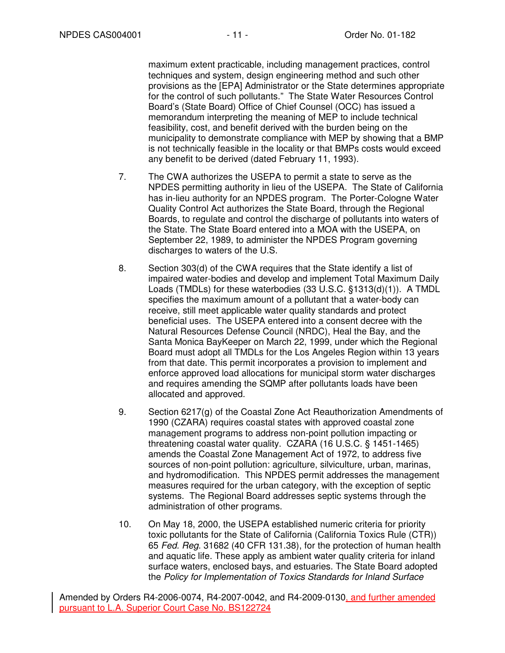maximum extent practicable, including management practices, control techniques and system, design engineering method and such other provisions as the [EPA] Administrator or the State determines appropriate for the control of such pollutants." The State Water Resources Control Board's (State Board) Office of Chief Counsel (OCC) has issued a memorandum interpreting the meaning of MEP to include technical feasibility, cost, and benefit derived with the burden being on the municipality to demonstrate compliance with MEP by showing that a BMP is not technically feasible in the locality or that BMPs costs would exceed any benefit to be derived (dated February 11, 1993).

- 7. The CWA authorizes the USEPA to permit a state to serve as the NPDES permitting authority in lieu of the USEPA. The State of California has in-lieu authority for an NPDES program. The Porter-Cologne Water Quality Control Act authorizes the State Board, through the Regional Boards, to regulate and control the discharge of pollutants into waters of the State. The State Board entered into a MOA with the USEPA, on September 22, 1989, to administer the NPDES Program governing discharges to waters of the U.S.
- 8. Section 303(d) of the CWA requires that the State identify a list of impaired water-bodies and develop and implement Total Maximum Daily Loads (TMDLs) for these waterbodies (33 U.S.C. §1313(d)(1)). A TMDL specifies the maximum amount of a pollutant that a water-body can receive, still meet applicable water quality standards and protect beneficial uses. The USEPA entered into a consent decree with the Natural Resources Defense Council (NRDC), Heal the Bay, and the Santa Monica BayKeeper on March 22, 1999, under which the Regional Board must adopt all TMDLs for the Los Angeles Region within 13 years from that date. This permit incorporates a provision to implement and enforce approved load allocations for municipal storm water discharges and requires amending the SQMP after pollutants loads have been allocated and approved.
- 9. Section 6217(g) of the Coastal Zone Act Reauthorization Amendments of 1990 (CZARA) requires coastal states with approved coastal zone management programs to address non-point pollution impacting or threatening coastal water quality. CZARA (16 U.S.C. § 1451-1465) amends the Coastal Zone Management Act of 1972, to address five sources of non-point pollution: agriculture, silviculture, urban, marinas, and hydromodification. This NPDES permit addresses the management measures required for the urban category, with the exception of septic systems. The Regional Board addresses septic systems through the administration of other programs.
- 10. On May 18, 2000, the USEPA established numeric criteria for priority toxic pollutants for the State of California (California Toxics Rule (CTR)) 65 Fed. Reg. 31682 (40 CFR 131.38), for the protection of human health and aquatic life. These apply as ambient water quality criteria for inland surface waters, enclosed bays, and estuaries. The State Board adopted the Policy for Implementation of Toxics Standards for Inland Surface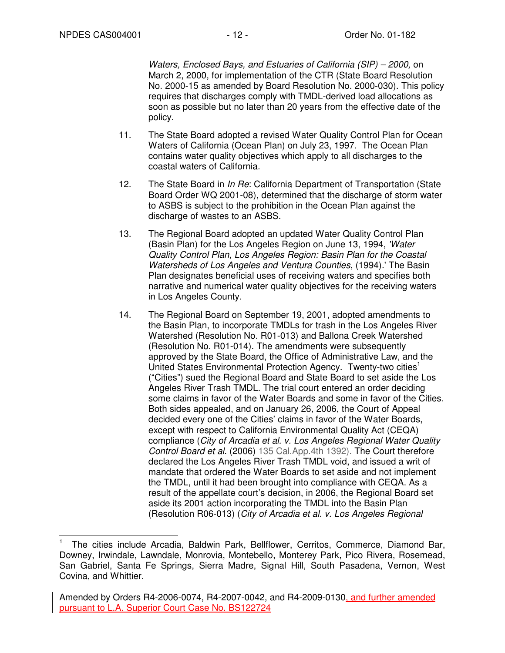Waters, Enclosed Bays, and Estuaries of California (SIP) – 2000, on March 2, 2000, for implementation of the CTR (State Board Resolution No. 2000-15 as amended by Board Resolution No. 2000-030). This policy requires that discharges comply with TMDL-derived load allocations as soon as possible but no later than 20 years from the effective date of the policy.

- 11. The State Board adopted a revised Water Quality Control Plan for Ocean Waters of California (Ocean Plan) on July 23, 1997. The Ocean Plan contains water quality objectives which apply to all discharges to the coastal waters of California.
- 12. The State Board in *In Re*: California Department of Transportation (State Board Order WQ 2001-08), determined that the discharge of storm water to ASBS is subject to the prohibition in the Ocean Plan against the discharge of wastes to an ASBS.
- 13. The Regional Board adopted an updated Water Quality Control Plan (Basin Plan) for the Los Angeles Region on June 13, 1994, 'Water Quality Control Plan, Los Angeles Region: Basin Plan for the Coastal Watersheds of Los Angeles and Ventura Counties, (1994).' The Basin Plan designates beneficial uses of receiving waters and specifies both narrative and numerical water quality objectives for the receiving waters in Los Angeles County.
- 14. The Regional Board on September 19, 2001, adopted amendments to the Basin Plan, to incorporate TMDLs for trash in the Los Angeles River Watershed (Resolution No. R01-013) and Ballona Creek Watershed (Resolution No. R01-014). The amendments were subsequently approved by the State Board, the Office of Administrative Law, and the United States Environmental Protection Agency. Twenty-two cities<sup>1</sup> ("Cities") sued the Regional Board and State Board to set aside the Los Angeles River Trash TMDL. The trial court entered an order deciding some claims in favor of the Water Boards and some in favor of the Cities. Both sides appealed, and on January 26, 2006, the Court of Appeal decided every one of the Cities' claims in favor of the Water Boards, except with respect to California Environmental Quality Act (CEQA) compliance (City of Arcadia et al. v. Los Angeles Regional Water Quality Control Board et al. (2006) 135 Cal.App.4th 1392). The Court therefore declared the Los Angeles River Trash TMDL void, and issued a writ of mandate that ordered the Water Boards to set aside and not implement the TMDL, until it had been brought into compliance with CEQA. As a result of the appellate court's decision, in 2006, the Regional Board set aside its 2001 action incorporating the TMDL into the Basin Plan (Resolution R06-013) (City of Arcadia et al. v. Los Angeles Regional

 $\overline{\phantom{a}}$ 1 The cities include Arcadia, Baldwin Park, Bellflower, Cerritos, Commerce, Diamond Bar, Downey, Irwindale, Lawndale, Monrovia, Montebello, Monterey Park, Pico Rivera, Rosemead, San Gabriel, Santa Fe Springs, Sierra Madre, Signal Hill, South Pasadena, Vernon, West Covina, and Whittier.

Amended by Orders R4-2006-0074, R4-2007-0042, and R4-2009-0130, and further amended pursuant to L.A. Superior Court Case No. BS122724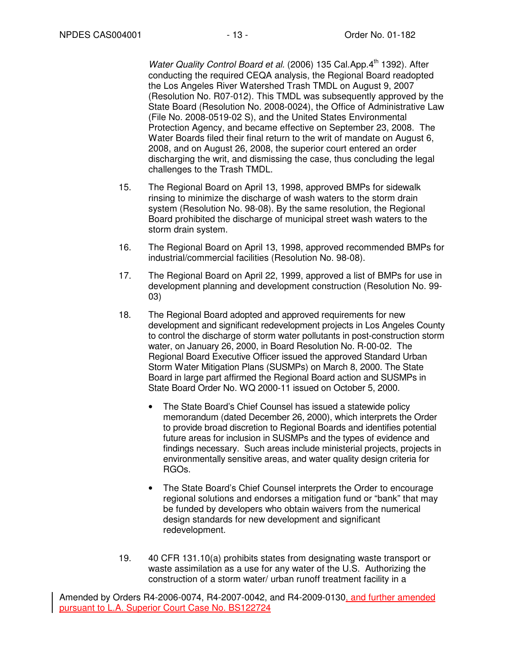Water Quality Control Board et al. (2006) 135 Cal.App.4th 1392). After conducting the required CEQA analysis, the Regional Board readopted the Los Angeles River Watershed Trash TMDL on August 9, 2007 (Resolution No. R07-012). This TMDL was subsequently approved by the State Board (Resolution No. 2008-0024), the Office of Administrative Law (File No. 2008-0519-02 S), and the United States Environmental Protection Agency, and became effective on September 23, 2008. The Water Boards filed their final return to the writ of mandate on August 6, 2008, and on August 26, 2008, the superior court entered an order discharging the writ, and dismissing the case, thus concluding the legal challenges to the Trash TMDL.

- 15. The Regional Board on April 13, 1998, approved BMPs for sidewalk rinsing to minimize the discharge of wash waters to the storm drain system (Resolution No. 98-08). By the same resolution, the Regional Board prohibited the discharge of municipal street wash waters to the storm drain system.
- 16. The Regional Board on April 13, 1998, approved recommended BMPs for industrial/commercial facilities (Resolution No. 98-08).
- 17. The Regional Board on April 22, 1999, approved a list of BMPs for use in development planning and development construction (Resolution No. 99- 03)
- 18. The Regional Board adopted and approved requirements for new development and significant redevelopment projects in Los Angeles County to control the discharge of storm water pollutants in post-construction storm water, on January 26, 2000, in Board Resolution No. R-00-02. The Regional Board Executive Officer issued the approved Standard Urban Storm Water Mitigation Plans (SUSMPs) on March 8, 2000. The State Board in large part affirmed the Regional Board action and SUSMPs in State Board Order No. WQ 2000-11 issued on October 5, 2000.
	- The State Board's Chief Counsel has issued a statewide policy memorandum (dated December 26, 2000), which interprets the Order to provide broad discretion to Regional Boards and identifies potential future areas for inclusion in SUSMPs and the types of evidence and findings necessary. Such areas include ministerial projects, projects in environmentally sensitive areas, and water quality design criteria for RGOs.
	- The State Board's Chief Counsel interprets the Order to encourage regional solutions and endorses a mitigation fund or "bank" that may be funded by developers who obtain waivers from the numerical design standards for new development and significant redevelopment.
- 19. 40 CFR 131.10(a) prohibits states from designating waste transport or waste assimilation as a use for any water of the U.S. Authorizing the construction of a storm water/ urban runoff treatment facility in a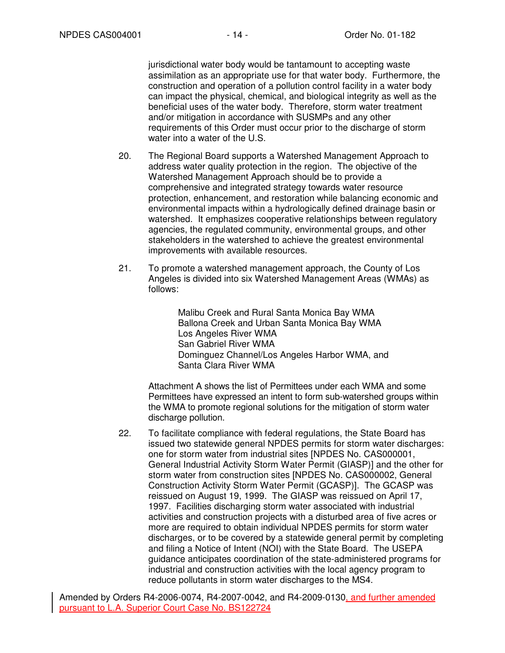jurisdictional water body would be tantamount to accepting waste assimilation as an appropriate use for that water body. Furthermore, the construction and operation of a pollution control facility in a water body can impact the physical, chemical, and biological integrity as well as the beneficial uses of the water body. Therefore, storm water treatment and/or mitigation in accordance with SUSMPs and any other requirements of this Order must occur prior to the discharge of storm water into a water of the U.S.

- 20. The Regional Board supports a Watershed Management Approach to address water quality protection in the region. The objective of the Watershed Management Approach should be to provide a comprehensive and integrated strategy towards water resource protection, enhancement, and restoration while balancing economic and environmental impacts within a hydrologically defined drainage basin or watershed. It emphasizes cooperative relationships between regulatory agencies, the regulated community, environmental groups, and other stakeholders in the watershed to achieve the greatest environmental improvements with available resources.
- 21. To promote a watershed management approach, the County of Los Angeles is divided into six Watershed Management Areas (WMAs) as follows:

Malibu Creek and Rural Santa Monica Bay WMA Ballona Creek and Urban Santa Monica Bay WMA Los Angeles River WMA San Gabriel River WMA Dominguez Channel/Los Angeles Harbor WMA, and Santa Clara River WMA

Attachment A shows the list of Permittees under each WMA and some Permittees have expressed an intent to form sub-watershed groups within the WMA to promote regional solutions for the mitigation of storm water discharge pollution.

22. To facilitate compliance with federal regulations, the State Board has issued two statewide general NPDES permits for storm water discharges: one for storm water from industrial sites [NPDES No. CAS000001, General Industrial Activity Storm Water Permit (GIASP)] and the other for storm water from construction sites [NPDES No. CAS000002, General Construction Activity Storm Water Permit (GCASP)]. The GCASP was reissued on August 19, 1999. The GIASP was reissued on April 17, 1997. Facilities discharging storm water associated with industrial activities and construction projects with a disturbed area of five acres or more are required to obtain individual NPDES permits for storm water discharges, or to be covered by a statewide general permit by completing and filing a Notice of Intent (NOI) with the State Board. The USEPA guidance anticipates coordination of the state-administered programs for industrial and construction activities with the local agency program to reduce pollutants in storm water discharges to the MS4.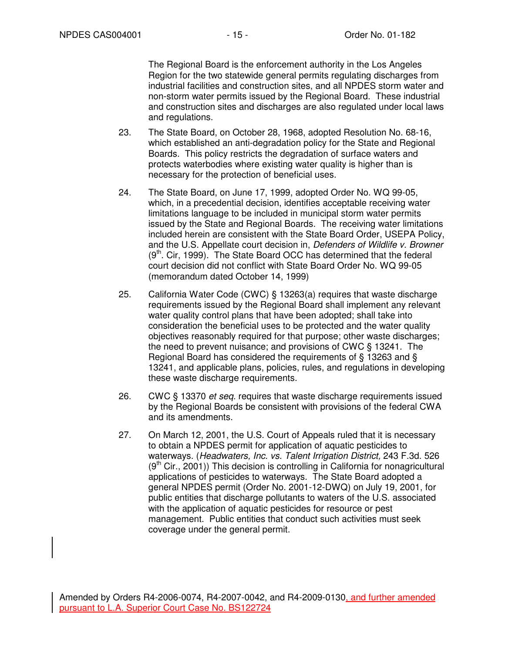The Regional Board is the enforcement authority in the Los Angeles Region for the two statewide general permits regulating discharges from industrial facilities and construction sites, and all NPDES storm water and non-storm water permits issued by the Regional Board. These industrial and construction sites and discharges are also regulated under local laws and regulations.

- 23. The State Board, on October 28, 1968, adopted Resolution No. 68-16, which established an anti-degradation policy for the State and Regional Boards. This policy restricts the degradation of surface waters and protects waterbodies where existing water quality is higher than is necessary for the protection of beneficial uses.
- 24. The State Board, on June 17, 1999, adopted Order No. WQ 99-05, which, in a precedential decision, identifies acceptable receiving water limitations language to be included in municipal storm water permits issued by the State and Regional Boards. The receiving water limitations included herein are consistent with the State Board Order, USEPA Policy, and the U.S. Appellate court decision in, Defenders of Wildlife v. Browner  $(9<sup>th</sup>$ . Cir, 1999). The State Board OCC has determined that the federal court decision did not conflict with State Board Order No. WQ 99-05 (memorandum dated October 14, 1999)
- 25. California Water Code (CWC) § 13263(a) requires that waste discharge requirements issued by the Regional Board shall implement any relevant water quality control plans that have been adopted; shall take into consideration the beneficial uses to be protected and the water quality objectives reasonably required for that purpose; other waste discharges; the need to prevent nuisance; and provisions of CWC § 13241. The Regional Board has considered the requirements of § 13263 and § 13241, and applicable plans, policies, rules, and regulations in developing these waste discharge requirements.
- 26. CWC § 13370 *et seq.* requires that waste discharge requirements issued by the Regional Boards be consistent with provisions of the federal CWA and its amendments.
- 27. On March 12, 2001, the U.S. Court of Appeals ruled that it is necessary to obtain a NPDES permit for application of aquatic pesticides to waterways. (Headwaters, Inc. vs. Talent Irrigation District, 243 F.3d. 526  $(9<sup>tn</sup> Cir., 2001)$ ) This decision is controlling in California for nonagricultural applications of pesticides to waterways. The State Board adopted a general NPDES permit (Order No. 2001-12-DWQ) on July 19, 2001, for public entities that discharge pollutants to waters of the U.S. associated with the application of aquatic pesticides for resource or pest management. Public entities that conduct such activities must seek coverage under the general permit.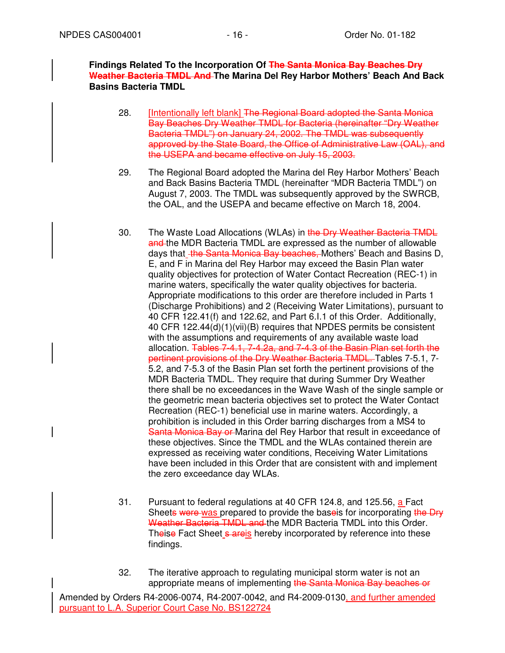**Findings Related To the Incorporation Of The Santa Monica Bay Beaches Dry Weather Bacteria TMDL And The Marina Del Rey Harbor Mothers' Beach And Back Basins Bacteria TMDL** 

- 28. **[Intentionally left blank] The Regional Board adopted the Santa Monica** Bay Beaches Dry Weather TMDL for Bacteria (hereinafter "Dry Weather Bacteria TMDL") on January 24, 2002. The TMDL was subsequently approved by the State Board, the Office of Administrative Law (OAL), and the USEPA and became effective on July 15, 2003.
- 29. The Regional Board adopted the Marina del Rey Harbor Mothers' Beach and Back Basins Bacteria TMDL (hereinafter "MDR Bacteria TMDL") on August 7, 2003. The TMDL was subsequently approved by the SWRCB, the OAL, and the USEPA and became effective on March 18, 2004.
- 30. The Waste Load Allocations (WLAs) in the Dry Weather Bacteria TMDL and the MDR Bacteria TMDL are expressed as the number of allowable days that the Santa Monica Bay beaches, Mothers' Beach and Basins D, E, and F in Marina del Rey Harbor may exceed the Basin Plan water quality objectives for protection of Water Contact Recreation (REC-1) in marine waters, specifically the water quality objectives for bacteria. Appropriate modifications to this order are therefore included in Parts 1 (Discharge Prohibitions) and 2 (Receiving Water Limitations), pursuant to 40 CFR 122.41(f) and 122.62, and Part 6.I.1 of this Order. Additionally, 40 CFR 122.44(d)(1)(vii)(B) requires that NPDES permits be consistent with the assumptions and requirements of any available waste load allocation. Tables 7-4.1, 7-4.2a, and 7-4.3 of the Basin Plan set forth the pertinent provisions of the Dry Weather Bacteria TMDL. Tables 7-5.1, 7- 5.2, and 7-5.3 of the Basin Plan set forth the pertinent provisions of the MDR Bacteria TMDL. They require that during Summer Dry Weather there shall be no exceedances in the Wave Wash of the single sample or the geometric mean bacteria objectives set to protect the Water Contact Recreation (REC-1) beneficial use in marine waters. Accordingly, a prohibition is included in this Order barring discharges from a MS4 to Santa Monica Bay or Marina del Rey Harbor that result in exceedance of these objectives. Since the TMDL and the WLAs contained therein are expressed as receiving water conditions, Receiving Water Limitations have been included in this Order that are consistent with and implement the zero exceedance day WLAs.
- 31. Pursuant to federal regulations at 40 CFR 124.8, and 125.56, a Fact Sheets were was prepared to provide the base is for incorporating the Dry Weather Bacteria TMDL and the MDR Bacteria TMDL into this Order. Theise Fact Sheet s areis hereby incorporated by reference into these findings.
- 32. The iterative approach to regulating municipal storm water is not an appropriate means of implementing the Santa Monica Bay beaches or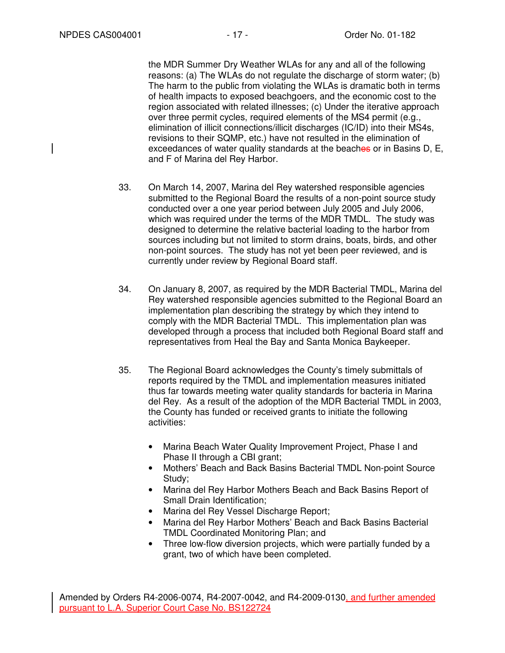the MDR Summer Dry Weather WLAs for any and all of the following reasons: (a) The WLAs do not regulate the discharge of storm water; (b) The harm to the public from violating the WLAs is dramatic both in terms of health impacts to exposed beachgoers, and the economic cost to the region associated with related illnesses; (c) Under the iterative approach over three permit cycles, required elements of the MS4 permit (e.g., elimination of illicit connections/illicit discharges (IC/ID) into their MS4s, revisions to their SQMP, etc.) have not resulted in the elimination of exceedances of water quality standards at the beaches or in Basins D, E, and F of Marina del Rey Harbor.

- 33. On March 14, 2007, Marina del Rey watershed responsible agencies submitted to the Regional Board the results of a non-point source study conducted over a one year period between July 2005 and July 2006, which was required under the terms of the MDR TMDL. The study was designed to determine the relative bacterial loading to the harbor from sources including but not limited to storm drains, boats, birds, and other non-point sources. The study has not yet been peer reviewed, and is currently under review by Regional Board staff.
- 34. On January 8, 2007, as required by the MDR Bacterial TMDL, Marina del Rey watershed responsible agencies submitted to the Regional Board an implementation plan describing the strategy by which they intend to comply with the MDR Bacterial TMDL. This implementation plan was developed through a process that included both Regional Board staff and representatives from Heal the Bay and Santa Monica Baykeeper.
- 35. The Regional Board acknowledges the County's timely submittals of reports required by the TMDL and implementation measures initiated thus far towards meeting water quality standards for bacteria in Marina del Rey. As a result of the adoption of the MDR Bacterial TMDL in 2003, the County has funded or received grants to initiate the following activities:
	- Marina Beach Water Quality Improvement Project, Phase I and Phase II through a CBI grant;
	- Mothers' Beach and Back Basins Bacterial TMDL Non-point Source Study;
	- Marina del Rey Harbor Mothers Beach and Back Basins Report of Small Drain Identification;
	- Marina del Rey Vessel Discharge Report;
	- Marina del Rey Harbor Mothers' Beach and Back Basins Bacterial TMDL Coordinated Monitoring Plan; and
	- Three low-flow diversion projects, which were partially funded by a grant, two of which have been completed.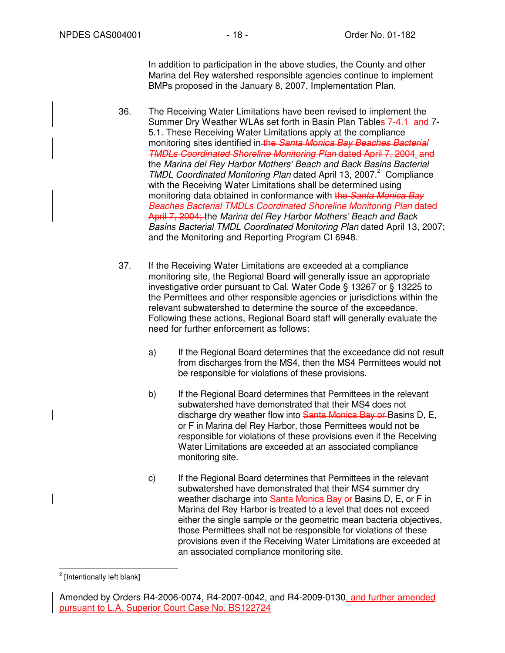In addition to participation in the above studies, the County and other Marina del Rey watershed responsible agencies continue to implement BMPs proposed in the January 8, 2007, Implementation Plan.

- 36. The Receiving Water Limitations have been revised to implement the Summer Dry Weather WLAs set forth in Basin Plan Tables 7-4.1 and 7-5.1. These Receiving Water Limitations apply at the compliance monitoring sites identified in the Santa Monica Bay Beaches Bacterial TMDLs Coordinated Shoreline Monitoring Plan dated April 7, 2004 and the Marina del Rey Harbor Mothers' Beach and Back Basins Bacterial TMDL Coordinated Monitoring Plan dated April 13, 2007.<sup>2</sup> Compliance with the Receiving Water Limitations shall be determined using monitoring data obtained in conformance with the Santa Monica Bay Beaches Bacterial TMDLs Coordinated Shoreline Monitoring Plan dated April 7, 2004; the Marina del Rey Harbor Mothers' Beach and Back Basins Bacterial TMDL Coordinated Monitoring Plan dated April 13, 2007; and the Monitoring and Reporting Program CI 6948.
- 37. If the Receiving Water Limitations are exceeded at a compliance monitoring site, the Regional Board will generally issue an appropriate investigative order pursuant to Cal. Water Code § 13267 or § 13225 to the Permittees and other responsible agencies or jurisdictions within the relevant subwatershed to determine the source of the exceedance. Following these actions, Regional Board staff will generally evaluate the need for further enforcement as follows:
	- a) If the Regional Board determines that the exceedance did not result from discharges from the MS4, then the MS4 Permittees would not be responsible for violations of these provisions.
	- b) If the Regional Board determines that Permittees in the relevant subwatershed have demonstrated that their MS4 does not discharge dry weather flow into Santa Monica Bay or Basins D, E, or F in Marina del Rey Harbor, those Permittees would not be responsible for violations of these provisions even if the Receiving Water Limitations are exceeded at an associated compliance monitoring site.
	- c) If the Regional Board determines that Permittees in the relevant subwatershed have demonstrated that their MS4 summer dry weather discharge into Santa Monica Bay or Basins D, E, or F in Marina del Rey Harbor is treated to a level that does not exceed either the single sample or the geometric mean bacteria objectives, those Permittees shall not be responsible for violations of these provisions even if the Receiving Water Limitations are exceeded at an associated compliance monitoring site.

 2 [Intentionally left blank]

Amended by Orders R4-2006-0074, R4-2007-0042, and R4-2009-0130, and further amended pursuant to L.A. Superior Court Case No. BS122724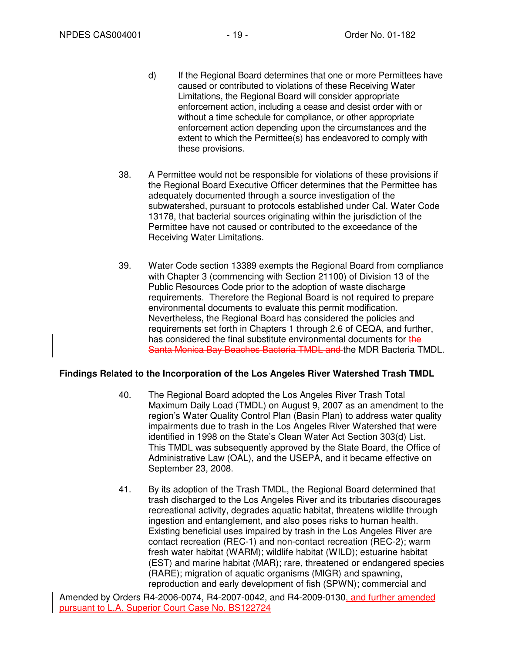- d) If the Regional Board determines that one or more Permittees have caused or contributed to violations of these Receiving Water Limitations, the Regional Board will consider appropriate enforcement action, including a cease and desist order with or without a time schedule for compliance, or other appropriate enforcement action depending upon the circumstances and the extent to which the Permittee(s) has endeavored to comply with these provisions.
- 38. A Permittee would not be responsible for violations of these provisions if the Regional Board Executive Officer determines that the Permittee has adequately documented through a source investigation of the subwatershed, pursuant to protocols established under Cal. Water Code 13178, that bacterial sources originating within the jurisdiction of the Permittee have not caused or contributed to the exceedance of the Receiving Water Limitations.
- 39. Water Code section 13389 exempts the Regional Board from compliance with Chapter 3 (commencing with Section 21100) of Division 13 of the Public Resources Code prior to the adoption of waste discharge requirements. Therefore the Regional Board is not required to prepare environmental documents to evaluate this permit modification. Nevertheless, the Regional Board has considered the policies and requirements set forth in Chapters 1 through 2.6 of CEQA, and further, has considered the final substitute environmental documents for the Santa Monica Bay Beaches Bacteria TMDL and the MDR Bacteria TMDL.

### **Findings Related to the Incorporation of the Los Angeles River Watershed Trash TMDL**

- 40. The Regional Board adopted the Los Angeles River Trash Total Maximum Daily Load (TMDL) on August 9, 2007 as an amendment to the region's Water Quality Control Plan (Basin Plan) to address water quality impairments due to trash in the Los Angeles River Watershed that were identified in 1998 on the State's Clean Water Act Section 303(d) List. This TMDL was subsequently approved by the State Board, the Office of Administrative Law (OAL), and the USEPA, and it became effective on September 23, 2008.
- 41. By its adoption of the Trash TMDL, the Regional Board determined that trash discharged to the Los Angeles River and its tributaries discourages recreational activity, degrades aquatic habitat, threatens wildlife through ingestion and entanglement, and also poses risks to human health. Existing beneficial uses impaired by trash in the Los Angeles River are contact recreation (REC-1) and non-contact recreation (REC-2); warm fresh water habitat (WARM); wildlife habitat (WILD); estuarine habitat (EST) and marine habitat (MAR); rare, threatened or endangered species (RARE); migration of aquatic organisms (MIGR) and spawning, reproduction and early development of fish (SPWN); commercial and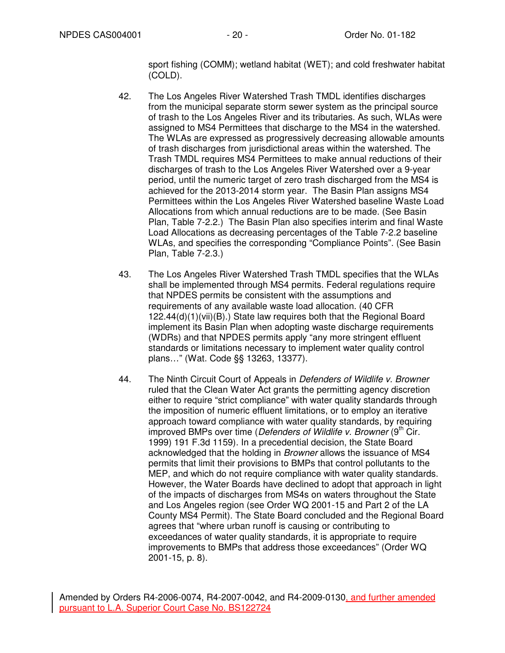sport fishing (COMM); wetland habitat (WET); and cold freshwater habitat (COLD).

- 42. The Los Angeles River Watershed Trash TMDL identifies discharges from the municipal separate storm sewer system as the principal source of trash to the Los Angeles River and its tributaries. As such, WLAs were assigned to MS4 Permittees that discharge to the MS4 in the watershed. The WLAs are expressed as progressively decreasing allowable amounts of trash discharges from jurisdictional areas within the watershed. The Trash TMDL requires MS4 Permittees to make annual reductions of their discharges of trash to the Los Angeles River Watershed over a 9-year period, until the numeric target of zero trash discharged from the MS4 is achieved for the 2013-2014 storm year. The Basin Plan assigns MS4 Permittees within the Los Angeles River Watershed baseline Waste Load Allocations from which annual reductions are to be made. (See Basin Plan, Table 7-2.2.) The Basin Plan also specifies interim and final Waste Load Allocations as decreasing percentages of the Table 7-2.2 baseline WLAs, and specifies the corresponding "Compliance Points". (See Basin Plan, Table 7-2.3.)
- 43. The Los Angeles River Watershed Trash TMDL specifies that the WLAs shall be implemented through MS4 permits. Federal regulations require that NPDES permits be consistent with the assumptions and requirements of any available waste load allocation. (40 CFR 122.44(d)(1)(vii)(B).) State law requires both that the Regional Board implement its Basin Plan when adopting waste discharge requirements (WDRs) and that NPDES permits apply "any more stringent effluent standards or limitations necessary to implement water quality control plans…" (Wat. Code §§ 13263, 13377).
- 44. The Ninth Circuit Court of Appeals in Defenders of Wildlife v. Browner ruled that the Clean Water Act grants the permitting agency discretion either to require "strict compliance" with water quality standards through the imposition of numeric effluent limitations, or to employ an iterative approach toward compliance with water quality standards, by requiring improved BMPs over time (*Defenders of Wildlife v. Browner* ( $9<sup>th</sup>$  Cir. 1999) 191 F.3d 1159). In a precedential decision, the State Board acknowledged that the holding in Browner allows the issuance of MS4 permits that limit their provisions to BMPs that control pollutants to the MEP, and which do not require compliance with water quality standards. However, the Water Boards have declined to adopt that approach in light of the impacts of discharges from MS4s on waters throughout the State and Los Angeles region (see Order WQ 2001-15 and Part 2 of the LA County MS4 Permit). The State Board concluded and the Regional Board agrees that "where urban runoff is causing or contributing to exceedances of water quality standards, it is appropriate to require improvements to BMPs that address those exceedances" (Order WQ 2001-15, p. 8).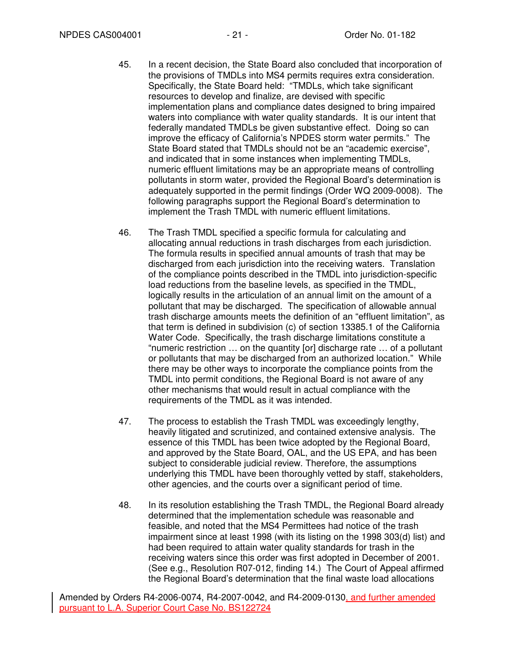- 45. In a recent decision, the State Board also concluded that incorporation of the provisions of TMDLs into MS4 permits requires extra consideration. Specifically, the State Board held: "TMDLs, which take significant resources to develop and finalize, are devised with specific implementation plans and compliance dates designed to bring impaired waters into compliance with water quality standards. It is our intent that federally mandated TMDLs be given substantive effect. Doing so can improve the efficacy of California's NPDES storm water permits." The State Board stated that TMDLs should not be an "academic exercise", and indicated that in some instances when implementing TMDLs, numeric effluent limitations may be an appropriate means of controlling pollutants in storm water, provided the Regional Board's determination is adequately supported in the permit findings (Order WQ 2009-0008). The following paragraphs support the Regional Board's determination to implement the Trash TMDL with numeric effluent limitations.
- 46. The Trash TMDL specified a specific formula for calculating and allocating annual reductions in trash discharges from each jurisdiction. The formula results in specified annual amounts of trash that may be discharged from each jurisdiction into the receiving waters. Translation of the compliance points described in the TMDL into jurisdiction-specific load reductions from the baseline levels, as specified in the TMDL, logically results in the articulation of an annual limit on the amount of a pollutant that may be discharged. The specification of allowable annual trash discharge amounts meets the definition of an "effluent limitation", as that term is defined in subdivision (c) of section 13385.1 of the California Water Code. Specifically, the trash discharge limitations constitute a "numeric restriction … on the quantity [or] discharge rate … of a pollutant or pollutants that may be discharged from an authorized location." While there may be other ways to incorporate the compliance points from the TMDL into permit conditions, the Regional Board is not aware of any other mechanisms that would result in actual compliance with the requirements of the TMDL as it was intended.
- 47. The process to establish the Trash TMDL was exceedingly lengthy, heavily litigated and scrutinized, and contained extensive analysis. The essence of this TMDL has been twice adopted by the Regional Board, and approved by the State Board, OAL, and the US EPA, and has been subject to considerable judicial review. Therefore, the assumptions underlying this TMDL have been thoroughly vetted by staff, stakeholders, other agencies, and the courts over a significant period of time.
- 48. In its resolution establishing the Trash TMDL, the Regional Board already determined that the implementation schedule was reasonable and feasible, and noted that the MS4 Permittees had notice of the trash impairment since at least 1998 (with its listing on the 1998 303(d) list) and had been required to attain water quality standards for trash in the receiving waters since this order was first adopted in December of 2001. (See e.g., Resolution R07-012, finding 14.) The Court of Appeal affirmed the Regional Board's determination that the final waste load allocations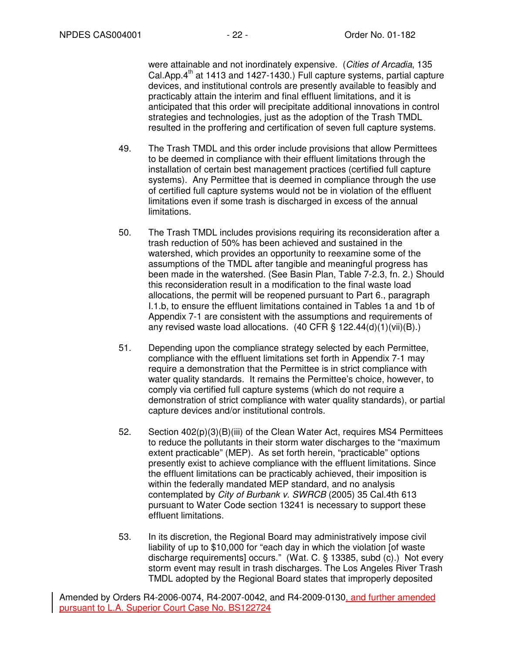were attainable and not inordinately expensive. (Cities of Arcadia, 135 Cal.App.4<sup>th</sup> at 1413 and 1427-1430.) Full capture systems, partial capture devices, and institutional controls are presently available to feasibly and practicably attain the interim and final effluent limitations, and it is anticipated that this order will precipitate additional innovations in control strategies and technologies, just as the adoption of the Trash TMDL resulted in the proffering and certification of seven full capture systems.

- 49. The Trash TMDL and this order include provisions that allow Permittees to be deemed in compliance with their effluent limitations through the installation of certain best management practices (certified full capture systems). Any Permittee that is deemed in compliance through the use of certified full capture systems would not be in violation of the effluent limitations even if some trash is discharged in excess of the annual limitations.
- 50. The Trash TMDL includes provisions requiring its reconsideration after a trash reduction of 50% has been achieved and sustained in the watershed, which provides an opportunity to reexamine some of the assumptions of the TMDL after tangible and meaningful progress has been made in the watershed. (See Basin Plan, Table 7-2.3, fn. 2.) Should this reconsideration result in a modification to the final waste load allocations, the permit will be reopened pursuant to Part 6., paragraph I.1.b, to ensure the effluent limitations contained in Tables 1a and 1b of Appendix 7-1 are consistent with the assumptions and requirements of any revised waste load allocations.  $(40 \text{ CFR} \text{S} 122.44(d)(1)(vii)(B))$ .
- 51. Depending upon the compliance strategy selected by each Permittee, compliance with the effluent limitations set forth in Appendix 7-1 may require a demonstration that the Permittee is in strict compliance with water quality standards. It remains the Permittee's choice, however, to comply via certified full capture systems (which do not require a demonstration of strict compliance with water quality standards), or partial capture devices and/or institutional controls.
- 52. Section 402(p)(3)(B)(iii) of the Clean Water Act, requires MS4 Permittees to reduce the pollutants in their storm water discharges to the "maximum extent practicable" (MEP). As set forth herein, "practicable" options presently exist to achieve compliance with the effluent limitations. Since the effluent limitations can be practicably achieved, their imposition is within the federally mandated MEP standard, and no analysis contemplated by City of Burbank v. SWRCB (2005) 35 Cal.4th 613 pursuant to Water Code section 13241 is necessary to support these effluent limitations.
- 53. In its discretion, the Regional Board may administratively impose civil liability of up to \$10,000 for "each day in which the violation [of waste discharge requirements] occurs." (Wat. C. § 13385, subd (c).) Not every storm event may result in trash discharges. The Los Angeles River Trash TMDL adopted by the Regional Board states that improperly deposited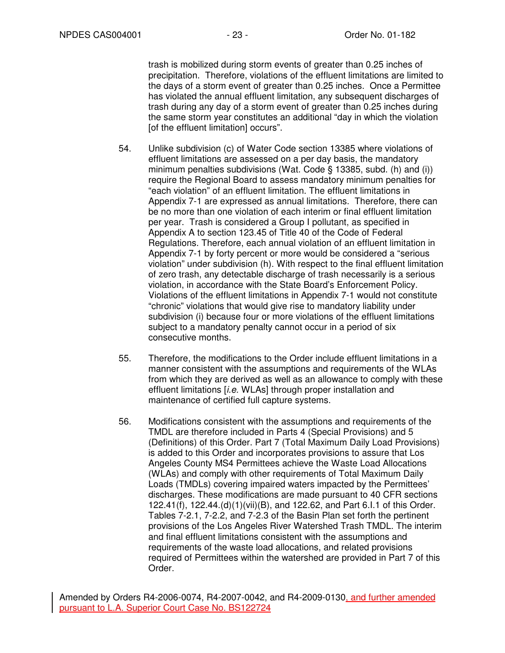trash is mobilized during storm events of greater than 0.25 inches of precipitation. Therefore, violations of the effluent limitations are limited to the days of a storm event of greater than 0.25 inches. Once a Permittee has violated the annual effluent limitation, any subsequent discharges of trash during any day of a storm event of greater than 0.25 inches during the same storm year constitutes an additional "day in which the violation [of the effluent limitation] occurs".

- 54. Unlike subdivision (c) of Water Code section 13385 where violations of effluent limitations are assessed on a per day basis, the mandatory minimum penalties subdivisions (Wat. Code § 13385, subd. (h) and (i)) require the Regional Board to assess mandatory minimum penalties for "each violation" of an effluent limitation. The effluent limitations in Appendix 7-1 are expressed as annual limitations. Therefore, there can be no more than one violation of each interim or final effluent limitation per year. Trash is considered a Group I pollutant, as specified in Appendix A to section 123.45 of Title 40 of the Code of Federal Regulations. Therefore, each annual violation of an effluent limitation in Appendix 7-1 by forty percent or more would be considered a "serious violation" under subdivision (h). With respect to the final effluent limitation of zero trash, any detectable discharge of trash necessarily is a serious violation, in accordance with the State Board's Enforcement Policy. Violations of the effluent limitations in Appendix 7-1 would not constitute "chronic" violations that would give rise to mandatory liability under subdivision (i) because four or more violations of the effluent limitations subject to a mandatory penalty cannot occur in a period of six consecutive months.
- 55. Therefore, the modifications to the Order include effluent limitations in a manner consistent with the assumptions and requirements of the WLAs from which they are derived as well as an allowance to comply with these effluent limitations [*i.e.* WLAs] through proper installation and maintenance of certified full capture systems.
- 56. Modifications consistent with the assumptions and requirements of the TMDL are therefore included in Parts 4 (Special Provisions) and 5 (Definitions) of this Order. Part 7 (Total Maximum Daily Load Provisions) is added to this Order and incorporates provisions to assure that Los Angeles County MS4 Permittees achieve the Waste Load Allocations (WLAs) and comply with other requirements of Total Maximum Daily Loads (TMDLs) covering impaired waters impacted by the Permittees' discharges. These modifications are made pursuant to 40 CFR sections 122.41(f), 122.44.(d)(1)(vii)(B), and 122.62, and Part 6.I.1 of this Order. Tables 7-2.1, 7-2.2, and 7-2.3 of the Basin Plan set forth the pertinent provisions of the Los Angeles River Watershed Trash TMDL. The interim and final effluent limitations consistent with the assumptions and requirements of the waste load allocations, and related provisions required of Permittees within the watershed are provided in Part 7 of this Order.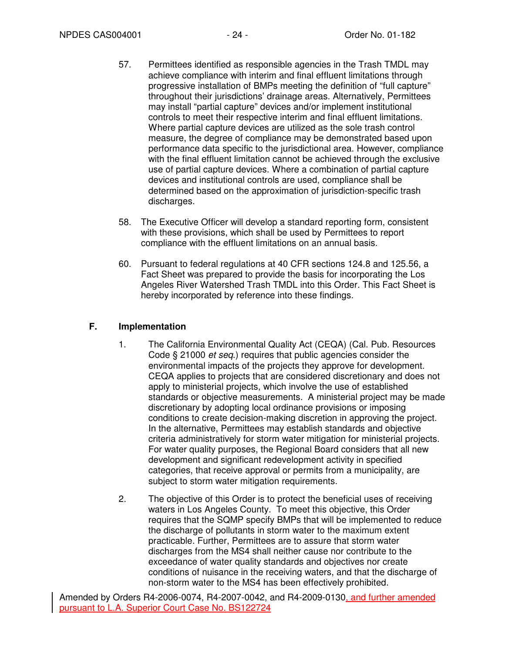- 57. Permittees identified as responsible agencies in the Trash TMDL may achieve compliance with interim and final effluent limitations through progressive installation of BMPs meeting the definition of "full capture" throughout their jurisdictions' drainage areas. Alternatively, Permittees may install "partial capture" devices and/or implement institutional controls to meet their respective interim and final effluent limitations. Where partial capture devices are utilized as the sole trash control measure, the degree of compliance may be demonstrated based upon performance data specific to the jurisdictional area. However, compliance with the final effluent limitation cannot be achieved through the exclusive use of partial capture devices. Where a combination of partial capture devices and institutional controls are used, compliance shall be determined based on the approximation of jurisdiction-specific trash discharges.
- 58. The Executive Officer will develop a standard reporting form, consistent with these provisions, which shall be used by Permittees to report compliance with the effluent limitations on an annual basis.
- 60. Pursuant to federal regulations at 40 CFR sections 124.8 and 125.56, a Fact Sheet was prepared to provide the basis for incorporating the Los Angeles River Watershed Trash TMDL into this Order. This Fact Sheet is hereby incorporated by reference into these findings.

# **F. Implementation**

- 1. The California Environmental Quality Act (CEQA) (Cal. Pub. Resources Code § 21000 et seq.) requires that public agencies consider the environmental impacts of the projects they approve for development. CEQA applies to projects that are considered discretionary and does not apply to ministerial projects, which involve the use of established standards or objective measurements. A ministerial project may be made discretionary by adopting local ordinance provisions or imposing conditions to create decision-making discretion in approving the project. In the alternative, Permittees may establish standards and objective criteria administratively for storm water mitigation for ministerial projects. For water quality purposes, the Regional Board considers that all new development and significant redevelopment activity in specified categories, that receive approval or permits from a municipality, are subject to storm water mitigation requirements.
- 2. The objective of this Order is to protect the beneficial uses of receiving waters in Los Angeles County. To meet this objective, this Order requires that the SQMP specify BMPs that will be implemented to reduce the discharge of pollutants in storm water to the maximum extent practicable. Further, Permittees are to assure that storm water discharges from the MS4 shall neither cause nor contribute to the exceedance of water quality standards and objectives nor create conditions of nuisance in the receiving waters, and that the discharge of non-storm water to the MS4 has been effectively prohibited.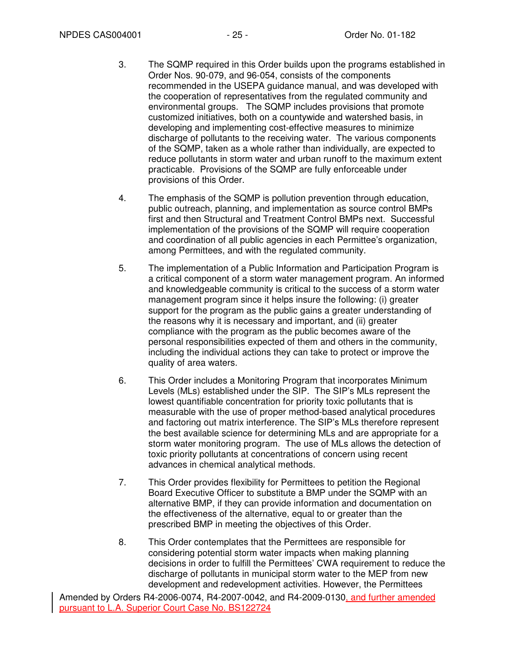- 3. The SQMP required in this Order builds upon the programs established in Order Nos. 90-079, and 96-054, consists of the components recommended in the USEPA guidance manual, and was developed with the cooperation of representatives from the regulated community and environmental groups. The SQMP includes provisions that promote customized initiatives, both on a countywide and watershed basis, in developing and implementing cost-effective measures to minimize discharge of pollutants to the receiving water. The various components of the SQMP, taken as a whole rather than individually, are expected to reduce pollutants in storm water and urban runoff to the maximum extent practicable. Provisions of the SQMP are fully enforceable under provisions of this Order.
- 4. The emphasis of the SQMP is pollution prevention through education, public outreach, planning, and implementation as source control BMPs first and then Structural and Treatment Control BMPs next. Successful implementation of the provisions of the SQMP will require cooperation and coordination of all public agencies in each Permittee's organization, among Permittees, and with the regulated community.
- 5. The implementation of a Public Information and Participation Program is a critical component of a storm water management program. An informed and knowledgeable community is critical to the success of a storm water management program since it helps insure the following: (i) greater support for the program as the public gains a greater understanding of the reasons why it is necessary and important, and (ii) greater compliance with the program as the public becomes aware of the personal responsibilities expected of them and others in the community, including the individual actions they can take to protect or improve the quality of area waters.
- 6. This Order includes a Monitoring Program that incorporates Minimum Levels (MLs) established under the SIP. The SIP's MLs represent the lowest quantifiable concentration for priority toxic pollutants that is measurable with the use of proper method-based analytical procedures and factoring out matrix interference. The SIP's MLs therefore represent the best available science for determining MLs and are appropriate for a storm water monitoring program. The use of MLs allows the detection of toxic priority pollutants at concentrations of concern using recent advances in chemical analytical methods.
- 7. This Order provides flexibility for Permittees to petition the Regional Board Executive Officer to substitute a BMP under the SQMP with an alternative BMP, if they can provide information and documentation on the effectiveness of the alternative, equal to or greater than the prescribed BMP in meeting the objectives of this Order.
- 8. This Order contemplates that the Permittees are responsible for considering potential storm water impacts when making planning decisions in order to fulfill the Permittees' CWA requirement to reduce the discharge of pollutants in municipal storm water to the MEP from new development and redevelopment activities. However, the Permittees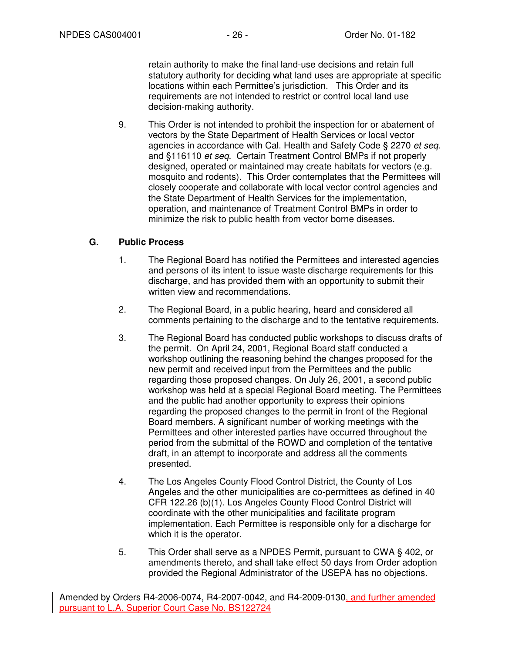retain authority to make the final land-use decisions and retain full statutory authority for deciding what land uses are appropriate at specific locations within each Permittee's jurisdiction. This Order and its requirements are not intended to restrict or control local land use decision-making authority.

9. This Order is not intended to prohibit the inspection for or abatement of vectors by the State Department of Health Services or local vector agencies in accordance with Cal. Health and Safety Code § 2270 et seq. and §116110 et seq. Certain Treatment Control BMPs if not properly designed, operated or maintained may create habitats for vectors (e.g. mosquito and rodents). This Order contemplates that the Permittees will closely cooperate and collaborate with local vector control agencies and the State Department of Health Services for the implementation, operation, and maintenance of Treatment Control BMPs in order to minimize the risk to public health from vector borne diseases.

# **G. Public Process**

- 1. The Regional Board has notified the Permittees and interested agencies and persons of its intent to issue waste discharge requirements for this discharge, and has provided them with an opportunity to submit their written view and recommendations.
- 2. The Regional Board, in a public hearing, heard and considered all comments pertaining to the discharge and to the tentative requirements.
- 3. The Regional Board has conducted public workshops to discuss drafts of the permit. On April 24, 2001, Regional Board staff conducted a workshop outlining the reasoning behind the changes proposed for the new permit and received input from the Permittees and the public regarding those proposed changes. On July 26, 2001, a second public workshop was held at a special Regional Board meeting. The Permittees and the public had another opportunity to express their opinions regarding the proposed changes to the permit in front of the Regional Board members. A significant number of working meetings with the Permittees and other interested parties have occurred throughout the period from the submittal of the ROWD and completion of the tentative draft, in an attempt to incorporate and address all the comments presented.
- 4. The Los Angeles County Flood Control District, the County of Los Angeles and the other municipalities are co-permittees as defined in 40 CFR 122.26 (b)(1). Los Angeles County Flood Control District will coordinate with the other municipalities and facilitate program implementation. Each Permittee is responsible only for a discharge for which it is the operator.
- 5. This Order shall serve as a NPDES Permit, pursuant to CWA § 402, or amendments thereto, and shall take effect 50 days from Order adoption provided the Regional Administrator of the USEPA has no objections.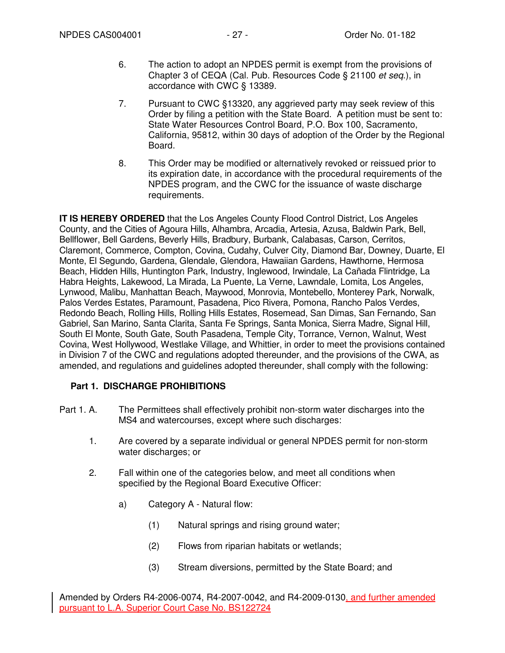- 6. The action to adopt an NPDES permit is exempt from the provisions of Chapter 3 of CEQA (Cal. Pub. Resources Code § 21100 et seq.), in accordance with CWC § 13389.
- 7. Pursuant to CWC §13320, any aggrieved party may seek review of this Order by filing a petition with the State Board. A petition must be sent to: State Water Resources Control Board, P.O. Box 100, Sacramento, California, 95812, within 30 days of adoption of the Order by the Regional Board.
- 8. This Order may be modified or alternatively revoked or reissued prior to its expiration date, in accordance with the procedural requirements of the NPDES program, and the CWC for the issuance of waste discharge requirements.

**IT IS HEREBY ORDERED** that the Los Angeles County Flood Control District, Los Angeles County, and the Cities of Agoura Hills, Alhambra, Arcadia, Artesia, Azusa, Baldwin Park, Bell, Bellflower, Bell Gardens, Beverly Hills, Bradbury, Burbank, Calabasas, Carson, Cerritos, Claremont, Commerce, Compton, Covina, Cudahy, Culver City, Diamond Bar, Downey, Duarte, El Monte, El Segundo, Gardena, Glendale, Glendora, Hawaiian Gardens, Hawthorne, Hermosa Beach, Hidden Hills, Huntington Park, Industry, Inglewood, Irwindale, La Cañada Flintridge, La Habra Heights, Lakewood, La Mirada, La Puente, La Verne, Lawndale, Lomita, Los Angeles, Lynwood, Malibu, Manhattan Beach, Maywood, Monrovia, Montebello, Monterey Park, Norwalk, Palos Verdes Estates, Paramount, Pasadena, Pico Rivera, Pomona, Rancho Palos Verdes, Redondo Beach, Rolling Hills, Rolling Hills Estates, Rosemead, San Dimas, San Fernando, San Gabriel, San Marino, Santa Clarita, Santa Fe Springs, Santa Monica, Sierra Madre, Signal Hill, South El Monte, South Gate, South Pasadena, Temple City, Torrance, Vernon, Walnut, West Covina, West Hollywood, Westlake Village, and Whittier, in order to meet the provisions contained in Division 7 of the CWC and regulations adopted thereunder, and the provisions of the CWA, as amended, and regulations and guidelines adopted thereunder, shall comply with the following:

# **Part 1. DISCHARGE PROHIBITIONS**

- Part 1. A. The Permittees shall effectively prohibit non-storm water discharges into the MS4 and watercourses, except where such discharges:
	- 1. Are covered by a separate individual or general NPDES permit for non-storm water discharges; or
	- 2. Fall within one of the categories below, and meet all conditions when specified by the Regional Board Executive Officer:
		- a) Category A Natural flow:
			- (1) Natural springs and rising ground water;
			- (2) Flows from riparian habitats or wetlands;
			- (3) Stream diversions, permitted by the State Board; and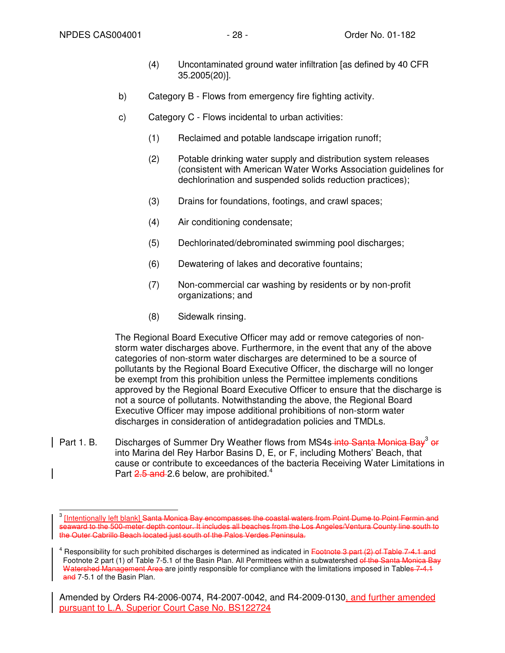- (4) Uncontaminated ground water infiltration [as defined by 40 CFR 35.2005(20)].
- b) Category B Flows from emergency fire fighting activity.
- c) Category C Flows incidental to urban activities:
	- (1) Reclaimed and potable landscape irrigation runoff;
	- (2) Potable drinking water supply and distribution system releases (consistent with American Water Works Association guidelines for dechlorination and suspended solids reduction practices);
	- (3) Drains for foundations, footings, and crawl spaces;
	- (4) Air conditioning condensate;
	- (5) Dechlorinated/debrominated swimming pool discharges;
	- (6) Dewatering of lakes and decorative fountains;
	- (7) Non-commercial car washing by residents or by non-profit organizations; and
	- (8) Sidewalk rinsing.

The Regional Board Executive Officer may add or remove categories of nonstorm water discharges above. Furthermore, in the event that any of the above categories of non-storm water discharges are determined to be a source of pollutants by the Regional Board Executive Officer, the discharge will no longer be exempt from this prohibition unless the Permittee implements conditions approved by the Regional Board Executive Officer to ensure that the discharge is not a source of pollutants. Notwithstanding the above, the Regional Board Executive Officer may impose additional prohibitions of non-storm water discharges in consideration of antidegradation policies and TMDLs.

Part 1. B. Discharges of Summer Dry Weather flows from MS4s-into Santa Monica Bay<sup>3</sup> or into Marina del Rey Harbor Basins D, E, or F, including Mothers' Beach, that cause or contribute to exceedances of the bacteria Receiving Water Limitations in Part 2.5 and 2.6 below, are prohibited.<sup>4</sup>

<sup>&</sup>lt;sup>3</sup> [Intentionally left blank] Santa Monica Bay encompasses the coastal waters from Point Dume to Point Fermin and seaward to the 500-meter depth contour. It includes all beaches from the Los Angeles/Ventura County line south to the Outer Cabrillo Beach located just south of the Palos Verdes Peninsula.

<sup>&</sup>lt;sup>4</sup> Responsibility for such prohibited discharges is determined as indicated in <del>Footnote 3 part (2) of Table 7-4.1 and</del> Footnote 2 part (1) of Table 7-5.1 of the Basin Plan. All Permittees within a subwatershed of the Santa Monica Bay Watershed Management Area are jointly responsible for compliance with the limitations imposed in Tables 7-4.1 and 7-5.1 of the Basin Plan.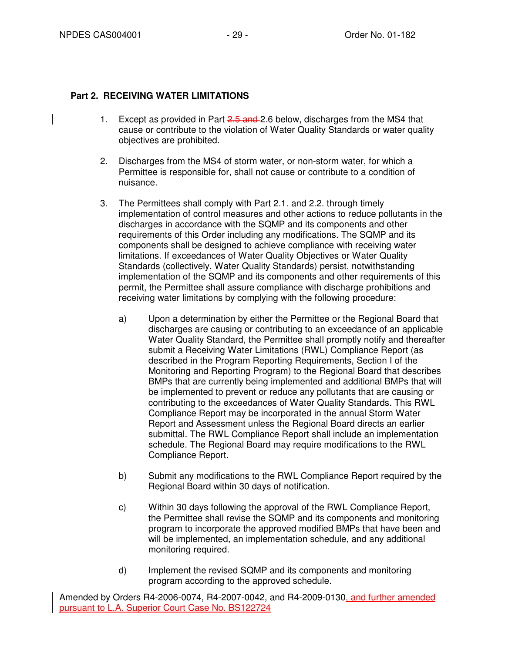# **Part 2. RECEIVING WATER LIMITATIONS**

- 1. Except as provided in Part 2.5 and 2.6 below, discharges from the MS4 that cause or contribute to the violation of Water Quality Standards or water quality objectives are prohibited.
- 2. Discharges from the MS4 of storm water, or non-storm water, for which a Permittee is responsible for, shall not cause or contribute to a condition of nuisance.
- 3. The Permittees shall comply with Part 2.1. and 2.2. through timely implementation of control measures and other actions to reduce pollutants in the discharges in accordance with the SQMP and its components and other requirements of this Order including any modifications. The SQMP and its components shall be designed to achieve compliance with receiving water limitations. If exceedances of Water Quality Objectives or Water Quality Standards (collectively, Water Quality Standards) persist, notwithstanding implementation of the SQMP and its components and other requirements of this permit, the Permittee shall assure compliance with discharge prohibitions and receiving water limitations by complying with the following procedure:
	- a) Upon a determination by either the Permittee or the Regional Board that discharges are causing or contributing to an exceedance of an applicable Water Quality Standard, the Permittee shall promptly notify and thereafter submit a Receiving Water Limitations (RWL) Compliance Report (as described in the Program Reporting Requirements, Section I of the Monitoring and Reporting Program) to the Regional Board that describes BMPs that are currently being implemented and additional BMPs that will be implemented to prevent or reduce any pollutants that are causing or contributing to the exceedances of Water Quality Standards. This RWL Compliance Report may be incorporated in the annual Storm Water Report and Assessment unless the Regional Board directs an earlier submittal. The RWL Compliance Report shall include an implementation schedule. The Regional Board may require modifications to the RWL Compliance Report.
	- b) Submit any modifications to the RWL Compliance Report required by the Regional Board within 30 days of notification.
	- c) Within 30 days following the approval of the RWL Compliance Report, the Permittee shall revise the SQMP and its components and monitoring program to incorporate the approved modified BMPs that have been and will be implemented, an implementation schedule, and any additional monitoring required.
	- d) Implement the revised SQMP and its components and monitoring program according to the approved schedule.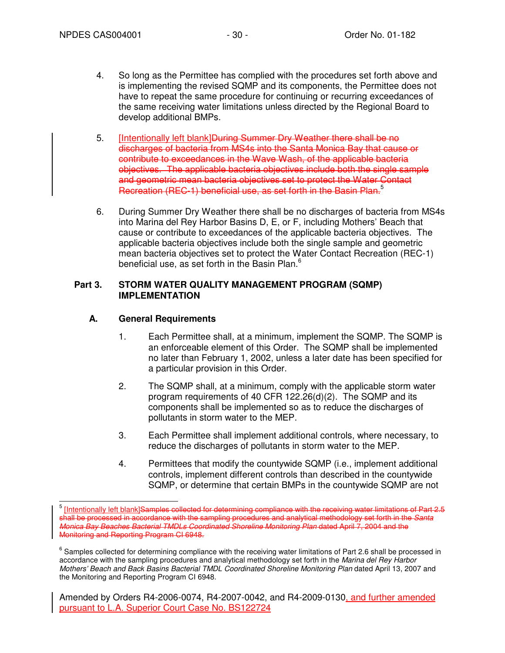- 4. So long as the Permittee has complied with the procedures set forth above and is implementing the revised SQMP and its components, the Permittee does not have to repeat the same procedure for continuing or recurring exceedances of the same receiving water limitations unless directed by the Regional Board to develop additional BMPs.
- 5. **Intentionally left blank]<del>During Summer Dry Weather there shall be no</del>** discharges of bacteria from MS4s into the Santa Monica Bay that cause or contribute to exceedances in the Wave Wash, of the applicable bacteria objectives. The applicable bacteria objectives include both the single sample and geometric mean bacteria objectives set to protect the Water Contact Recreation (REC-1) beneficial use, as set forth in the Basin Plan.<sup>5</sup>
- 6. During Summer Dry Weather there shall be no discharges of bacteria from MS4s into Marina del Rey Harbor Basins D, E, or F, including Mothers' Beach that cause or contribute to exceedances of the applicable bacteria objectives. The applicable bacteria objectives include both the single sample and geometric mean bacteria objectives set to protect the Water Contact Recreation (REC-1) beneficial use, as set forth in the Basin Plan.<sup>6</sup>

# **Part 3. STORM WATER QUALITY MANAGEMENT PROGRAM (SQMP) IMPLEMENTATION**

# **A. General Requirements**

- 1. Each Permittee shall, at a minimum, implement the SQMP. The SQMP is an enforceable element of this Order. The SQMP shall be implemented no later than February 1, 2002, unless a later date has been specified for a particular provision in this Order.
- 2. The SQMP shall, at a minimum, comply with the applicable storm water program requirements of 40 CFR 122.26(d)(2). The SQMP and its components shall be implemented so as to reduce the discharges of pollutants in storm water to the MEP.
- 3. Each Permittee shall implement additional controls, where necessary, to reduce the discharges of pollutants in storm water to the MEP.
- 4. Permittees that modify the countywide SQMP (i.e., implement additional controls, implement different controls than described in the countywide SQMP, or determine that certain BMPs in the countywide SQMP are not

 5 [Intentionally left blank]Samples collected for determining compliance with the receiving water limitations of Part 2.5 shall be processed in accordance with the sampling procedures and analytical methodology set forth in the Santa Monica Bay Beaches Bacterial TMDLs Coordinated Shoreline Monitoring Plan dated April 7, 2004 and the Monitoring and Reporting Program CI 6948.

 $^6$  Samples collected for determining compliance with the receiving water limitations of Part 2.6 shall be processed in accordance with the sampling procedures and analytical methodology set forth in the Marina del Rey Harbor Mothers' Beach and Back Basins Bacterial TMDL Coordinated Shoreline Monitoring Plan dated April 13, 2007 and the Monitoring and Reporting Program CI 6948.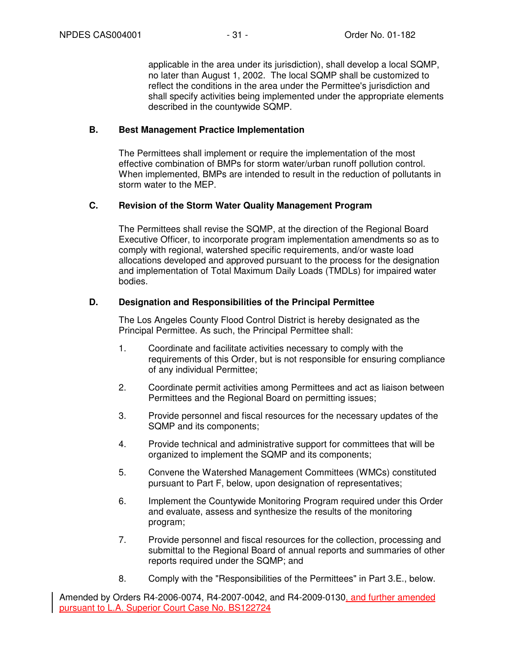applicable in the area under its jurisdiction), shall develop a local SQMP, no later than August 1, 2002. The local SQMP shall be customized to reflect the conditions in the area under the Permittee's jurisdiction and shall specify activities being implemented under the appropriate elements described in the countywide SQMP.

# **B. Best Management Practice Implementation**

The Permittees shall implement or require the implementation of the most effective combination of BMPs for storm water/urban runoff pollution control. When implemented, BMPs are intended to result in the reduction of pollutants in storm water to the MEP.

# **C. Revision of the Storm Water Quality Management Program**

The Permittees shall revise the SQMP, at the direction of the Regional Board Executive Officer, to incorporate program implementation amendments so as to comply with regional, watershed specific requirements, and/or waste load allocations developed and approved pursuant to the process for the designation and implementation of Total Maximum Daily Loads (TMDLs) for impaired water bodies.

# **D. Designation and Responsibilities of the Principal Permittee**

The Los Angeles County Flood Control District is hereby designated as the Principal Permittee. As such, the Principal Permittee shall:

- 1. Coordinate and facilitate activities necessary to comply with the requirements of this Order, but is not responsible for ensuring compliance of any individual Permittee;
- 2. Coordinate permit activities among Permittees and act as liaison between Permittees and the Regional Board on permitting issues;
- 3. Provide personnel and fiscal resources for the necessary updates of the SQMP and its components;
- 4. Provide technical and administrative support for committees that will be organized to implement the SQMP and its components;
- 5. Convene the Watershed Management Committees (WMCs) constituted pursuant to Part F, below, upon designation of representatives;
- 6. Implement the Countywide Monitoring Program required under this Order and evaluate, assess and synthesize the results of the monitoring program;
- 7. Provide personnel and fiscal resources for the collection, processing and submittal to the Regional Board of annual reports and summaries of other reports required under the SQMP; and
- 8. Comply with the "Responsibilities of the Permittees" in Part 3.E., below.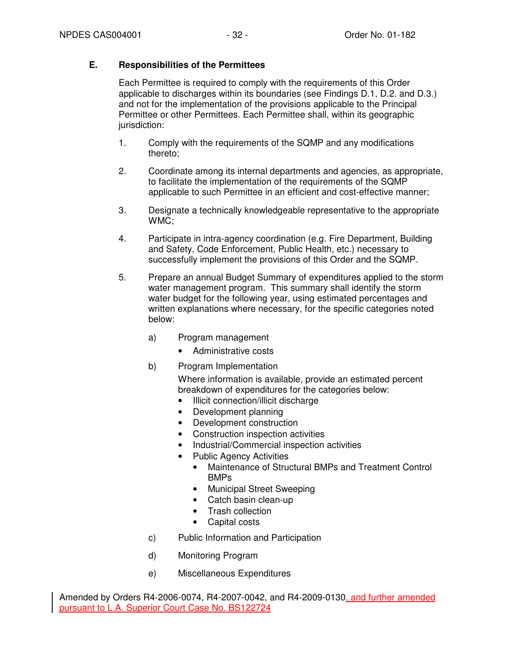# **E. Responsibilities of the Permittees**

Each Permittee is required to comply with the requirements of this Order applicable to discharges within its boundaries (see Findings D.1, D.2. and D.3.) and not for the implementation of the provisions applicable to the Principal Permittee or other Permittees. Each Permittee shall, within its geographic jurisdiction:

- 1. Comply with the requirements of the SQMP and any modifications thereto;
- 2. Coordinate among its internal departments and agencies, as appropriate, to facilitate the implementation of the requirements of the SQMP applicable to such Permittee in an efficient and cost-effective manner;
- 3. Designate a technically knowledgeable representative to the appropriate WMC;
- 4. Participate in intra-agency coordination (e.g. Fire Department, Building and Safety, Code Enforcement, Public Health, etc.) necessary to successfully implement the provisions of this Order and the SQMP.
- 5. Prepare an annual Budget Summary of expenditures applied to the storm water management program. This summary shall identify the storm water budget for the following year, using estimated percentages and written explanations where necessary, for the specific categories noted below:
	- a) Program management
		- Administrative costs
	- b) Program Implementation

Where information is available, provide an estimated percent breakdown of expenditures for the categories below:

- Illicit connection/illicit discharge
- Development planning
- Development construction
- Construction inspection activities
- Industrial/Commercial inspection activities
- Public Agency Activities
	- Maintenance of Structural BMPs and Treatment Control BMPs
	- Municipal Street Sweeping
	- Catch basin clean-up
	- Trash collection
	- Capital costs
- c) Public Information and Participation
- d) Monitoring Program
- e) Miscellaneous Expenditures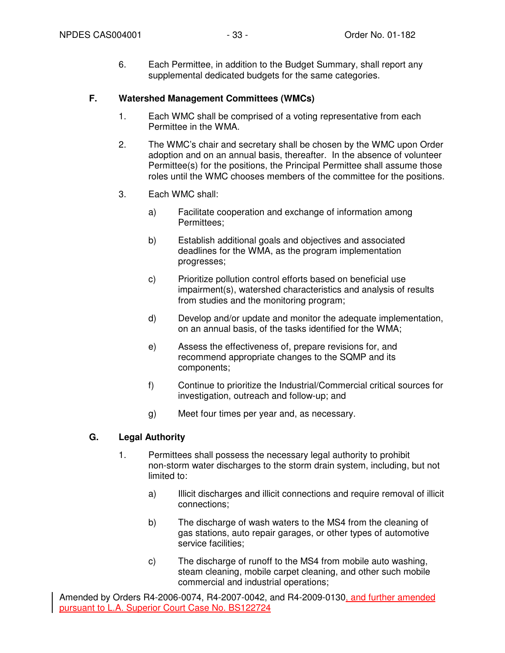6. Each Permittee, in addition to the Budget Summary, shall report any supplemental dedicated budgets for the same categories.

# **F. Watershed Management Committees (WMCs)**

- 1. Each WMC shall be comprised of a voting representative from each Permittee in the WMA.
- 2. The WMC's chair and secretary shall be chosen by the WMC upon Order adoption and on an annual basis, thereafter. In the absence of volunteer Permittee(s) for the positions, the Principal Permittee shall assume those roles until the WMC chooses members of the committee for the positions.
- 3. Each WMC shall:
	- a) Facilitate cooperation and exchange of information among Permittees;
	- b) Establish additional goals and objectives and associated deadlines for the WMA, as the program implementation progresses;
	- c) Prioritize pollution control efforts based on beneficial use impairment(s), watershed characteristics and analysis of results from studies and the monitoring program;
	- d) Develop and/or update and monitor the adequate implementation, on an annual basis, of the tasks identified for the WMA;
	- e) Assess the effectiveness of, prepare revisions for, and recommend appropriate changes to the SQMP and its components;
	- f) Continue to prioritize the Industrial/Commercial critical sources for investigation, outreach and follow-up; and
	- g) Meet four times per year and, as necessary.

### **G. Legal Authority**

- 1. Permittees shall possess the necessary legal authority to prohibit non-storm water discharges to the storm drain system, including, but not limited to:
	- a) Illicit discharges and illicit connections and require removal of illicit connections;
	- b) The discharge of wash waters to the MS4 from the cleaning of gas stations, auto repair garages, or other types of automotive service facilities;
	- c) The discharge of runoff to the MS4 from mobile auto washing, steam cleaning, mobile carpet cleaning, and other such mobile commercial and industrial operations;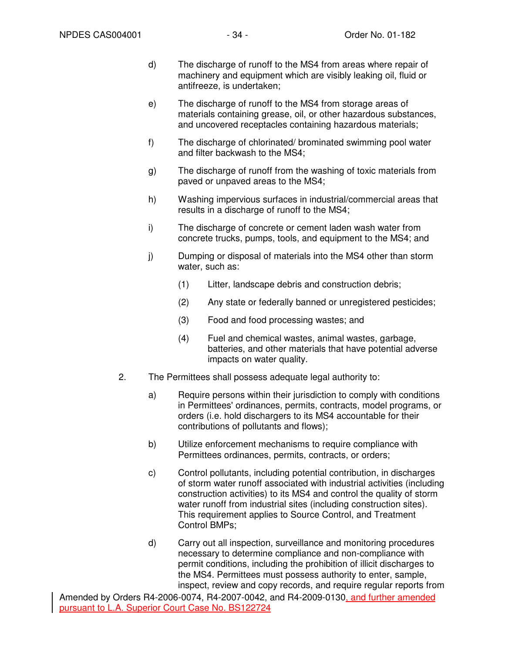- d) The discharge of runoff to the MS4 from areas where repair of machinery and equipment which are visibly leaking oil, fluid or antifreeze, is undertaken;
- e) The discharge of runoff to the MS4 from storage areas of materials containing grease, oil, or other hazardous substances, and uncovered receptacles containing hazardous materials;
- f) The discharge of chlorinated/ brominated swimming pool water and filter backwash to the MS4;
- g) The discharge of runoff from the washing of toxic materials from paved or unpaved areas to the MS4;
- h) Washing impervious surfaces in industrial/commercial areas that results in a discharge of runoff to the MS4;
- i) The discharge of concrete or cement laden wash water from concrete trucks, pumps, tools, and equipment to the MS4; and
- j) Dumping or disposal of materials into the MS4 other than storm water, such as:
	- (1) Litter, landscape debris and construction debris;
	- (2) Any state or federally banned or unregistered pesticides;
	- (3) Food and food processing wastes; and
	- (4) Fuel and chemical wastes, animal wastes, garbage, batteries, and other materials that have potential adverse impacts on water quality.
- 2. The Permittees shall possess adequate legal authority to:
	- a) Require persons within their jurisdiction to comply with conditions in Permittees' ordinances, permits, contracts, model programs, or orders (i.e. hold dischargers to its MS4 accountable for their contributions of pollutants and flows);
	- b) Utilize enforcement mechanisms to require compliance with Permittees ordinances, permits, contracts, or orders;
	- c) Control pollutants, including potential contribution, in discharges of storm water runoff associated with industrial activities (including construction activities) to its MS4 and control the quality of storm water runoff from industrial sites (including construction sites). This requirement applies to Source Control, and Treatment Control BMPs;
	- d) Carry out all inspection, surveillance and monitoring procedures necessary to determine compliance and non-compliance with permit conditions, including the prohibition of illicit discharges to the MS4. Permittees must possess authority to enter, sample, inspect, review and copy records, and require regular reports from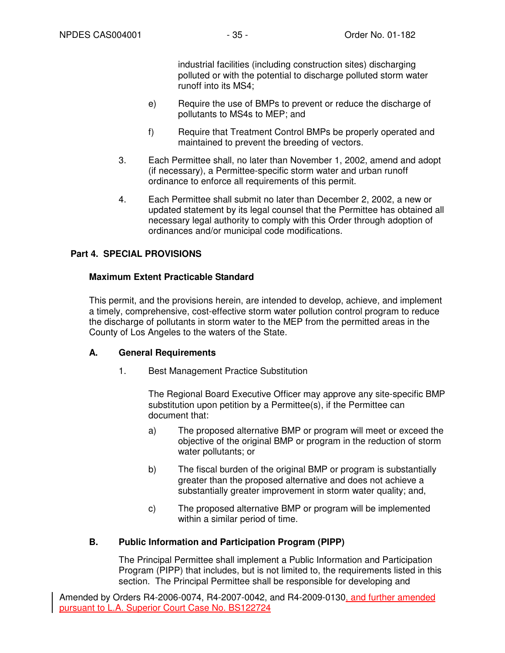industrial facilities (including construction sites) discharging polluted or with the potential to discharge polluted storm water runoff into its MS4;

- e) Require the use of BMPs to prevent or reduce the discharge of pollutants to MS4s to MEP; and
- f) Require that Treatment Control BMPs be properly operated and maintained to prevent the breeding of vectors.
- 3. Each Permittee shall, no later than November 1, 2002, amend and adopt (if necessary), a Permittee-specific storm water and urban runoff ordinance to enforce all requirements of this permit.
- 4. Each Permittee shall submit no later than December 2, 2002, a new or updated statement by its legal counsel that the Permittee has obtained all necessary legal authority to comply with this Order through adoption of ordinances and/or municipal code modifications.

# **Part 4. SPECIAL PROVISIONS**

### **Maximum Extent Practicable Standard**

This permit, and the provisions herein, are intended to develop, achieve, and implement a timely, comprehensive, cost-effective storm water pollution control program to reduce the discharge of pollutants in storm water to the MEP from the permitted areas in the County of Los Angeles to the waters of the State.

### **A. General Requirements**

1. Best Management Practice Substitution

The Regional Board Executive Officer may approve any site-specific BMP substitution upon petition by a Permittee(s), if the Permittee can document that:

- a) The proposed alternative BMP or program will meet or exceed the objective of the original BMP or program in the reduction of storm water pollutants; or
- b) The fiscal burden of the original BMP or program is substantially greater than the proposed alternative and does not achieve a substantially greater improvement in storm water quality; and,
- c) The proposed alternative BMP or program will be implemented within a similar period of time.

# **B. Public Information and Participation Program (PIPP)**

The Principal Permittee shall implement a Public Information and Participation Program (PIPP) that includes, but is not limited to, the requirements listed in this section. The Principal Permittee shall be responsible for developing and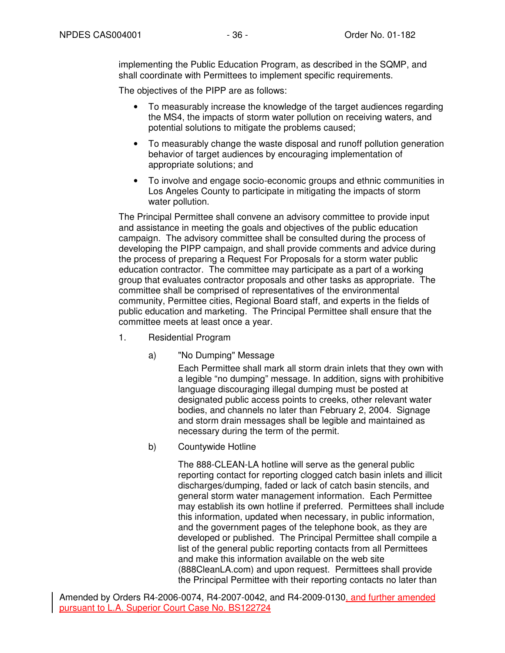implementing the Public Education Program, as described in the SQMP, and shall coordinate with Permittees to implement specific requirements.

The objectives of the PIPP are as follows:

- To measurably increase the knowledge of the target audiences regarding the MS4, the impacts of storm water pollution on receiving waters, and potential solutions to mitigate the problems caused;
- To measurably change the waste disposal and runoff pollution generation behavior of target audiences by encouraging implementation of appropriate solutions; and
- To involve and engage socio-economic groups and ethnic communities in Los Angeles County to participate in mitigating the impacts of storm water pollution.

The Principal Permittee shall convene an advisory committee to provide input and assistance in meeting the goals and objectives of the public education campaign. The advisory committee shall be consulted during the process of developing the PIPP campaign, and shall provide comments and advice during the process of preparing a Request For Proposals for a storm water public education contractor. The committee may participate as a part of a working group that evaluates contractor proposals and other tasks as appropriate. The committee shall be comprised of representatives of the environmental community, Permittee cities, Regional Board staff, and experts in the fields of public education and marketing. The Principal Permittee shall ensure that the committee meets at least once a year.

- 1. Residential Program
	- a) "No Dumping" Message

Each Permittee shall mark all storm drain inlets that they own with a legible "no dumping" message. In addition, signs with prohibitive language discouraging illegal dumping must be posted at designated public access points to creeks, other relevant water bodies, and channels no later than February 2, 2004. Signage and storm drain messages shall be legible and maintained as necessary during the term of the permit.

b) Countywide Hotline

The 888-CLEAN-LA hotline will serve as the general public reporting contact for reporting clogged catch basin inlets and illicit discharges/dumping, faded or lack of catch basin stencils, and general storm water management information. Each Permittee may establish its own hotline if preferred. Permittees shall include this information, updated when necessary, in public information, and the government pages of the telephone book, as they are developed or published. The Principal Permittee shall compile a list of the general public reporting contacts from all Permittees and make this information available on the web site (888CleanLA.com) and upon request. Permittees shall provide the Principal Permittee with their reporting contacts no later than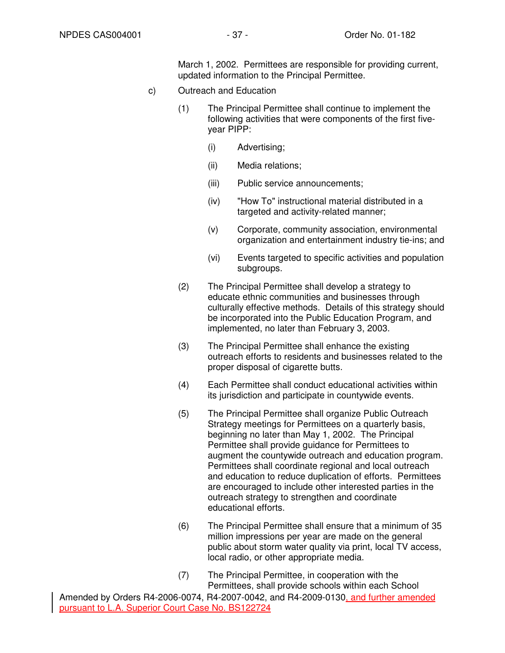March 1, 2002. Permittees are responsible for providing current, updated information to the Principal Permittee.

- c) Outreach and Education
	- (1) The Principal Permittee shall continue to implement the following activities that were components of the first fiveyear PIPP:
		- (i) Advertising;
		- (ii) Media relations;
		- (iii) Public service announcements;
		- (iv) "How To" instructional material distributed in a targeted and activity-related manner;
		- (v) Corporate, community association, environmental organization and entertainment industry tie-ins; and
		- (vi) Events targeted to specific activities and population subgroups.
	- (2) The Principal Permittee shall develop a strategy to educate ethnic communities and businesses through culturally effective methods. Details of this strategy should be incorporated into the Public Education Program, and implemented, no later than February 3, 2003.
	- (3) The Principal Permittee shall enhance the existing outreach efforts to residents and businesses related to the proper disposal of cigarette butts.
	- (4) Each Permittee shall conduct educational activities within its jurisdiction and participate in countywide events.
	- (5) The Principal Permittee shall organize Public Outreach Strategy meetings for Permittees on a quarterly basis, beginning no later than May 1, 2002. The Principal Permittee shall provide guidance for Permittees to augment the countywide outreach and education program. Permittees shall coordinate regional and local outreach and education to reduce duplication of efforts. Permittees are encouraged to include other interested parties in the outreach strategy to strengthen and coordinate educational efforts.
	- (6) The Principal Permittee shall ensure that a minimum of 35 million impressions per year are made on the general public about storm water quality via print, local TV access, local radio, or other appropriate media.
	- (7) The Principal Permittee, in cooperation with the Permittees, shall provide schools within each School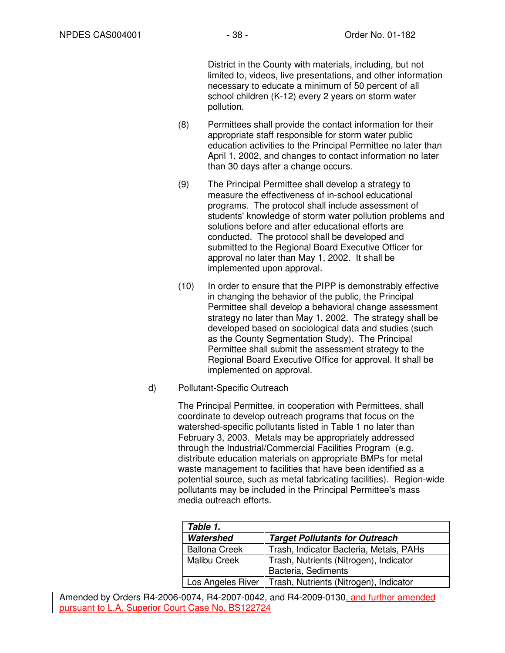District in the County with materials, including, but not limited to, videos, live presentations, and other information necessary to educate a minimum of 50 percent of all school children (K-12) every 2 years on storm water pollution.

- (8) Permittees shall provide the contact information for their appropriate staff responsible for storm water public education activities to the Principal Permittee no later than April 1, 2002, and changes to contact information no later than 30 days after a change occurs.
- (9) The Principal Permittee shall develop a strategy to measure the effectiveness of in-school educational programs. The protocol shall include assessment of students' knowledge of storm water pollution problems and solutions before and after educational efforts are conducted. The protocol shall be developed and submitted to the Regional Board Executive Officer for approval no later than May 1, 2002. It shall be implemented upon approval.
- (10) In order to ensure that the PIPP is demonstrably effective in changing the behavior of the public, the Principal Permittee shall develop a behavioral change assessment strategy no later than May 1, 2002. The strategy shall be developed based on sociological data and studies (such as the County Segmentation Study). The Principal Permittee shall submit the assessment strategy to the Regional Board Executive Office for approval. It shall be implemented on approval.
- d) Pollutant-Specific Outreach

The Principal Permittee, in cooperation with Permittees, shall coordinate to develop outreach programs that focus on the watershed-specific pollutants listed in Table 1 no later than February 3, 2003. Metals may be appropriately addressed through the Industrial/Commercial Facilities Program (e.g. distribute education materials on appropriate BMPs for metal waste management to facilities that have been identified as a potential source, such as metal fabricating facilities). Region-wide pollutants may be included in the Principal Permittee's mass media outreach efforts.

| Table 1.             |                                         |
|----------------------|-----------------------------------------|
| Watershed            | <b>Target Pollutants for Outreach</b>   |
| <b>Ballona Creek</b> | Trash, Indicator Bacteria, Metals, PAHs |
| <b>Malibu Creek</b>  | Trash, Nutrients (Nitrogen), Indicator  |
|                      | Bacteria, Sediments                     |
| Los Angeles River    | Trash, Nutrients (Nitrogen), Indicator  |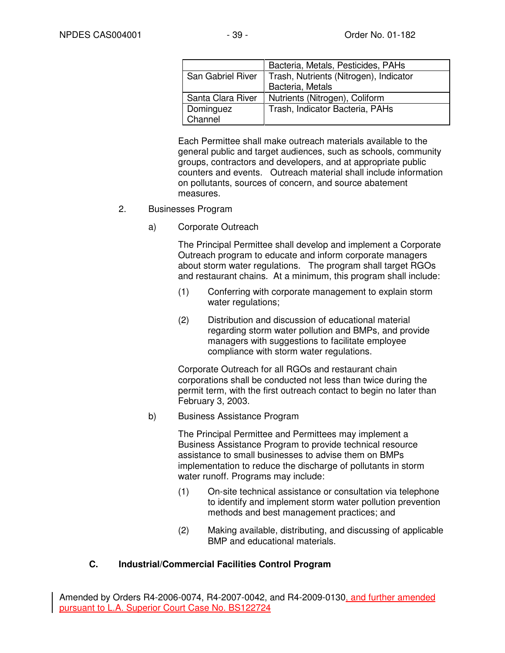|                   | Bacteria, Metals, Pesticides, PAHs     |
|-------------------|----------------------------------------|
| San Gabriel River | Trash, Nutrients (Nitrogen), Indicator |
|                   | Bacteria, Metals                       |
| Santa Clara River | Nutrients (Nitrogen), Coliform         |
| Dominguez         | Trash, Indicator Bacteria, PAHs        |
| Channel           |                                        |

Each Permittee shall make outreach materials available to the general public and target audiences, such as schools, community groups, contractors and developers, and at appropriate public counters and events. Outreach material shall include information on pollutants, sources of concern, and source abatement measures.

#### 2. Businesses Program

a) Corporate Outreach

The Principal Permittee shall develop and implement a Corporate Outreach program to educate and inform corporate managers about storm water regulations. The program shall target RGOs and restaurant chains. At a minimum, this program shall include:

- (1) Conferring with corporate management to explain storm water regulations:
- (2) Distribution and discussion of educational material regarding storm water pollution and BMPs, and provide managers with suggestions to facilitate employee compliance with storm water regulations.

Corporate Outreach for all RGOs and restaurant chain corporations shall be conducted not less than twice during the permit term, with the first outreach contact to begin no later than February 3, 2003.

b) Business Assistance Program

The Principal Permittee and Permittees may implement a Business Assistance Program to provide technical resource assistance to small businesses to advise them on BMPs implementation to reduce the discharge of pollutants in storm water runoff. Programs may include:

- (1) On-site technical assistance or consultation via telephone to identify and implement storm water pollution prevention methods and best management practices; and
- (2) Making available, distributing, and discussing of applicable BMP and educational materials.

### **C. Industrial/Commercial Facilities Control Program**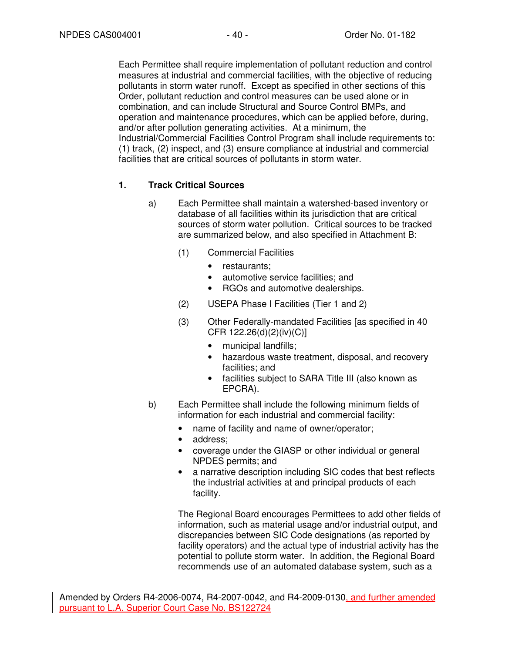Each Permittee shall require implementation of pollutant reduction and control measures at industrial and commercial facilities, with the objective of reducing pollutants in storm water runoff. Except as specified in other sections of this Order, pollutant reduction and control measures can be used alone or in combination, and can include Structural and Source Control BMPs, and operation and maintenance procedures, which can be applied before, during, and/or after pollution generating activities. At a minimum, the Industrial/Commercial Facilities Control Program shall include requirements to: (1) track, (2) inspect, and (3) ensure compliance at industrial and commercial facilities that are critical sources of pollutants in storm water.

# **1. Track Critical Sources**

- a) Each Permittee shall maintain a watershed-based inventory or database of all facilities within its jurisdiction that are critical sources of storm water pollution. Critical sources to be tracked are summarized below, and also specified in Attachment B:
	- (1) Commercial Facilities
		- restaurants;
		- automotive service facilities; and
		- RGOs and automotive dealerships.
	- (2) USEPA Phase I Facilities (Tier 1 and 2)
	- (3) Other Federally-mandated Facilities [as specified in 40 CFR 122.26(d)(2)(iv)(C)]
		- municipal landfills;
		- hazardous waste treatment, disposal, and recovery facilities; and
		- facilities subject to SARA Title III (also known as EPCRA).
- b) Each Permittee shall include the following minimum fields of information for each industrial and commercial facility:
	- name of facility and name of owner/operator;
	- address:
	- coverage under the GIASP or other individual or general NPDES permits; and
	- a narrative description including SIC codes that best reflects the industrial activities at and principal products of each facility.

The Regional Board encourages Permittees to add other fields of information, such as material usage and/or industrial output, and discrepancies between SIC Code designations (as reported by facility operators) and the actual type of industrial activity has the potential to pollute storm water. In addition, the Regional Board recommends use of an automated database system, such as a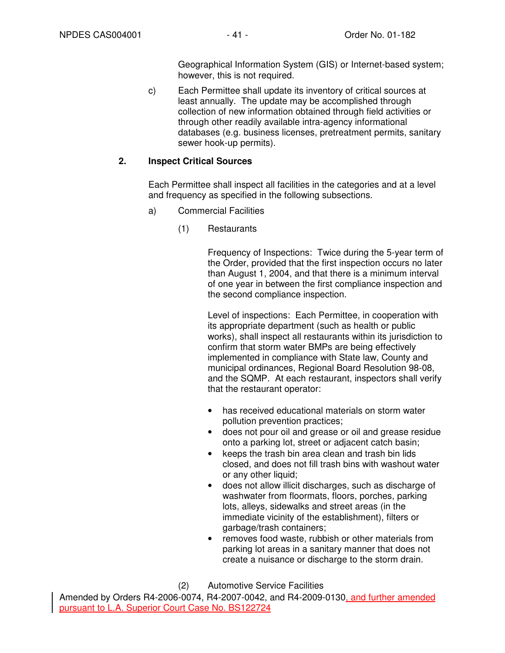Geographical Information System (GIS) or Internet-based system; however, this is not required.

c) Each Permittee shall update its inventory of critical sources at least annually. The update may be accomplished through collection of new information obtained through field activities or through other readily available intra-agency informational databases (e.g. business licenses, pretreatment permits, sanitary sewer hook-up permits).

### **2. Inspect Critical Sources**

Each Permittee shall inspect all facilities in the categories and at a level and frequency as specified in the following subsections.

- a) Commercial Facilities
	- (1) Restaurants

Frequency of Inspections: Twice during the 5-year term of the Order, provided that the first inspection occurs no later than August 1, 2004, and that there is a minimum interval of one year in between the first compliance inspection and the second compliance inspection.

Level of inspections: Each Permittee, in cooperation with its appropriate department (such as health or public works), shall inspect all restaurants within its jurisdiction to confirm that storm water BMPs are being effectively implemented in compliance with State law, County and municipal ordinances, Regional Board Resolution 98-08, and the SQMP. At each restaurant, inspectors shall verify that the restaurant operator:

- has received educational materials on storm water pollution prevention practices;
- does not pour oil and grease or oil and grease residue onto a parking lot, street or adjacent catch basin;
- keeps the trash bin area clean and trash bin lids closed, and does not fill trash bins with washout water or any other liquid;
- does not allow illicit discharges, such as discharge of washwater from floormats, floors, porches, parking lots, alleys, sidewalks and street areas (in the immediate vicinity of the establishment), filters or garbage/trash containers;
- removes food waste, rubbish or other materials from parking lot areas in a sanitary manner that does not create a nuisance or discharge to the storm drain.

(2) Automotive Service Facilities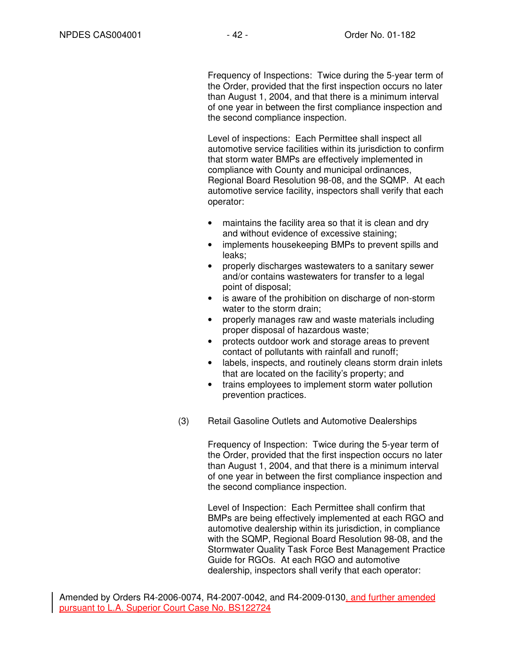Frequency of Inspections: Twice during the 5-year term of the Order, provided that the first inspection occurs no later than August 1, 2004, and that there is a minimum interval of one year in between the first compliance inspection and the second compliance inspection.

Level of inspections: Each Permittee shall inspect all automotive service facilities within its jurisdiction to confirm that storm water BMPs are effectively implemented in compliance with County and municipal ordinances, Regional Board Resolution 98-08, and the SQMP. At each automotive service facility, inspectors shall verify that each operator:

- maintains the facility area so that it is clean and dry and without evidence of excessive staining;
- implements housekeeping BMPs to prevent spills and leaks;
- properly discharges wastewaters to a sanitary sewer and/or contains wastewaters for transfer to a legal point of disposal;
- is aware of the prohibition on discharge of non-storm water to the storm drain;
- properly manages raw and waste materials including proper disposal of hazardous waste;
- protects outdoor work and storage areas to prevent contact of pollutants with rainfall and runoff;
- labels, inspects, and routinely cleans storm drain inlets that are located on the facility's property; and
- trains employees to implement storm water pollution prevention practices.
- (3) Retail Gasoline Outlets and Automotive Dealerships

Frequency of Inspection: Twice during the 5-year term of the Order, provided that the first inspection occurs no later than August 1, 2004, and that there is a minimum interval of one year in between the first compliance inspection and the second compliance inspection.

Level of Inspection: Each Permittee shall confirm that BMPs are being effectively implemented at each RGO and automotive dealership within its jurisdiction, in compliance with the SQMP, Regional Board Resolution 98-08, and the Stormwater Quality Task Force Best Management Practice Guide for RGOs. At each RGO and automotive dealership, inspectors shall verify that each operator: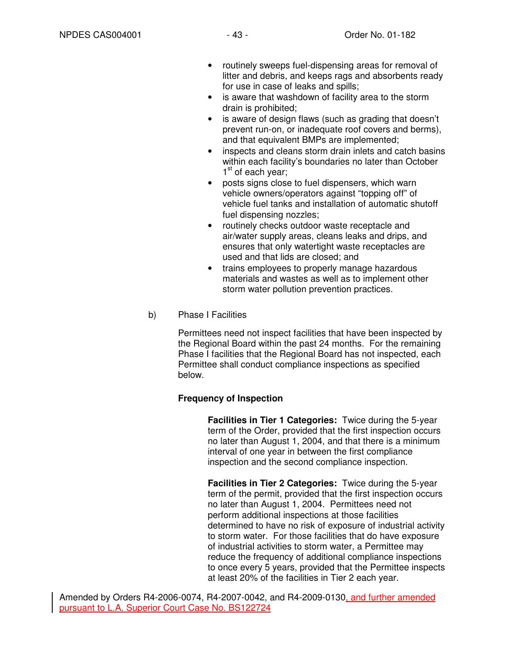- routinely sweeps fuel-dispensing areas for removal of litter and debris, and keeps rags and absorbents ready for use in case of leaks and spills;
- is aware that washdown of facility area to the storm drain is prohibited;
- is aware of design flaws (such as grading that doesn't prevent run-on, or inadequate roof covers and berms), and that equivalent BMPs are implemented;
- inspects and cleans storm drain inlets and catch basins within each facility's boundaries no later than October 1<sup>st</sup> of each year;
- posts signs close to fuel dispensers, which warn vehicle owners/operators against "topping off" of vehicle fuel tanks and installation of automatic shutoff fuel dispensing nozzles;
- routinely checks outdoor waste receptacle and air/water supply areas, cleans leaks and drips, and ensures that only watertight waste receptacles are used and that lids are closed; and
- trains employees to properly manage hazardous materials and wastes as well as to implement other storm water pollution prevention practices.
- b) Phase I Facilities

Permittees need not inspect facilities that have been inspected by the Regional Board within the past 24 months. For the remaining Phase I facilities that the Regional Board has not inspected, each Permittee shall conduct compliance inspections as specified below.

### **Frequency of Inspection**

**Facilities in Tier 1 Categories:** Twice during the 5-year term of the Order, provided that the first inspection occurs no later than August 1, 2004, and that there is a minimum interval of one year in between the first compliance inspection and the second compliance inspection.

**Facilities in Tier 2 Categories:** Twice during the 5-year term of the permit, provided that the first inspection occurs no later than August 1, 2004. Permittees need not perform additional inspections at those facilities determined to have no risk of exposure of industrial activity to storm water. For those facilities that do have exposure of industrial activities to storm water, a Permittee may reduce the frequency of additional compliance inspections to once every 5 years, provided that the Permittee inspects at least 20% of the facilities in Tier 2 each year.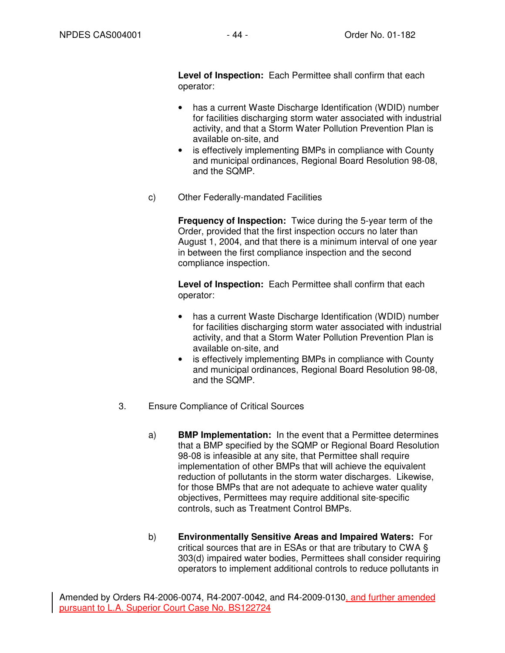**Level of Inspection:** Each Permittee shall confirm that each operator:

- has a current Waste Discharge Identification (WDID) number for facilities discharging storm water associated with industrial activity, and that a Storm Water Pollution Prevention Plan is available on-site, and
- is effectively implementing BMPs in compliance with County and municipal ordinances, Regional Board Resolution 98-08, and the SQMP.
- c) Other Federally-mandated Facilities

**Frequency of Inspection:** Twice during the 5-year term of the Order, provided that the first inspection occurs no later than August 1, 2004, and that there is a minimum interval of one year in between the first compliance inspection and the second compliance inspection.

**Level of Inspection:** Each Permittee shall confirm that each operator:

- has a current Waste Discharge Identification (WDID) number for facilities discharging storm water associated with industrial activity, and that a Storm Water Pollution Prevention Plan is available on-site, and
- is effectively implementing BMPs in compliance with County and municipal ordinances, Regional Board Resolution 98-08, and the SQMP.
- 3. Ensure Compliance of Critical Sources
	- a) **BMP Implementation:** In the event that a Permittee determines that a BMP specified by the SQMP or Regional Board Resolution 98-08 is infeasible at any site, that Permittee shall require implementation of other BMPs that will achieve the equivalent reduction of pollutants in the storm water discharges. Likewise, for those BMPs that are not adequate to achieve water quality objectives, Permittees may require additional site-specific controls, such as Treatment Control BMPs.
	- b) **Environmentally Sensitive Areas and Impaired Waters:** For critical sources that are in ESAs or that are tributary to CWA § 303(d) impaired water bodies, Permittees shall consider requiring operators to implement additional controls to reduce pollutants in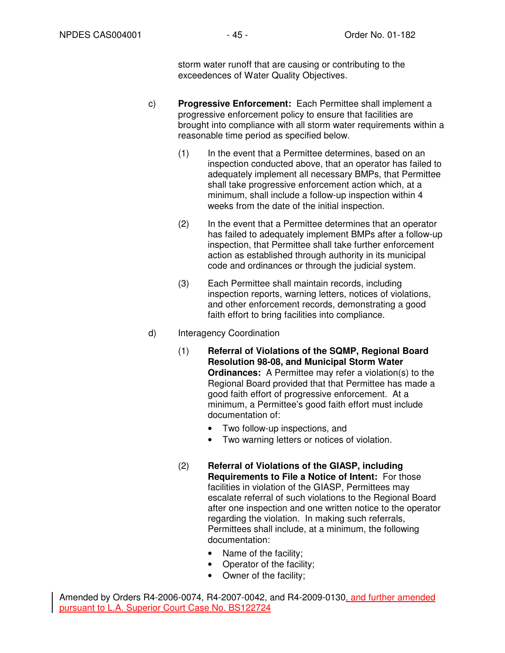storm water runoff that are causing or contributing to the exceedences of Water Quality Objectives.

- c) **Progressive Enforcement:** Each Permittee shall implement a progressive enforcement policy to ensure that facilities are brought into compliance with all storm water requirements within a reasonable time period as specified below.
	- (1) In the event that a Permittee determines, based on an inspection conducted above, that an operator has failed to adequately implement all necessary BMPs, that Permittee shall take progressive enforcement action which, at a minimum, shall include a follow-up inspection within 4 weeks from the date of the initial inspection.
	- (2) In the event that a Permittee determines that an operator has failed to adequately implement BMPs after a follow-up inspection, that Permittee shall take further enforcement action as established through authority in its municipal code and ordinances or through the judicial system.
	- (3) Each Permittee shall maintain records, including inspection reports, warning letters, notices of violations, and other enforcement records, demonstrating a good faith effort to bring facilities into compliance.
- d) Interagency Coordination
	- (1) **Referral of Violations of the SQMP, Regional Board Resolution 98-08, and Municipal Storm Water Ordinances:** A Permittee may refer a violation(s) to the Regional Board provided that that Permittee has made a good faith effort of progressive enforcement. At a minimum, a Permittee's good faith effort must include documentation of:
		- Two follow-up inspections, and
		- Two warning letters or notices of violation.
	- (2) **Referral of Violations of the GIASP, including Requirements to File a Notice of Intent:** For those facilities in violation of the GIASP, Permittees may escalate referral of such violations to the Regional Board after one inspection and one written notice to the operator regarding the violation. In making such referrals, Permittees shall include, at a minimum, the following documentation:
		- Name of the facility;
		- Operator of the facility;
		- Owner of the facility;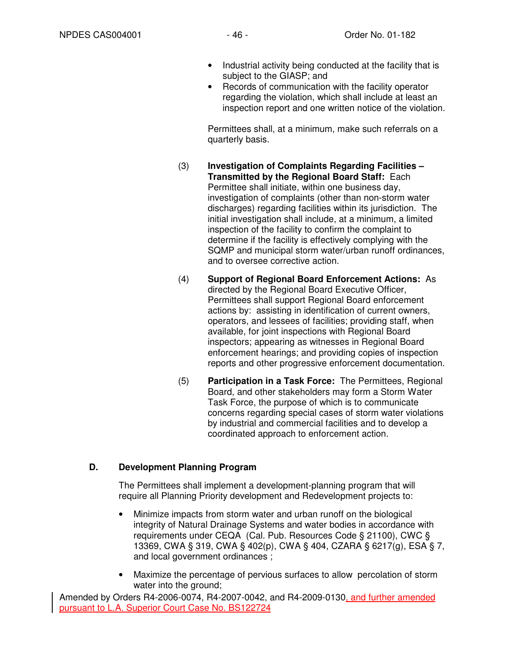- Industrial activity being conducted at the facility that is subject to the GIASP; and
- Records of communication with the facility operator regarding the violation, which shall include at least an inspection report and one written notice of the violation.

Permittees shall, at a minimum, make such referrals on a quarterly basis.

- (3) **Investigation of Complaints Regarding Facilities Transmitted by the Regional Board Staff:** Each Permittee shall initiate, within one business day, investigation of complaints (other than non-storm water discharges) regarding facilities within its jurisdiction. The initial investigation shall include, at a minimum, a limited inspection of the facility to confirm the complaint to determine if the facility is effectively complying with the SQMP and municipal storm water/urban runoff ordinances, and to oversee corrective action.
- (4) **Support of Regional Board Enforcement Actions:** As directed by the Regional Board Executive Officer, Permittees shall support Regional Board enforcement actions by: assisting in identification of current owners, operators, and lessees of facilities; providing staff, when available, for joint inspections with Regional Board inspectors; appearing as witnesses in Regional Board enforcement hearings; and providing copies of inspection reports and other progressive enforcement documentation.
- (5) **Participation in a Task Force:** The Permittees, Regional Board, and other stakeholders may form a Storm Water Task Force, the purpose of which is to communicate concerns regarding special cases of storm water violations by industrial and commercial facilities and to develop a coordinated approach to enforcement action.

# **D. Development Planning Program**

The Permittees shall implement a development-planning program that will require all Planning Priority development and Redevelopment projects to:

- Minimize impacts from storm water and urban runoff on the biological integrity of Natural Drainage Systems and water bodies in accordance with requirements under CEQA (Cal. Pub. Resources Code § 21100), CWC § 13369, CWA § 319, CWA § 402(p), CWA § 404, CZARA § 6217(g), ESA § 7, and local government ordinances ;
- Maximize the percentage of pervious surfaces to allow percolation of storm water into the ground;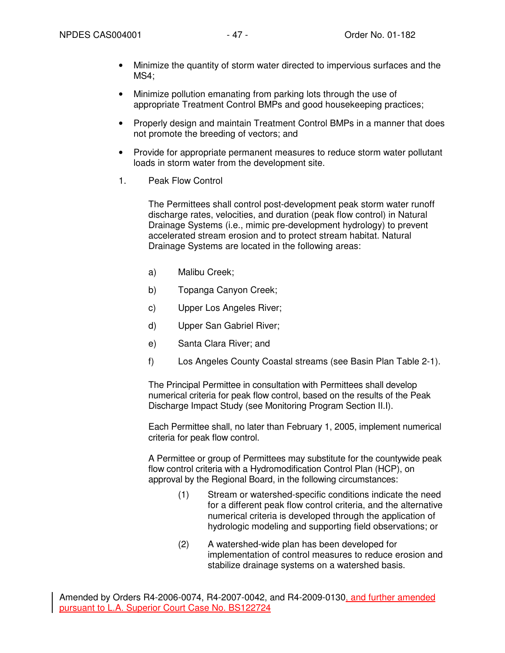- Minimize the quantity of storm water directed to impervious surfaces and the MS4;
- Minimize pollution emanating from parking lots through the use of appropriate Treatment Control BMPs and good housekeeping practices;
- Properly design and maintain Treatment Control BMPs in a manner that does not promote the breeding of vectors; and
- Provide for appropriate permanent measures to reduce storm water pollutant loads in storm water from the development site.
- 1. Peak Flow Control

The Permittees shall control post-development peak storm water runoff discharge rates, velocities, and duration (peak flow control) in Natural Drainage Systems (i.e., mimic pre-development hydrology) to prevent accelerated stream erosion and to protect stream habitat. Natural Drainage Systems are located in the following areas:

- a) Malibu Creek;
- b) Topanga Canyon Creek;
- c) Upper Los Angeles River;
- d) Upper San Gabriel River;
- e) Santa Clara River; and
- f) Los Angeles County Coastal streams (see Basin Plan Table 2-1).

The Principal Permittee in consultation with Permittees shall develop numerical criteria for peak flow control, based on the results of the Peak Discharge Impact Study (see Monitoring Program Section II.I).

Each Permittee shall, no later than February 1, 2005, implement numerical criteria for peak flow control.

A Permittee or group of Permittees may substitute for the countywide peak flow control criteria with a Hydromodification Control Plan (HCP), on approval by the Regional Board, in the following circumstances:

- (1) Stream or watershed-specific conditions indicate the need for a different peak flow control criteria, and the alternative numerical criteria is developed through the application of hydrologic modeling and supporting field observations; or
- (2) A watershed-wide plan has been developed for implementation of control measures to reduce erosion and stabilize drainage systems on a watershed basis.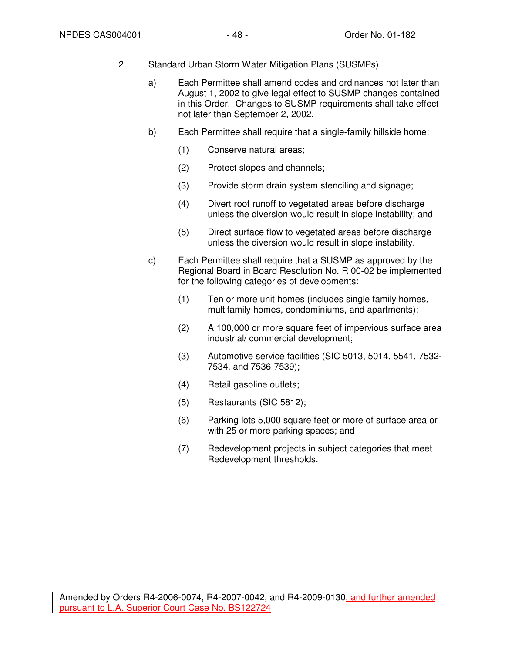- 2. Standard Urban Storm Water Mitigation Plans (SUSMPs)
	- a) Each Permittee shall amend codes and ordinances not later than August 1, 2002 to give legal effect to SUSMP changes contained in this Order. Changes to SUSMP requirements shall take effect not later than September 2, 2002.
	- b) Each Permittee shall require that a single-family hillside home:
		- (1) Conserve natural areas;
		- (2) Protect slopes and channels;
		- (3) Provide storm drain system stenciling and signage;
		- (4) Divert roof runoff to vegetated areas before discharge unless the diversion would result in slope instability; and
		- (5) Direct surface flow to vegetated areas before discharge unless the diversion would result in slope instability.
	- c) Each Permittee shall require that a SUSMP as approved by the Regional Board in Board Resolution No. R 00-02 be implemented for the following categories of developments:
		- (1) Ten or more unit homes (includes single family homes, multifamily homes, condominiums, and apartments);
		- (2) A 100,000 or more square feet of impervious surface area industrial/ commercial development;
		- (3) Automotive service facilities (SIC 5013, 5014, 5541, 7532- 7534, and 7536-7539);
		- (4) Retail gasoline outlets;
		- (5) Restaurants (SIC 5812);
		- (6) Parking lots 5,000 square feet or more of surface area or with 25 or more parking spaces; and
		- (7) Redevelopment projects in subject categories that meet Redevelopment thresholds.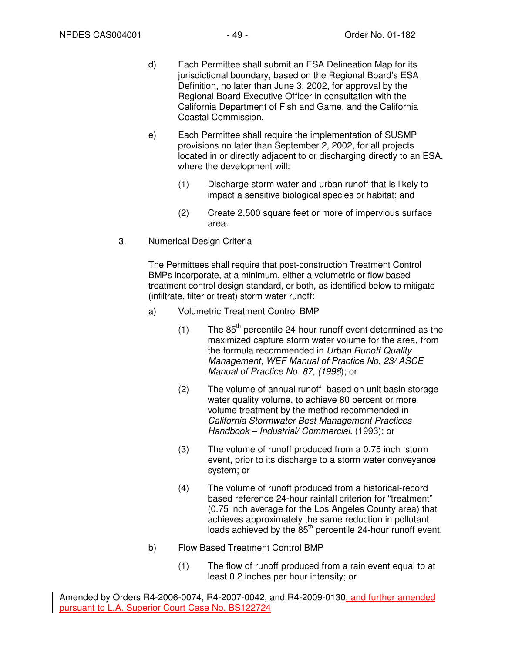- d) Each Permittee shall submit an ESA Delineation Map for its jurisdictional boundary, based on the Regional Board's ESA Definition, no later than June 3, 2002, for approval by the Regional Board Executive Officer in consultation with the California Department of Fish and Game, and the California Coastal Commission.
- e) Each Permittee shall require the implementation of SUSMP provisions no later than September 2, 2002, for all projects located in or directly adjacent to or discharging directly to an ESA, where the development will:
	- (1) Discharge storm water and urban runoff that is likely to impact a sensitive biological species or habitat; and
	- (2) Create 2,500 square feet or more of impervious surface area.
- 3. Numerical Design Criteria

The Permittees shall require that post-construction Treatment Control BMPs incorporate, at a minimum, either a volumetric or flow based treatment control design standard, or both, as identified below to mitigate (infiltrate, filter or treat) storm water runoff:

- a) Volumetric Treatment Control BMP
	- $(1)$  The 85<sup>th</sup> percentile 24-hour runoff event determined as the maximized capture storm water volume for the area, from the formula recommended in Urban Runoff Quality Management, WEF Manual of Practice No. 23/ ASCE Manual of Practice No. 87, (1998); or
	- (2) The volume of annual runoff based on unit basin storage water quality volume, to achieve 80 percent or more volume treatment by the method recommended in California Stormwater Best Management Practices Handbook – Industrial/ Commercial, (1993); or
	- (3) The volume of runoff produced from a 0.75 inch storm event, prior to its discharge to a storm water conveyance system; or
	- (4) The volume of runoff produced from a historical-record based reference 24-hour rainfall criterion for "treatment" (0.75 inch average for the Los Angeles County area) that achieves approximately the same reduction in pollutant loads achieved by the  $85<sup>th</sup>$  percentile 24-hour runoff event.
- b) Flow Based Treatment Control BMP
	- (1) The flow of runoff produced from a rain event equal to at least 0.2 inches per hour intensity; or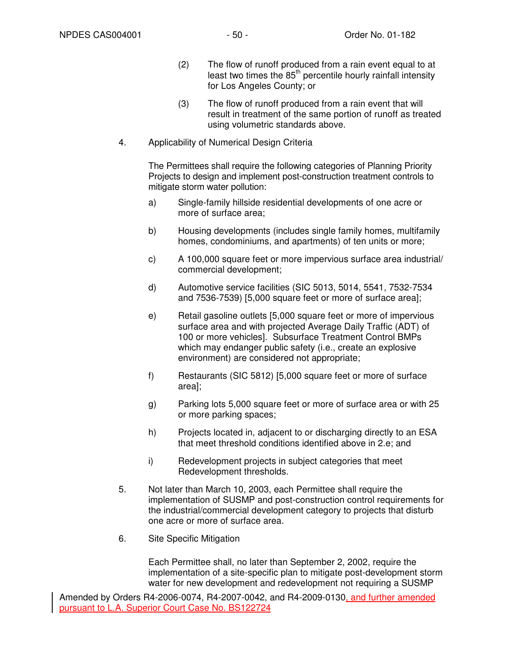- (2) The flow of runoff produced from a rain event equal to at least two times the  $85<sup>th</sup>$  percentile hourly rainfall intensity for Los Angeles County; or
- (3) The flow of runoff produced from a rain event that will result in treatment of the same portion of runoff as treated using volumetric standards above.
- 4. Applicability of Numerical Design Criteria

The Permittees shall require the following categories of Planning Priority Projects to design and implement post-construction treatment controls to mitigate storm water pollution:

- a) Single-family hillside residential developments of one acre or more of surface area;
- b) Housing developments (includes single family homes, multifamily homes, condominiums, and apartments) of ten units or more;
- c) A 100,000 square feet or more impervious surface area industrial/ commercial development;
- d) Automotive service facilities (SIC 5013, 5014, 5541, 7532-7534 and 7536-7539) [5,000 square feet or more of surface area];
- e) Retail gasoline outlets [5,000 square feet or more of impervious surface area and with projected Average Daily Traffic (ADT) of 100 or more vehicles]. Subsurface Treatment Control BMPs which may endanger public safety (i.e., create an explosive environment) are considered not appropriate;
- f) Restaurants (SIC 5812) [5,000 square feet or more of surface area];
- g) Parking lots 5,000 square feet or more of surface area or with 25 or more parking spaces;
- h) Projects located in, adjacent to or discharging directly to an ESA that meet threshold conditions identified above in 2.e; and
- i) Redevelopment projects in subject categories that meet Redevelopment thresholds.
- 5. Not later than March 10, 2003, each Permittee shall require the implementation of SUSMP and post-construction control requirements for the industrial/commercial development category to projects that disturb one acre or more of surface area.
- 6. Site Specific Mitigation

Each Permittee shall, no later than September 2, 2002, require the implementation of a site-specific plan to mitigate post-development storm water for new development and redevelopment not requiring a SUSMP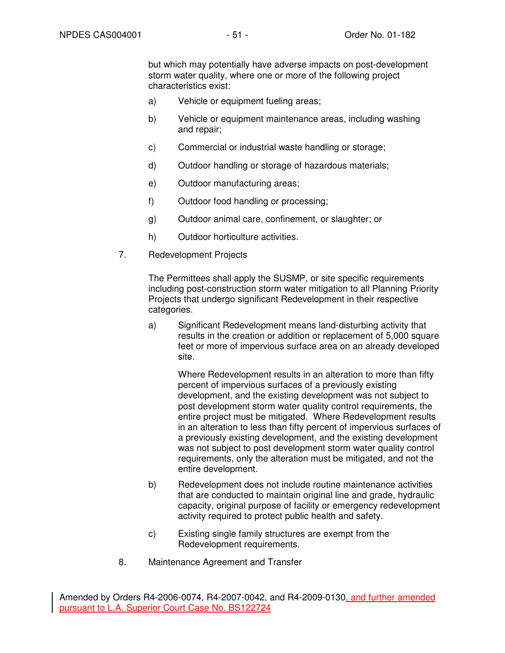but which may potentially have adverse impacts on post-development storm water quality, where one or more of the following project characteristics exist:

- a) Vehicle or equipment fueling areas;
- b) Vehicle or equipment maintenance areas, including washing and repair;
- c) Commercial or industrial waste handling or storage;
- d) Outdoor handling or storage of hazardous materials;
- e) Outdoor manufacturing areas;
- f) Outdoor food handling or processing;
- g) Outdoor animal care, confinement, or slaughter; or
- h) Outdoor horticulture activities.
- 7. Redevelopment Projects

The Permittees shall apply the SUSMP, or site specific requirements including post-construction storm water mitigation to all Planning Priority Projects that undergo significant Redevelopment in their respective categories.

a) Significant Redevelopment means land-disturbing activity that results in the creation or addition or replacement of 5,000 square feet or more of impervious surface area on an already developed site.

Where Redevelopment results in an alteration to more than fifty percent of impervious surfaces of a previously existing development, and the existing development was not subject to post development storm water quality control requirements, the entire project must be mitigated. Where Redevelopment results in an alteration to less than fifty percent of impervious surfaces of a previously existing development, and the existing development was not subject to post development storm water quality control requirements, only the alteration must be mitigated, and not the entire development.

- b) Redevelopment does not include routine maintenance activities that are conducted to maintain original line and grade, hydraulic capacity, original purpose of facility or emergency redevelopment activity required to protect public health and safety.
- c) Existing single family structures are exempt from the Redevelopment requirements.
- 8. Maintenance Agreement and Transfer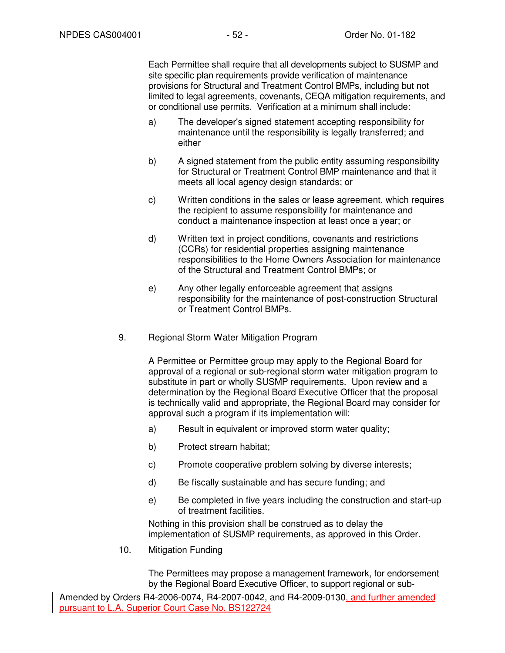Each Permittee shall require that all developments subject to SUSMP and site specific plan requirements provide verification of maintenance provisions for Structural and Treatment Control BMPs, including but not limited to legal agreements, covenants, CEQA mitigation requirements, and or conditional use permits. Verification at a minimum shall include:

- a) The developer's signed statement accepting responsibility for maintenance until the responsibility is legally transferred; and either
- b) A signed statement from the public entity assuming responsibility for Structural or Treatment Control BMP maintenance and that it meets all local agency design standards; or
- c) Written conditions in the sales or lease agreement, which requires the recipient to assume responsibility for maintenance and conduct a maintenance inspection at least once a year; or
- d) Written text in project conditions, covenants and restrictions (CCRs) for residential properties assigning maintenance responsibilities to the Home Owners Association for maintenance of the Structural and Treatment Control BMPs; or
- e) Any other legally enforceable agreement that assigns responsibility for the maintenance of post-construction Structural or Treatment Control BMPs.
- 9. Regional Storm Water Mitigation Program

A Permittee or Permittee group may apply to the Regional Board for approval of a regional or sub-regional storm water mitigation program to substitute in part or wholly SUSMP requirements. Upon review and a determination by the Regional Board Executive Officer that the proposal is technically valid and appropriate, the Regional Board may consider for approval such a program if its implementation will:

- a) Result in equivalent or improved storm water quality;
- b) Protect stream habitat;
- c) Promote cooperative problem solving by diverse interests;
- d) Be fiscally sustainable and has secure funding; and
- e) Be completed in five years including the construction and start-up of treatment facilities.

Nothing in this provision shall be construed as to delay the implementation of SUSMP requirements, as approved in this Order.

10. Mitigation Funding

The Permittees may propose a management framework, for endorsement by the Regional Board Executive Officer, to support regional or sub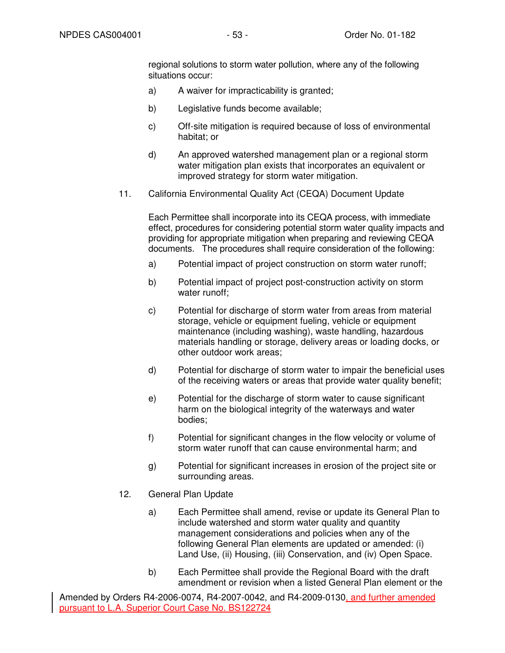regional solutions to storm water pollution, where any of the following situations occur:

- a) A waiver for impracticability is granted;
- b) Legislative funds become available;
- c) Off-site mitigation is required because of loss of environmental habitat; or
- d) An approved watershed management plan or a regional storm water mitigation plan exists that incorporates an equivalent or improved strategy for storm water mitigation.
- 11. California Environmental Quality Act (CEQA) Document Update

Each Permittee shall incorporate into its CEQA process, with immediate effect, procedures for considering potential storm water quality impacts and providing for appropriate mitigation when preparing and reviewing CEQA documents. The procedures shall require consideration of the following:

- a) Potential impact of project construction on storm water runoff;
- b) Potential impact of project post-construction activity on storm water runoff:
- c) Potential for discharge of storm water from areas from material storage, vehicle or equipment fueling, vehicle or equipment maintenance (including washing), waste handling, hazardous materials handling or storage, delivery areas or loading docks, or other outdoor work areas;
- d) Potential for discharge of storm water to impair the beneficial uses of the receiving waters or areas that provide water quality benefit;
- e) Potential for the discharge of storm water to cause significant harm on the biological integrity of the waterways and water bodies;
- f) Potential for significant changes in the flow velocity or volume of storm water runoff that can cause environmental harm; and
- g) Potential for significant increases in erosion of the project site or surrounding areas.
- 12. General Plan Update
	- a) Each Permittee shall amend, revise or update its General Plan to include watershed and storm water quality and quantity management considerations and policies when any of the following General Plan elements are updated or amended: (i) Land Use, (ii) Housing, (iii) Conservation, and (iv) Open Space.
	- b) Each Permittee shall provide the Regional Board with the draft amendment or revision when a listed General Plan element or the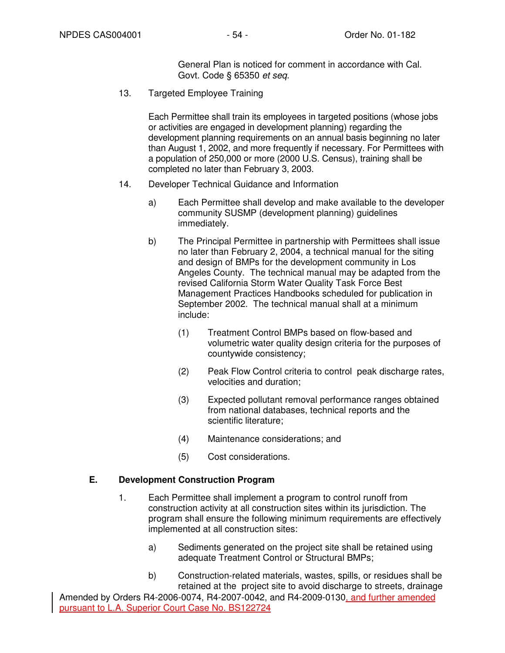General Plan is noticed for comment in accordance with Cal. Govt. Code § 65350 et seq.

13. Targeted Employee Training

Each Permittee shall train its employees in targeted positions (whose jobs or activities are engaged in development planning) regarding the development planning requirements on an annual basis beginning no later than August 1, 2002, and more frequently if necessary. For Permittees with a population of 250,000 or more (2000 U.S. Census), training shall be completed no later than February 3, 2003.

- 14. Developer Technical Guidance and Information
	- a) Each Permittee shall develop and make available to the developer community SUSMP (development planning) guidelines immediately.
	- b) The Principal Permittee in partnership with Permittees shall issue no later than February 2, 2004, a technical manual for the siting and design of BMPs for the development community in Los Angeles County. The technical manual may be adapted from the revised California Storm Water Quality Task Force Best Management Practices Handbooks scheduled for publication in September 2002. The technical manual shall at a minimum include:
		- (1) Treatment Control BMPs based on flow-based and volumetric water quality design criteria for the purposes of countywide consistency;
		- (2) Peak Flow Control criteria to control peak discharge rates, velocities and duration;
		- (3) Expected pollutant removal performance ranges obtained from national databases, technical reports and the scientific literature;
		- (4) Maintenance considerations; and
		- (5) Cost considerations.

### **E. Development Construction Program**

- 1. Each Permittee shall implement a program to control runoff from construction activity at all construction sites within its jurisdiction. The program shall ensure the following minimum requirements are effectively implemented at all construction sites:
	- a) Sediments generated on the project site shall be retained using adequate Treatment Control or Structural BMPs;
	- b) Construction-related materials, wastes, spills, or residues shall be retained at the project site to avoid discharge to streets, drainage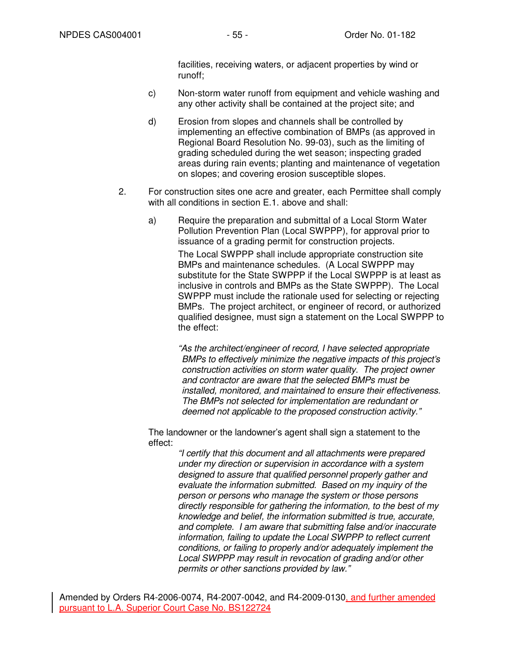facilities, receiving waters, or adjacent properties by wind or runoff;

- c) Non-storm water runoff from equipment and vehicle washing and any other activity shall be contained at the project site; and
- d) Erosion from slopes and channels shall be controlled by implementing an effective combination of BMPs (as approved in Regional Board Resolution No. 99-03), such as the limiting of grading scheduled during the wet season; inspecting graded areas during rain events; planting and maintenance of vegetation on slopes; and covering erosion susceptible slopes.
- 2. For construction sites one acre and greater, each Permittee shall comply with all conditions in section E.1. above and shall:
	- a) Require the preparation and submittal of a Local Storm Water Pollution Prevention Plan (Local SWPPP), for approval prior to issuance of a grading permit for construction projects. The Local SWPPP shall include appropriate construction site BMPs and maintenance schedules. (A Local SWPPP may substitute for the State SWPPP if the Local SWPPP is at least as inclusive in controls and BMPs as the State SWPPP). The Local SWPPP must include the rationale used for selecting or rejecting BMPs. The project architect, or engineer of record, or authorized qualified designee, must sign a statement on the Local SWPPP to the effect:

"As the architect/engineer of record, I have selected appropriate BMPs to effectively minimize the negative impacts of this project's construction activities on storm water quality. The project owner and contractor are aware that the selected BMPs must be installed, monitored, and maintained to ensure their effectiveness. The BMPs not selected for implementation are redundant or deemed not applicable to the proposed construction activity."

The landowner or the landowner's agent shall sign a statement to the effect:

> "I certify that this document and all attachments were prepared under my direction or supervision in accordance with a system designed to assure that qualified personnel properly gather and evaluate the information submitted. Based on my inquiry of the person or persons who manage the system or those persons directly responsible for gathering the information, to the best of my knowledge and belief, the information submitted is true, accurate, and complete. I am aware that submitting false and/or inaccurate information, failing to update the Local SWPPP to reflect current conditions, or failing to properly and/or adequately implement the Local SWPPP may result in revocation of grading and/or other permits or other sanctions provided by law."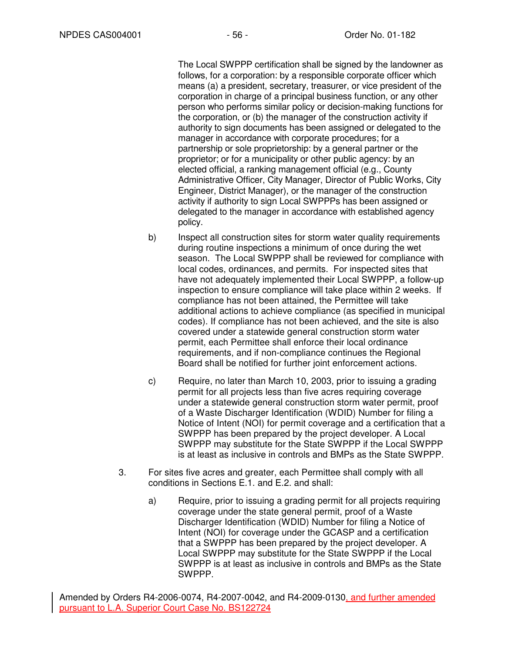The Local SWPPP certification shall be signed by the landowner as follows, for a corporation: by a responsible corporate officer which means (a) a president, secretary, treasurer, or vice president of the corporation in charge of a principal business function, or any other person who performs similar policy or decision-making functions for the corporation, or (b) the manager of the construction activity if authority to sign documents has been assigned or delegated to the manager in accordance with corporate procedures; for a partnership or sole proprietorship: by a general partner or the proprietor; or for a municipality or other public agency: by an elected official, a ranking management official (e.g., County Administrative Officer, City Manager, Director of Public Works, City Engineer, District Manager), or the manager of the construction activity if authority to sign Local SWPPPs has been assigned or delegated to the manager in accordance with established agency policy.

- b) Inspect all construction sites for storm water quality requirements during routine inspections a minimum of once during the wet season. The Local SWPPP shall be reviewed for compliance with local codes, ordinances, and permits. For inspected sites that have not adequately implemented their Local SWPPP, a follow-up inspection to ensure compliance will take place within 2 weeks. If compliance has not been attained, the Permittee will take additional actions to achieve compliance (as specified in municipal codes). If compliance has not been achieved, and the site is also covered under a statewide general construction storm water permit, each Permittee shall enforce their local ordinance requirements, and if non-compliance continues the Regional Board shall be notified for further joint enforcement actions.
- c) Require, no later than March 10, 2003, prior to issuing a grading permit for all projects less than five acres requiring coverage under a statewide general construction storm water permit, proof of a Waste Discharger Identification (WDID) Number for filing a Notice of Intent (NOI) for permit coverage and a certification that a SWPPP has been prepared by the project developer. A Local SWPPP may substitute for the State SWPPP if the Local SWPPP is at least as inclusive in controls and BMPs as the State SWPPP.
- 3. For sites five acres and greater, each Permittee shall comply with all conditions in Sections E.1. and E.2. and shall:
	- a) Require, prior to issuing a grading permit for all projects requiring coverage under the state general permit, proof of a Waste Discharger Identification (WDID) Number for filing a Notice of Intent (NOI) for coverage under the GCASP and a certification that a SWPPP has been prepared by the project developer. A Local SWPPP may substitute for the State SWPPP if the Local SWPPP is at least as inclusive in controls and BMPs as the State SWPPP.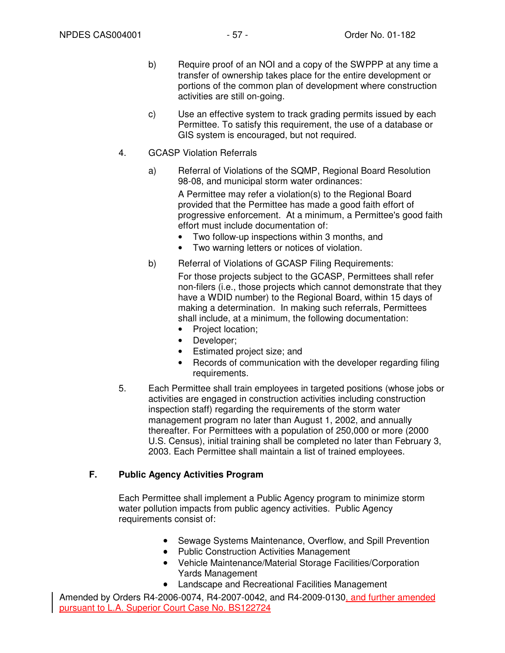- b) Require proof of an NOI and a copy of the SWPPP at any time a transfer of ownership takes place for the entire development or portions of the common plan of development where construction activities are still on-going.
- c) Use an effective system to track grading permits issued by each Permittee. To satisfy this requirement, the use of a database or GIS system is encouraged, but not required.
- 4. GCASP Violation Referrals
	- a) Referral of Violations of the SQMP, Regional Board Resolution 98-08, and municipal storm water ordinances:

A Permittee may refer a violation(s) to the Regional Board provided that the Permittee has made a good faith effort of progressive enforcement. At a minimum, a Permittee's good faith effort must include documentation of:

- Two follow-up inspections within 3 months, and
- Two warning letters or notices of violation.
- b) Referral of Violations of GCASP Filing Requirements:

For those projects subject to the GCASP, Permittees shall refer non-filers (i.e., those projects which cannot demonstrate that they have a WDID number) to the Regional Board, within 15 days of making a determination. In making such referrals, Permittees shall include, at a minimum, the following documentation:

- Project location;
- Developer;
- Estimated project size; and
- Records of communication with the developer regarding filing requirements.
- 5. Each Permittee shall train employees in targeted positions (whose jobs or activities are engaged in construction activities including construction inspection staff) regarding the requirements of the storm water management program no later than August 1, 2002, and annually thereafter. For Permittees with a population of 250,000 or more (2000 U.S. Census), initial training shall be completed no later than February 3, 2003. Each Permittee shall maintain a list of trained employees.

### **F. Public Agency Activities Program**

Each Permittee shall implement a Public Agency program to minimize storm water pollution impacts from public agency activities. Public Agency requirements consist of:

- Sewage Systems Maintenance, Overflow, and Spill Prevention
- Public Construction Activities Management
- Vehicle Maintenance/Material Storage Facilities/Corporation Yards Management
- Landscape and Recreational Facilities Management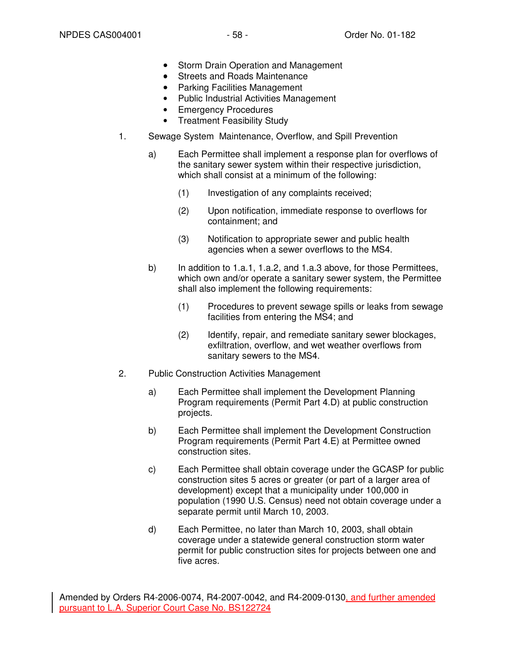- Storm Drain Operation and Management
- Streets and Roads Maintenance
- Parking Facilities Management
- Public Industrial Activities Management
- Emergency Procedures
- Treatment Feasibility Study
- 1. Sewage System Maintenance, Overflow, and Spill Prevention
	- a) Each Permittee shall implement a response plan for overflows of the sanitary sewer system within their respective jurisdiction, which shall consist at a minimum of the following:
		- (1) Investigation of any complaints received;
		- (2) Upon notification, immediate response to overflows for containment; and
		- (3) Notification to appropriate sewer and public health agencies when a sewer overflows to the MS4.
	- b) In addition to 1.a.1, 1.a.2, and 1.a.3 above, for those Permittees, which own and/or operate a sanitary sewer system, the Permittee shall also implement the following requirements:
		- (1) Procedures to prevent sewage spills or leaks from sewage facilities from entering the MS4; and
		- (2) Identify, repair, and remediate sanitary sewer blockages, exfiltration, overflow, and wet weather overflows from sanitary sewers to the MS4.
- 2. Public Construction Activities Management
	- a) Each Permittee shall implement the Development Planning Program requirements (Permit Part 4.D) at public construction projects.
	- b) Each Permittee shall implement the Development Construction Program requirements (Permit Part 4.E) at Permittee owned construction sites.
	- c) Each Permittee shall obtain coverage under the GCASP for public construction sites 5 acres or greater (or part of a larger area of development) except that a municipality under 100,000 in population (1990 U.S. Census) need not obtain coverage under a separate permit until March 10, 2003.
	- d) Each Permittee, no later than March 10, 2003, shall obtain coverage under a statewide general construction storm water permit for public construction sites for projects between one and five acres.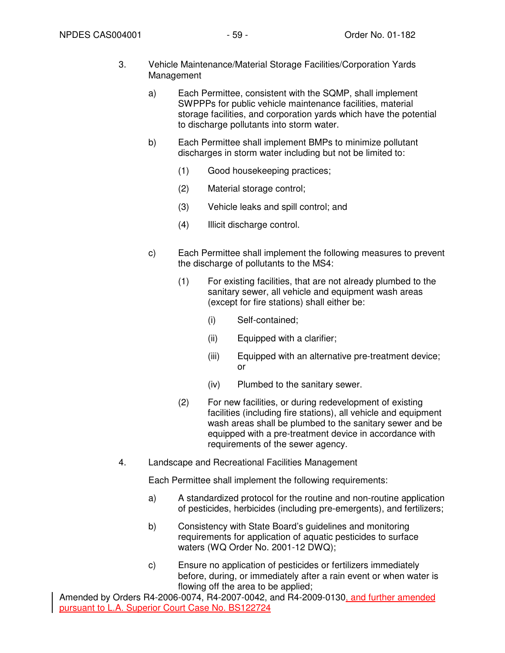- 3. Vehicle Maintenance/Material Storage Facilities/Corporation Yards Management
	- a) Each Permittee, consistent with the SQMP, shall implement SWPPPs for public vehicle maintenance facilities, material storage facilities, and corporation yards which have the potential to discharge pollutants into storm water.
	- b) Each Permittee shall implement BMPs to minimize pollutant discharges in storm water including but not be limited to:
		- (1) Good housekeeping practices;
		- (2) Material storage control;
		- (3) Vehicle leaks and spill control; and
		- (4) Illicit discharge control.
	- c) Each Permittee shall implement the following measures to prevent the discharge of pollutants to the MS4:
		- (1) For existing facilities, that are not already plumbed to the sanitary sewer, all vehicle and equipment wash areas (except for fire stations) shall either be:
			- (i) Self-contained;
			- (ii) Equipped with a clarifier;
			- (iii) Equipped with an alternative pre-treatment device; or
			- (iv) Plumbed to the sanitary sewer.
		- (2) For new facilities, or during redevelopment of existing facilities (including fire stations), all vehicle and equipment wash areas shall be plumbed to the sanitary sewer and be equipped with a pre-treatment device in accordance with requirements of the sewer agency.
- 4. Landscape and Recreational Facilities Management

Each Permittee shall implement the following requirements:

- a) A standardized protocol for the routine and non-routine application of pesticides, herbicides (including pre-emergents), and fertilizers;
- b) Consistency with State Board's guidelines and monitoring requirements for application of aquatic pesticides to surface waters (WQ Order No. 2001-12 DWQ);
- c) Ensure no application of pesticides or fertilizers immediately before, during, or immediately after a rain event or when water is flowing off the area to be applied;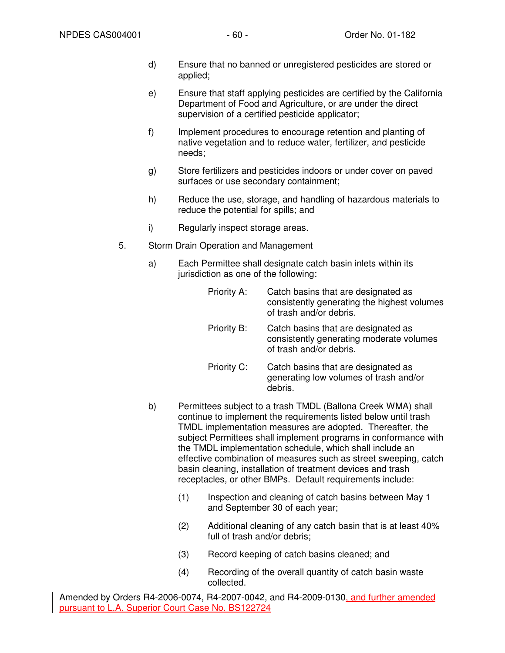- d) Ensure that no banned or unregistered pesticides are stored or applied;
- e) Ensure that staff applying pesticides are certified by the California Department of Food and Agriculture, or are under the direct supervision of a certified pesticide applicator;
- f) Implement procedures to encourage retention and planting of native vegetation and to reduce water, fertilizer, and pesticide needs;
- g) Store fertilizers and pesticides indoors or under cover on paved surfaces or use secondary containment;
- h) Reduce the use, storage, and handling of hazardous materials to reduce the potential for spills; and
- i) Regularly inspect storage areas.
- 5. Storm Drain Operation and Management
	- a) Each Permittee shall designate catch basin inlets within its jurisdiction as one of the following:

| Priority A:                                              | Catch basins that are designated as<br>consistently generating the highest volumes<br>of trash and/or debris. |
|----------------------------------------------------------|---------------------------------------------------------------------------------------------------------------|
| Priority B:                                              | Catch basins that are designated as<br>consistently generating moderate volumes<br>of trash and/or debris.    |
| Priority C:                                              | Catch basins that are designated as<br>generating low volumes of trash and/or<br>debris.                      |
| ittees subject to a trash TMDL (Ballona Creek WMA) shall |                                                                                                               |

- b) Permittees subject to a trash TMDL (Ballona Creek WMA) shall continue to implement the requirements listed below until trash TMDL implementation measures are adopted. Thereafter, the subject Permittees shall implement programs in conformance with the TMDL implementation schedule, which shall include an effective combination of measures such as street sweeping, catch basin cleaning, installation of treatment devices and trash receptacles, or other BMPs. Default requirements include:
	- (1) Inspection and cleaning of catch basins between May 1 and September 30 of each year;
	- (2) Additional cleaning of any catch basin that is at least 40% full of trash and/or debris;
	- (3) Record keeping of catch basins cleaned; and
	- (4) Recording of the overall quantity of catch basin waste collected.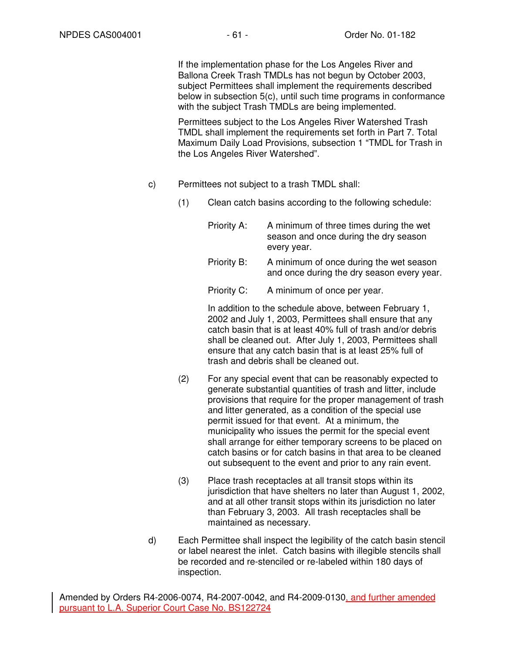If the implementation phase for the Los Angeles River and Ballona Creek Trash TMDLs has not begun by October 2003, subject Permittees shall implement the requirements described below in subsection 5(c), until such time programs in conformance with the subject Trash TMDLs are being implemented.

Permittees subject to the Los Angeles River Watershed Trash TMDL shall implement the requirements set forth in Part 7. Total Maximum Daily Load Provisions, subsection 1 "TMDL for Trash in the Los Angeles River Watershed".

- c) Permittees not subject to a trash TMDL shall:
	- (1) Clean catch basins according to the following schedule:

Priority A: A minimum of three times during the wet season and once during the dry season every year.

Priority B: A minimum of once during the wet season and once during the dry season every year.

Priority C: A minimum of once per year.

In addition to the schedule above, between February 1, 2002 and July 1, 2003, Permittees shall ensure that any catch basin that is at least 40% full of trash and/or debris shall be cleaned out. After July 1, 2003, Permittees shall ensure that any catch basin that is at least 25% full of trash and debris shall be cleaned out.

- (2) For any special event that can be reasonably expected to generate substantial quantities of trash and litter, include provisions that require for the proper management of trash and litter generated, as a condition of the special use permit issued for that event. At a minimum, the municipality who issues the permit for the special event shall arrange for either temporary screens to be placed on catch basins or for catch basins in that area to be cleaned out subsequent to the event and prior to any rain event.
- (3) Place trash receptacles at all transit stops within its jurisdiction that have shelters no later than August 1, 2002, and at all other transit stops within its jurisdiction no later than February 3, 2003. All trash receptacles shall be maintained as necessary.
- d) Each Permittee shall inspect the legibility of the catch basin stencil or label nearest the inlet. Catch basins with illegible stencils shall be recorded and re-stenciled or re-labeled within 180 days of inspection.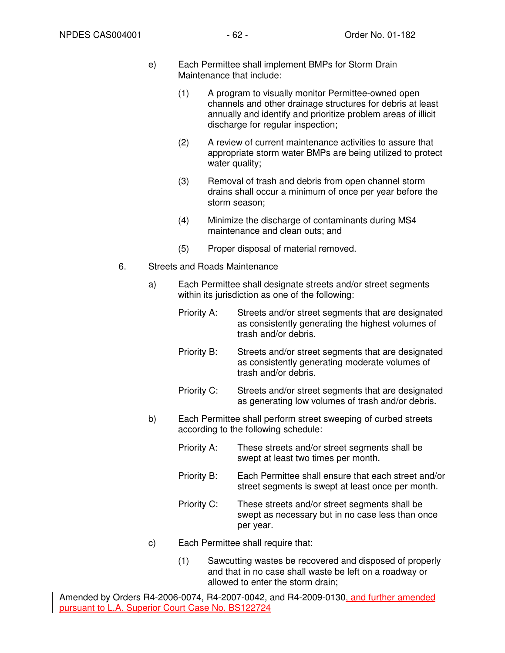- e) Each Permittee shall implement BMPs for Storm Drain Maintenance that include:
	- (1) A program to visually monitor Permittee-owned open channels and other drainage structures for debris at least annually and identify and prioritize problem areas of illicit discharge for regular inspection;
	- (2) A review of current maintenance activities to assure that appropriate storm water BMPs are being utilized to protect water quality;
	- (3) Removal of trash and debris from open channel storm drains shall occur a minimum of once per year before the storm season;
	- (4) Minimize the discharge of contaminants during MS4 maintenance and clean outs; and
	- (5) Proper disposal of material removed.
- 6. Streets and Roads Maintenance
	- a) Each Permittee shall designate streets and/or street segments within its jurisdiction as one of the following:
		- Priority A: Streets and/or street segments that are designated as consistently generating the highest volumes of trash and/or debris.
		- Priority B: Streets and/or street segments that are designated as consistently generating moderate volumes of trash and/or debris.
		- Priority C: Streets and/or street segments that are designated as generating low volumes of trash and/or debris.
	- b) Each Permittee shall perform street sweeping of curbed streets according to the following schedule:
		- Priority A: These streets and/or street segments shall be swept at least two times per month.
		- Priority B: Each Permittee shall ensure that each street and/or street segments is swept at least once per month.
		- Priority C: These streets and/or street segments shall be swept as necessary but in no case less than once per year.
	- c) Each Permittee shall require that:
		- (1) Sawcutting wastes be recovered and disposed of properly and that in no case shall waste be left on a roadway or allowed to enter the storm drain;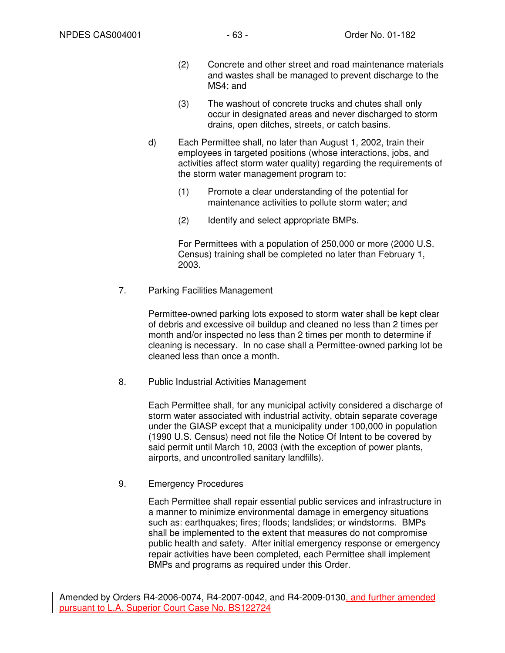- (2) Concrete and other street and road maintenance materials and wastes shall be managed to prevent discharge to the MS4; and
- (3) The washout of concrete trucks and chutes shall only occur in designated areas and never discharged to storm drains, open ditches, streets, or catch basins.
- d) Each Permittee shall, no later than August 1, 2002, train their employees in targeted positions (whose interactions, jobs, and activities affect storm water quality) regarding the requirements of the storm water management program to:
	- (1) Promote a clear understanding of the potential for maintenance activities to pollute storm water; and
	- (2) Identify and select appropriate BMPs.

For Permittees with a population of 250,000 or more (2000 U.S. Census) training shall be completed no later than February 1, 2003.

7. Parking Facilities Management

Permittee-owned parking lots exposed to storm water shall be kept clear of debris and excessive oil buildup and cleaned no less than 2 times per month and/or inspected no less than 2 times per month to determine if cleaning is necessary. In no case shall a Permittee-owned parking lot be cleaned less than once a month.

8. Public Industrial Activities Management

Each Permittee shall, for any municipal activity considered a discharge of storm water associated with industrial activity, obtain separate coverage under the GIASP except that a municipality under 100,000 in population (1990 U.S. Census) need not file the Notice Of Intent to be covered by said permit until March 10, 2003 (with the exception of power plants, airports, and uncontrolled sanitary landfills).

9. Emergency Procedures

Each Permittee shall repair essential public services and infrastructure in a manner to minimize environmental damage in emergency situations such as: earthquakes; fires; floods; landslides; or windstorms. BMPs shall be implemented to the extent that measures do not compromise public health and safety. After initial emergency response or emergency repair activities have been completed, each Permittee shall implement BMPs and programs as required under this Order.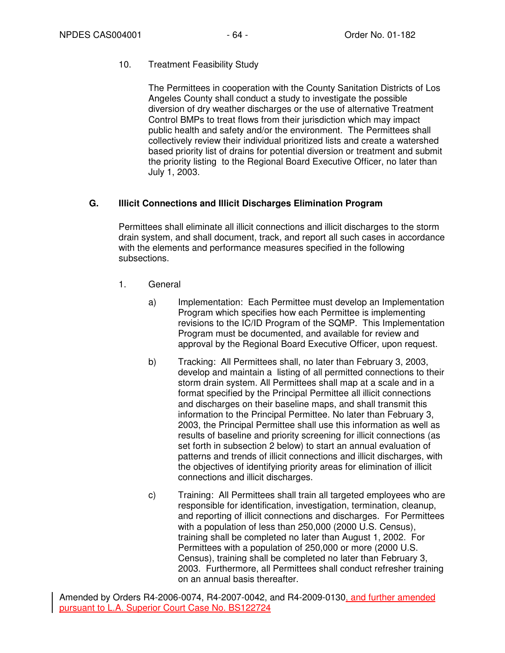# 10. Treatment Feasibility Study

The Permittees in cooperation with the County Sanitation Districts of Los Angeles County shall conduct a study to investigate the possible diversion of dry weather discharges or the use of alternative Treatment Control BMPs to treat flows from their jurisdiction which may impact public health and safety and/or the environment. The Permittees shall collectively review their individual prioritized lists and create a watershed based priority list of drains for potential diversion or treatment and submit the priority listing to the Regional Board Executive Officer, no later than July 1, 2003.

# **G. Illicit Connections and Illicit Discharges Elimination Program**

Permittees shall eliminate all illicit connections and illicit discharges to the storm drain system, and shall document, track, and report all such cases in accordance with the elements and performance measures specified in the following subsections.

- 1. General
	- a) Implementation: Each Permittee must develop an Implementation Program which specifies how each Permittee is implementing revisions to the IC/ID Program of the SQMP. This Implementation Program must be documented, and available for review and approval by the Regional Board Executive Officer, upon request.
	- b) Tracking: All Permittees shall, no later than February 3, 2003, develop and maintain a listing of all permitted connections to their storm drain system. All Permittees shall map at a scale and in a format specified by the Principal Permittee all illicit connections and discharges on their baseline maps, and shall transmit this information to the Principal Permittee. No later than February 3, 2003, the Principal Permittee shall use this information as well as results of baseline and priority screening for illicit connections (as set forth in subsection 2 below) to start an annual evaluation of patterns and trends of illicit connections and illicit discharges, with the objectives of identifying priority areas for elimination of illicit connections and illicit discharges.
	- c) Training: All Permittees shall train all targeted employees who are responsible for identification, investigation, termination, cleanup, and reporting of illicit connections and discharges. For Permittees with a population of less than 250,000 (2000 U.S. Census), training shall be completed no later than August 1, 2002. For Permittees with a population of 250,000 or more (2000 U.S. Census), training shall be completed no later than February 3, 2003. Furthermore, all Permittees shall conduct refresher training on an annual basis thereafter.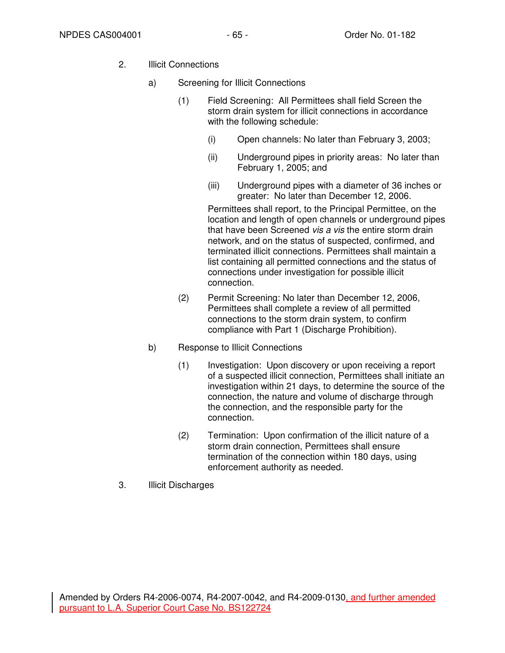- 2. Illicit Connections
	- a) Screening for Illicit Connections
		- (1) Field Screening: All Permittees shall field Screen the storm drain system for illicit connections in accordance with the following schedule:
			- (i) Open channels: No later than February 3, 2003;
			- (ii) Underground pipes in priority areas: No later than February 1, 2005; and
			- (iii) Underground pipes with a diameter of 36 inches or greater: No later than December 12, 2006.

Permittees shall report, to the Principal Permittee, on the location and length of open channels or underground pipes that have been Screened vis a vis the entire storm drain network, and on the status of suspected, confirmed, and terminated illicit connections. Permittees shall maintain a list containing all permitted connections and the status of connections under investigation for possible illicit connection.

- (2) Permit Screening: No later than December 12, 2006, Permittees shall complete a review of all permitted connections to the storm drain system, to confirm compliance with Part 1 (Discharge Prohibition).
- b) Response to Illicit Connections
	- (1) Investigation: Upon discovery or upon receiving a report of a suspected illicit connection, Permittees shall initiate an investigation within 21 days, to determine the source of the connection, the nature and volume of discharge through the connection, and the responsible party for the connection.
	- (2) Termination: Upon confirmation of the illicit nature of a storm drain connection, Permittees shall ensure termination of the connection within 180 days, using enforcement authority as needed.
- 3. Illicit Discharges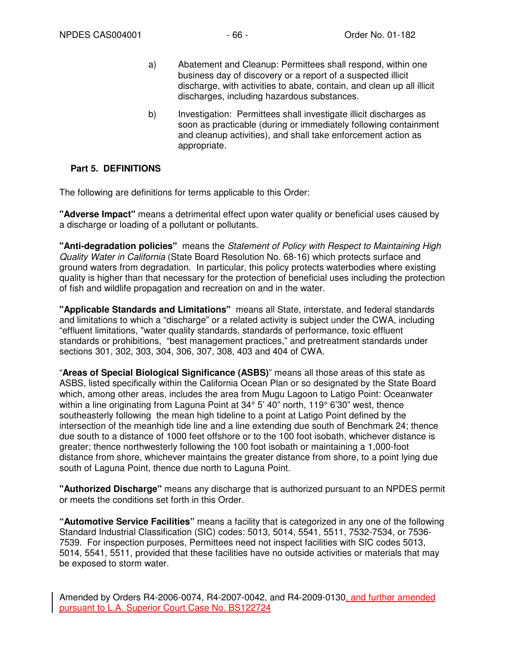- a) Abatement and Cleanup: Permittees shall respond, within one business day of discovery or a report of a suspected illicit discharge, with activities to abate, contain, and clean up all illicit discharges, including hazardous substances.
- b) Investigation: Permittees shall investigate illicit discharges as soon as practicable (during or immediately following containment and cleanup activities), and shall take enforcement action as appropriate.

### **Part 5. DEFINITIONS**

The following are definitions for terms applicable to this Order:

**"Adverse Impact"** means a detrimental effect upon water quality or beneficial uses caused by a discharge or loading of a pollutant or pollutants.

**"Anti-degradation policies"** means the Statement of Policy with Respect to Maintaining High Quality Water in California (State Board Resolution No. 68-16) which protects surface and ground waters from degradation. In particular, this policy protects waterbodies where existing quality is higher than that necessary for the protection of beneficial uses including the protection of fish and wildlife propagation and recreation on and in the water.

**"Applicable Standards and Limitations"** means all State, interstate, and federal standards and limitations to which a "discharge" or a related activity is subject under the CWA, including "effluent limitations, "water quality standards, standards of performance, toxic effluent standards or prohibitions, "best management practices," and pretreatment standards under sections 301, 302, 303, 304, 306, 307, 308, 403 and 404 of CWA.

"**Areas of Special Biological Significance (ASBS)**" means all those areas of this state as ASBS, listed specifically within the California Ocean Plan or so designated by the State Board which, among other areas, includes the area from Mugu Lagoon to Latigo Point: Oceanwater within a line originating from Laguna Point at 34° 5' 40" north, 119° 6'30" west, thence southeasterly following the mean high tideline to a point at Latigo Point defined by the intersection of the meanhigh tide line and a line extending due south of Benchmark 24; thence due south to a distance of 1000 feet offshore or to the 100 foot isobath, whichever distance is greater; thence northwesterly following the 100 foot isobath or maintaining a 1,000-foot distance from shore, whichever maintains the greater distance from shore, to a point lying due south of Laguna Point, thence due north to Laguna Point.

**"Authorized Discharge"** means any discharge that is authorized pursuant to an NPDES permit or meets the conditions set forth in this Order.

**"Automotive Service Facilities"** means a facility that is categorized in any one of the following Standard Industrial Classification (SIC) codes: 5013, 5014, 5541, 5511, 7532-7534, or 7536- 7539. For inspection purposes, Permittees need not inspect facilities with SIC codes 5013, 5014, 5541, 5511, provided that these facilities have no outside activities or materials that may be exposed to storm water.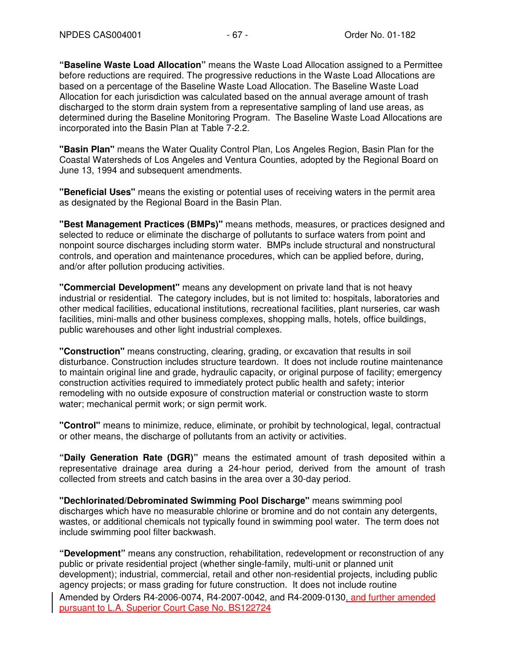**"Baseline Waste Load Allocation"** means the Waste Load Allocation assigned to a Permittee before reductions are required. The progressive reductions in the Waste Load Allocations are based on a percentage of the Baseline Waste Load Allocation. The Baseline Waste Load Allocation for each jurisdiction was calculated based on the annual average amount of trash discharged to the storm drain system from a representative sampling of land use areas, as determined during the Baseline Monitoring Program. The Baseline Waste Load Allocations are incorporated into the Basin Plan at Table 7-2.2.

**"Basin Plan"** means the Water Quality Control Plan, Los Angeles Region, Basin Plan for the Coastal Watersheds of Los Angeles and Ventura Counties, adopted by the Regional Board on June 13, 1994 and subsequent amendments.

**"Beneficial Uses"** means the existing or potential uses of receiving waters in the permit area as designated by the Regional Board in the Basin Plan.

**"Best Management Practices (BMPs)"** means methods, measures, or practices designed and selected to reduce or eliminate the discharge of pollutants to surface waters from point and nonpoint source discharges including storm water. BMPs include structural and nonstructural controls, and operation and maintenance procedures, which can be applied before, during, and/or after pollution producing activities.

**"Commercial Development"** means any development on private land that is not heavy industrial or residential. The category includes, but is not limited to: hospitals, laboratories and other medical facilities, educational institutions, recreational facilities, plant nurseries, car wash facilities, mini-malls and other business complexes, shopping malls, hotels, office buildings, public warehouses and other light industrial complexes.

**"Construction"** means constructing, clearing, grading, or excavation that results in soil disturbance. Construction includes structure teardown. It does not include routine maintenance to maintain original line and grade, hydraulic capacity, or original purpose of facility; emergency construction activities required to immediately protect public health and safety; interior remodeling with no outside exposure of construction material or construction waste to storm water; mechanical permit work; or sign permit work.

**"Control"** means to minimize, reduce, eliminate, or prohibit by technological, legal, contractual or other means, the discharge of pollutants from an activity or activities.

**"Daily Generation Rate (DGR)"** means the estimated amount of trash deposited within a representative drainage area during a 24-hour period, derived from the amount of trash collected from streets and catch basins in the area over a 30-day period.

**"Dechlorinated/Debrominated Swimming Pool Discharge"** means swimming pool discharges which have no measurable chlorine or bromine and do not contain any detergents, wastes, or additional chemicals not typically found in swimming pool water. The term does not include swimming pool filter backwash.

Amended by Orders R4-2006-0074, R4-2007-0042, and R4-2009-0130, and further amended pursuant to L.A. Superior Court Case No. BS122724 **"Development"** means any construction, rehabilitation, redevelopment or reconstruction of any public or private residential project (whether single-family, multi-unit or planned unit development); industrial, commercial, retail and other non-residential projects, including public agency projects; or mass grading for future construction. It does not include routine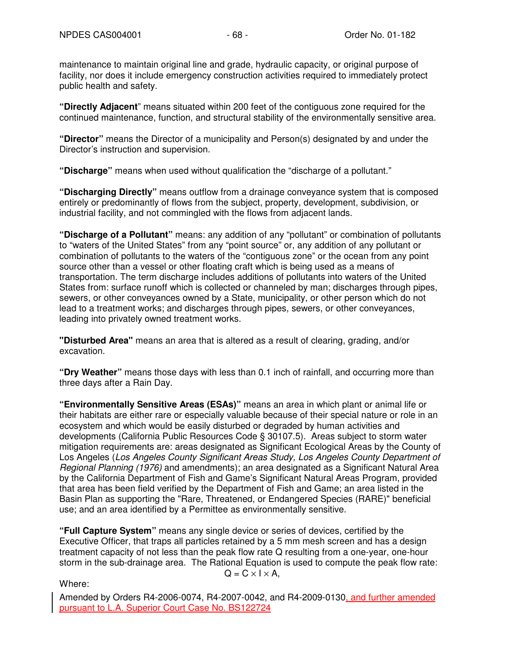maintenance to maintain original line and grade, hydraulic capacity, or original purpose of facility, nor does it include emergency construction activities required to immediately protect public health and safety.

**"Directly Adjacent**" means situated within 200 feet of the contiguous zone required for the continued maintenance, function, and structural stability of the environmentally sensitive area.

**"Director"** means the Director of a municipality and Person(s) designated by and under the Director's instruction and supervision.

**"Discharge"** means when used without qualification the "discharge of a pollutant."

**"Discharging Directly"** means outflow from a drainage conveyance system that is composed entirely or predominantly of flows from the subject, property, development, subdivision, or industrial facility, and not commingled with the flows from adjacent lands.

**"Discharge of a Pollutant"** means: any addition of any "pollutant" or combination of pollutants to "waters of the United States" from any "point source" or, any addition of any pollutant or combination of pollutants to the waters of the "contiguous zone" or the ocean from any point source other than a vessel or other floating craft which is being used as a means of transportation. The term discharge includes additions of pollutants into waters of the United States from: surface runoff which is collected or channeled by man; discharges through pipes, sewers, or other conveyances owned by a State, municipality, or other person which do not lead to a treatment works; and discharges through pipes, sewers, or other conveyances, leading into privately owned treatment works.

**"Disturbed Area"** means an area that is altered as a result of clearing, grading, and/or excavation.

**"Dry Weather"** means those days with less than 0.1 inch of rainfall, and occurring more than three days after a Rain Day.

**"Environmentally Sensitive Areas (ESAs)"** means an area in which plant or animal life or their habitats are either rare or especially valuable because of their special nature or role in an ecosystem and which would be easily disturbed or degraded by human activities and developments (California Public Resources Code § 30107.5). Areas subject to storm water mitigation requirements are: areas designated as Significant Ecological Areas by the County of Los Angeles (Los Angeles County Significant Areas Study, Los Angeles County Department of Regional Planning (1976) and amendments); an area designated as a Significant Natural Area by the California Department of Fish and Game's Significant Natural Areas Program, provided that area has been field verified by the Department of Fish and Game; an area listed in the Basin Plan as supporting the "Rare, Threatened, or Endangered Species (RARE)" beneficial use; and an area identified by a Permittee as environmentally sensitive.

**"Full Capture System"** means any single device or series of devices, certified by the Executive Officer, that traps all particles retained by a 5 mm mesh screen and has a design treatment capacity of not less than the peak flow rate Q resulting from a one-year, one-hour storm in the sub-drainage area. The Rational Equation is used to compute the peak flow rate:

Where:

$$
Q = C \times I \times A,
$$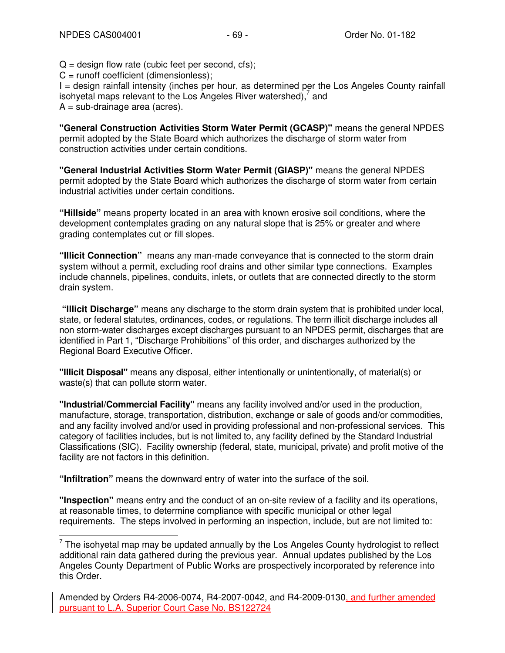$Q =$  design flow rate (cubic feet per second, cfs);

 $C =$  runoff coefficient (dimensionless);

I = design rainfall intensity (inches per hour, as determined per the Los Angeles County rainfall isohyetal maps relevant to the Los Angeles River watershed), $^7$  and  $A = sub-drainage area (acres).$ 

**"General Construction Activities Storm Water Permit (GCASP)"** means the general NPDES permit adopted by the State Board which authorizes the discharge of storm water from construction activities under certain conditions.

**"General Industrial Activities Storm Water Permit (GIASP)"** means the general NPDES permit adopted by the State Board which authorizes the discharge of storm water from certain industrial activities under certain conditions.

**"Hillside"** means property located in an area with known erosive soil conditions, where the development contemplates grading on any natural slope that is 25% or greater and where grading contemplates cut or fill slopes.

**"Illicit Connection"** means any man-made conveyance that is connected to the storm drain system without a permit, excluding roof drains and other similar type connections. Examples include channels, pipelines, conduits, inlets, or outlets that are connected directly to the storm drain system.

 **"Illicit Discharge"** means any discharge to the storm drain system that is prohibited under local, state, or federal statutes, ordinances, codes, or regulations. The term illicit discharge includes all non storm-water discharges except discharges pursuant to an NPDES permit, discharges that are identified in Part 1, "Discharge Prohibitions" of this order, and discharges authorized by the Regional Board Executive Officer.

**"Illicit Disposal"** means any disposal, either intentionally or unintentionally, of material(s) or waste(s) that can pollute storm water.

**"Industrial/Commercial Facility"** means any facility involved and/or used in the production, manufacture, storage, transportation, distribution, exchange or sale of goods and/or commodities, and any facility involved and/or used in providing professional and non-professional services. This category of facilities includes, but is not limited to, any facility defined by the Standard Industrial Classifications (SIC). Facility ownership (federal, state, municipal, private) and profit motive of the facility are not factors in this definition.

**"Infiltration"** means the downward entry of water into the surface of the soil.

**"Inspection"** means entry and the conduct of an on-site review of a facility and its operations, at reasonable times, to determine compliance with specific municipal or other legal requirements. The steps involved in performing an inspection, include, but are not limited to:

The isohyetal map may be updated annually by the Los Angeles County hydrologist to reflect additional rain data gathered during the previous year. Annual updates published by the Los Angeles County Department of Public Works are prospectively incorporated by reference into this Order.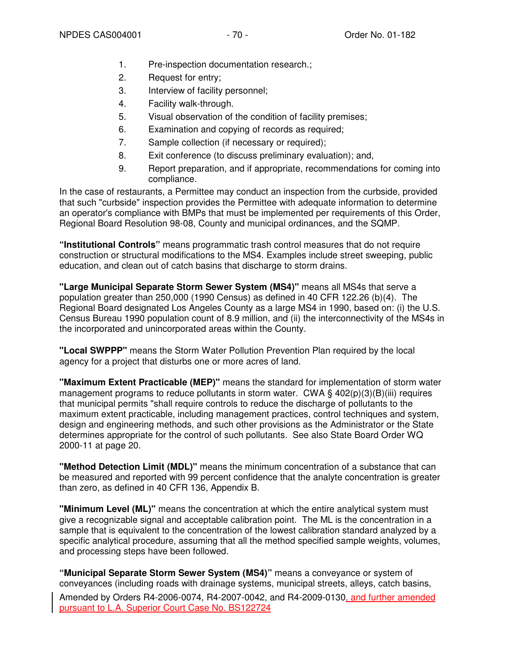- 1. Pre-inspection documentation research.;
- 2. Request for entry;
- 3. Interview of facility personnel;
- 4. Facility walk-through.
- 5. Visual observation of the condition of facility premises;
- 6. Examination and copying of records as required;
- 7. Sample collection (if necessary or required);
- 8. Exit conference (to discuss preliminary evaluation); and,
- 9. Report preparation, and if appropriate, recommendations for coming into compliance.

In the case of restaurants, a Permittee may conduct an inspection from the curbside, provided that such "curbside" inspection provides the Permittee with adequate information to determine an operator's compliance with BMPs that must be implemented per requirements of this Order, Regional Board Resolution 98-08, County and municipal ordinances, and the SQMP.

**"Institutional Controls"** means programmatic trash control measures that do not require construction or structural modifications to the MS4. Examples include street sweeping, public education, and clean out of catch basins that discharge to storm drains.

**"Large Municipal Separate Storm Sewer System (MS4)"** means all MS4s that serve a population greater than 250,000 (1990 Census) as defined in 40 CFR 122.26 (b)(4). The Regional Board designated Los Angeles County as a large MS4 in 1990, based on: (i) the U.S. Census Bureau 1990 population count of 8.9 million, and (ii) the interconnectivity of the MS4s in the incorporated and unincorporated areas within the County.

**"Local SWPPP"** means the Storm Water Pollution Prevention Plan required by the local agency for a project that disturbs one or more acres of land.

**"Maximum Extent Practicable (MEP)"** means the standard for implementation of storm water management programs to reduce pollutants in storm water. CWA  $\S$  402(p)(3)(B)(iii) requires that municipal permits "shall require controls to reduce the discharge of pollutants to the maximum extent practicable, including management practices, control techniques and system, design and engineering methods, and such other provisions as the Administrator or the State determines appropriate for the control of such pollutants. See also State Board Order WQ 2000-11 at page 20.

**"Method Detection Limit (MDL)"** means the minimum concentration of a substance that can be measured and reported with 99 percent confidence that the analyte concentration is greater than zero, as defined in 40 CFR 136, Appendix B.

**"Minimum Level (ML)"** means the concentration at which the entire analytical system must give a recognizable signal and acceptable calibration point. The ML is the concentration in a sample that is equivalent to the concentration of the lowest calibration standard analyzed by a specific analytical procedure, assuming that all the method specified sample weights, volumes, and processing steps have been followed.

Amended by Orders R4-2006-0074, R4-2007-0042, and R4-2009-0130, and further amended pursuant to L.A. Superior Court Case No. BS122724 **"Municipal Separate Storm Sewer System (MS4)"** means a conveyance or system of conveyances (including roads with drainage systems, municipal streets, alleys, catch basins,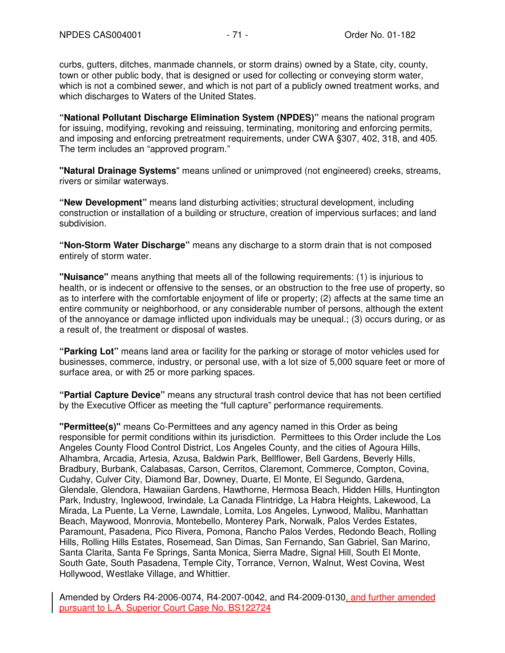curbs, gutters, ditches, manmade channels, or storm drains) owned by a State, city, county, town or other public body, that is designed or used for collecting or conveying storm water, which is not a combined sewer, and which is not part of a publicly owned treatment works, and which discharges to Waters of the United States.

**"National Pollutant Discharge Elimination System (NPDES)"** means the national program for issuing, modifying, revoking and reissuing, terminating, monitoring and enforcing permits, and imposing and enforcing pretreatment requirements, under CWA §307, 402, 318, and 405. The term includes an "approved program."

**"Natural Drainage Systems**" means unlined or unimproved (not engineered) creeks, streams, rivers or similar waterways.

**"New Development"** means land disturbing activities; structural development, including construction or installation of a building or structure, creation of impervious surfaces; and land subdivision.

**"Non-Storm Water Discharge"** means any discharge to a storm drain that is not composed entirely of storm water.

**"Nuisance"** means anything that meets all of the following requirements: (1) is injurious to health, or is indecent or offensive to the senses, or an obstruction to the free use of property, so as to interfere with the comfortable enjoyment of life or property; (2) affects at the same time an entire community or neighborhood, or any considerable number of persons, although the extent of the annoyance or damage inflicted upon individuals may be unequal.; (3) occurs during, or as a result of, the treatment or disposal of wastes.

**"Parking Lot"** means land area or facility for the parking or storage of motor vehicles used for businesses, commerce, industry, or personal use, with a lot size of 5,000 square feet or more of surface area, or with 25 or more parking spaces.

**"Partial Capture Device"** means any structural trash control device that has not been certified by the Executive Officer as meeting the "full capture" performance requirements.

**"Permittee(s)"** means Co-Permittees and any agency named in this Order as being responsible for permit conditions within its jurisdiction. Permittees to this Order include the Los Angeles County Flood Control District, Los Angeles County, and the cities of Agoura Hills, Alhambra, Arcadia, Artesia, Azusa, Baldwin Park, Bellflower, Bell Gardens, Beverly Hills, Bradbury, Burbank, Calabasas, Carson, Cerritos, Claremont, Commerce, Compton, Covina, Cudahy, Culver City, Diamond Bar, Downey, Duarte, El Monte, El Segundo, Gardena, Glendale, Glendora, Hawaiian Gardens, Hawthorne, Hermosa Beach, Hidden Hills, Huntington Park, Industry, Inglewood, Irwindale, La Canada Flintridge, La Habra Heights, Lakewood, La Mirada, La Puente, La Verne, Lawndale, Lomita, Los Angeles, Lynwood, Malibu, Manhattan Beach, Maywood, Monrovia, Montebello, Monterey Park, Norwalk, Palos Verdes Estates, Paramount, Pasadena, Pico Rivera, Pomona, Rancho Palos Verdes, Redondo Beach, Rolling Hills, Rolling Hills Estates, Rosemead, San Dimas, San Fernando, San Gabriel, San Marino, Santa Clarita, Santa Fe Springs, Santa Monica, Sierra Madre, Signal Hill, South El Monte, South Gate, South Pasadena, Temple City, Torrance, Vernon, Walnut, West Covina, West Hollywood, Westlake Village, and Whittier.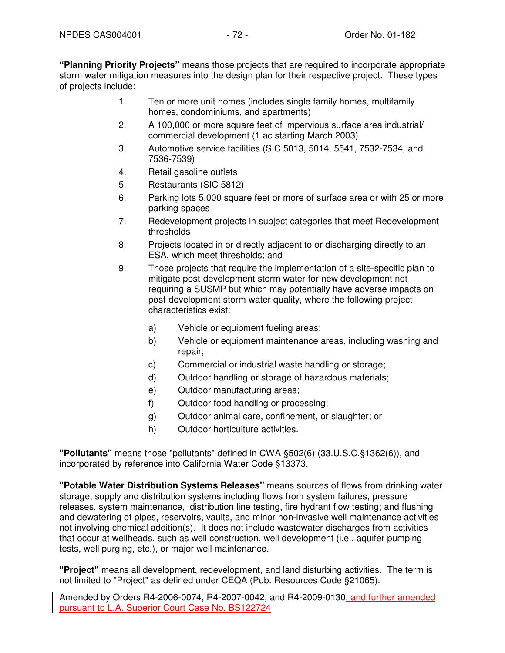**"Planning Priority Projects"** means those projects that are required to incorporate appropriate storm water mitigation measures into the design plan for their respective project. These types of projects include:

- 1. Ten or more unit homes (includes single family homes, multifamily homes, condominiums, and apartments)
- 2. A 100,000 or more square feet of impervious surface area industrial/ commercial development (1 ac starting March 2003)
- 3. Automotive service facilities (SIC 5013, 5014, 5541, 7532-7534, and 7536-7539)
- 4. Retail gasoline outlets
- 5. Restaurants (SIC 5812)
- 6. Parking lots 5,000 square feet or more of surface area or with 25 or more parking spaces
- 7. Redevelopment projects in subject categories that meet Redevelopment thresholds
- 8. Projects located in or directly adjacent to or discharging directly to an ESA, which meet thresholds; and
- 9. Those projects that require the implementation of a site-specific plan to mitigate post-development storm water for new development not requiring a SUSMP but which may potentially have adverse impacts on post-development storm water quality, where the following project characteristics exist:
	- a) Vehicle or equipment fueling areas;
	- b) Vehicle or equipment maintenance areas, including washing and repair;
	- c) Commercial or industrial waste handling or storage;
	- d) Outdoor handling or storage of hazardous materials;
	- e) Outdoor manufacturing areas;
	- f) Outdoor food handling or processing;
	- g) Outdoor animal care, confinement, or slaughter; or
	- h) Outdoor horticulture activities.

**"Pollutants"** means those "pollutants" defined in CWA §502(6) (33.U.S.C.§1362(6)), and incorporated by reference into California Water Code §13373.

**"Potable Water Distribution Systems Releases"** means sources of flows from drinking water storage, supply and distribution systems including flows from system failures, pressure releases, system maintenance, distribution line testing, fire hydrant flow testing; and flushing and dewatering of pipes, reservoirs, vaults, and minor non-invasive well maintenance activities not involving chemical addition(s). It does not include wastewater discharges from activities that occur at wellheads, such as well construction, well development (i.e., aquifer pumping tests, well purging, etc.), or major well maintenance.

**"Project"** means all development, redevelopment, and land disturbing activities. The term is not limited to "Project" as defined under CEQA (Pub. Resources Code §21065).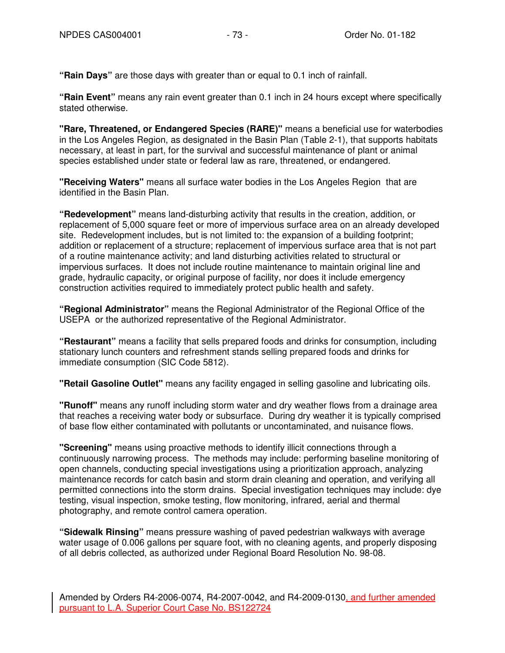**"Rain Days"** are those days with greater than or equal to 0.1 inch of rainfall.

**"Rain Event"** means any rain event greater than 0.1 inch in 24 hours except where specifically stated otherwise.

**"Rare, Threatened, or Endangered Species (RARE)"** means a beneficial use for waterbodies in the Los Angeles Region, as designated in the Basin Plan (Table 2-1), that supports habitats necessary, at least in part, for the survival and successful maintenance of plant or animal species established under state or federal law as rare, threatened, or endangered.

**"Receiving Waters"** means all surface water bodies in the Los Angeles Region that are identified in the Basin Plan.

**"Redevelopment"** means land-disturbing activity that results in the creation, addition, or replacement of 5,000 square feet or more of impervious surface area on an already developed site. Redevelopment includes, but is not limited to: the expansion of a building footprint; addition or replacement of a structure; replacement of impervious surface area that is not part of a routine maintenance activity; and land disturbing activities related to structural or impervious surfaces. It does not include routine maintenance to maintain original line and grade, hydraulic capacity, or original purpose of facility, nor does it include emergency construction activities required to immediately protect public health and safety.

**"Regional Administrator"** means the Regional Administrator of the Regional Office of the USEPA or the authorized representative of the Regional Administrator.

**"Restaurant"** means a facility that sells prepared foods and drinks for consumption, including stationary lunch counters and refreshment stands selling prepared foods and drinks for immediate consumption (SIC Code 5812).

**"Retail Gasoline Outlet"** means any facility engaged in selling gasoline and lubricating oils.

**"Runoff"** means any runoff including storm water and dry weather flows from a drainage area that reaches a receiving water body or subsurface. During dry weather it is typically comprised of base flow either contaminated with pollutants or uncontaminated, and nuisance flows.

**"Screening"** means using proactive methods to identify illicit connections through a continuously narrowing process. The methods may include: performing baseline monitoring of open channels, conducting special investigations using a prioritization approach, analyzing maintenance records for catch basin and storm drain cleaning and operation, and verifying all permitted connections into the storm drains. Special investigation techniques may include: dye testing, visual inspection, smoke testing, flow monitoring, infrared, aerial and thermal photography, and remote control camera operation.

**"Sidewalk Rinsing"** means pressure washing of paved pedestrian walkways with average water usage of 0.006 gallons per square foot, with no cleaning agents, and properly disposing of all debris collected, as authorized under Regional Board Resolution No. 98-08.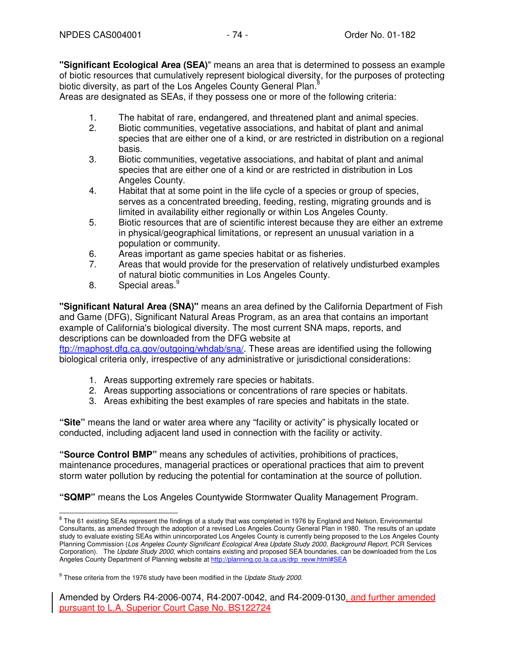**"Significant Ecological Area (SEA)**" means an area that is determined to possess an example of biotic resources that cumulatively represent biological diversity, for the purposes of protecting biotic diversity, as part of the Los Angeles County General Plan.<sup>8</sup>

Areas are designated as SEAs, if they possess one or more of the following criteria:

- 1. The habitat of rare, endangered, and threatened plant and animal species.
- 2. Biotic communities, vegetative associations, and habitat of plant and animal species that are either one of a kind, or are restricted in distribution on a regional basis.
- 3. Biotic communities, vegetative associations, and habitat of plant and animal species that are either one of a kind or are restricted in distribution in Los Angeles County.
- 4. Habitat that at some point in the life cycle of a species or group of species, serves as a concentrated breeding, feeding, resting, migrating grounds and is limited in availability either regionally or within Los Angeles County.
- 5. Biotic resources that are of scientific interest because they are either an extreme in physical/geographical limitations, or represent an unusual variation in a population or community.
- 6. Areas important as game species habitat or as fisheries.
- 7. Areas that would provide for the preservation of relatively undisturbed examples of natural biotic communities in Los Angeles County.
- 8. Special areas.

**"Significant Natural Area (SNA)"** means an area defined by the California Department of Fish and Game (DFG), Significant Natural Areas Program, as an area that contains an important example of California's biological diversity. The most current SNA maps, reports, and descriptions can be downloaded from the DFG website at ftp://maphost.dfg.ca.gov/outgoing/whdab/sna/. These areas are identified using the following biological criteria only, irrespective of any administrative or jurisdictional considerations:

- 1. Areas supporting extremely rare species or habitats.
- 2. Areas supporting associations or concentrations of rare species or habitats.
- 3. Areas exhibiting the best examples of rare species and habitats in the state.

**"Site"** means the land or water area where any "facility or activity" is physically located or conducted, including adjacent land used in connection with the facility or activity.

**"Source Control BMP"** means any schedules of activities, prohibitions of practices, maintenance procedures, managerial practices or operational practices that aim to prevent storm water pollution by reducing the potential for contamination at the source of pollution.

**"SQMP"** means the Los Angeles Countywide Stormwater Quality Management Program.

 8 The 61 existing SEAs represent the findings of a study that was completed in 1976 by England and Nelson, Environmental Consultants, as amended through the adoption of a revised Los Angeles County General Plan in 1980. The results of an update study to evaluate existing SEAs within unincorporated Los Angeles County is currently being proposed to the Los Angeles County Planning Commission (Los Angeles County Significant Ecological Area Update Study 2000, Background Report, PCR Services Corporation). The Update Study 2000, which contains existing and proposed SEA boundaries, can be downloaded from the Los Angeles County Department of Planning website at http://planning.co.la.ca.us/drp\_revw.html#SEA

 $9$  These criteria from the 1976 study have been modified in the Update Study 2000.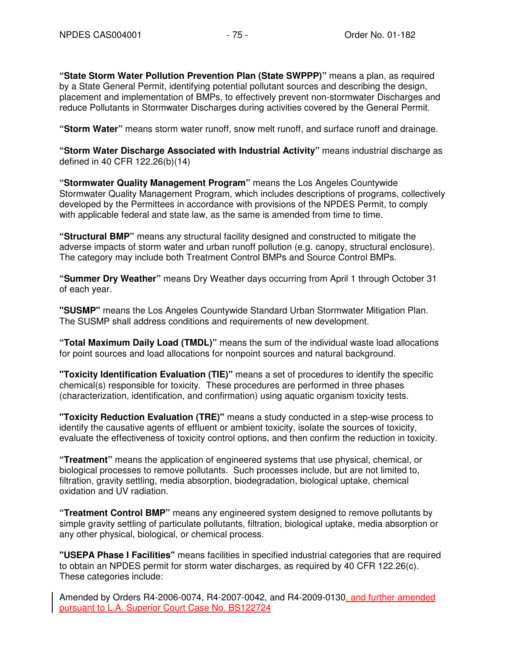**"State Storm Water Pollution Prevention Plan (State SWPPP)"** means a plan, as required by a State General Permit, identifying potential pollutant sources and describing the design, placement and implementation of BMPs, to effectively prevent non-stormwater Discharges and reduce Pollutants in Stormwater Discharges during activities covered by the General Permit.

**"Storm Water"** means storm water runoff, snow melt runoff, and surface runoff and drainage.

**"Storm Water Discharge Associated with Industrial Activity"** means industrial discharge as defined in 40 CFR 122.26(b)(14)

**"Stormwater Quality Management Program"** means the Los Angeles Countywide Stormwater Quality Management Program, which includes descriptions of programs, collectively developed by the Permittees in accordance with provisions of the NPDES Permit, to comply with applicable federal and state law, as the same is amended from time to time.

**"Structural BMP"** means any structural facility designed and constructed to mitigate the adverse impacts of storm water and urban runoff pollution (e.g. canopy, structural enclosure). The category may include both Treatment Control BMPs and Source Control BMPs.

**"Summer Dry Weather"** means Dry Weather days occurring from April 1 through October 31 of each year.

**"SUSMP"** means the Los Angeles Countywide Standard Urban Stormwater Mitigation Plan. The SUSMP shall address conditions and requirements of new development.

**"Total Maximum Daily Load (TMDL)"** means the sum of the individual waste load allocations for point sources and load allocations for nonpoint sources and natural background.

**"Toxicity Identification Evaluation (TIE)"** means a set of procedures to identify the specific chemical(s) responsible for toxicity. These procedures are performed in three phases (characterization, identification, and confirmation) using aquatic organism toxicity tests.

**"Toxicity Reduction Evaluation (TRE)"** means a study conducted in a step-wise process to identify the causative agents of effluent or ambient toxicity, isolate the sources of toxicity, evaluate the effectiveness of toxicity control options, and then confirm the reduction in toxicity.

**"Treatment"** means the application of engineered systems that use physical, chemical, or biological processes to remove pollutants. Such processes include, but are not limited to, filtration, gravity settling, media absorption, biodegradation, biological uptake, chemical oxidation and UV radiation.

**"Treatment Control BMP"** means any engineered system designed to remove pollutants by simple gravity settling of particulate pollutants, filtration, biological uptake, media absorption or any other physical, biological, or chemical process.

**"USEPA Phase I Facilities"** means facilities in specified industrial categories that are required to obtain an NPDES permit for storm water discharges, as required by 40 CFR 122.26(c). These categories include: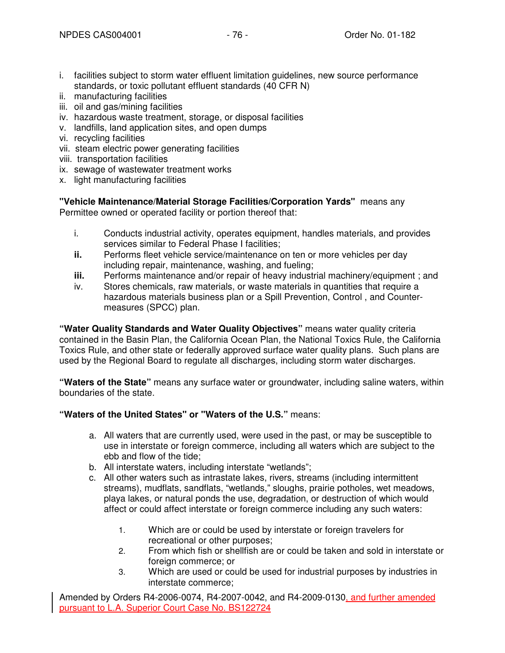- i. facilities subject to storm water effluent limitation guidelines, new source performance standards, or toxic pollutant effluent standards (40 CFR N)
- ii. manufacturing facilities
- iii. oil and gas/mining facilities
- iv. hazardous waste treatment, storage, or disposal facilities
- v. landfills, land application sites, and open dumps
- vi. recycling facilities
- vii. steam electric power generating facilities
- viii. transportation facilities
- ix. sewage of wastewater treatment works
- x. light manufacturing facilities

**"Vehicle Maintenance/Material Storage Facilities/Corporation Yards"** means any Permittee owned or operated facility or portion thereof that:

- i. Conducts industrial activity, operates equipment, handles materials, and provides services similar to Federal Phase I facilities:
- **ii.** Performs fleet vehicle service/maintenance on ten or more vehicles per day including repair, maintenance, washing, and fueling;
- **iii.** Performs maintenance and/or repair of heavy industrial machinery/equipment; and
- iv. Stores chemicals, raw materials, or waste materials in quantities that require a hazardous materials business plan or a Spill Prevention, Control , and Countermeasures (SPCC) plan.

**"Water Quality Standards and Water Quality Objectives"** means water quality criteria contained in the Basin Plan, the California Ocean Plan, the National Toxics Rule, the California Toxics Rule, and other state or federally approved surface water quality plans. Such plans are used by the Regional Board to regulate all discharges, including storm water discharges.

**"Waters of the State"** means any surface water or groundwater, including saline waters, within boundaries of the state.

### **"Waters of the United States" or "Waters of the U.S."** means:

- a. All waters that are currently used, were used in the past, or may be susceptible to use in interstate or foreign commerce, including all waters which are subject to the ebb and flow of the tide;
- b. All interstate waters, including interstate "wetlands";
- c. All other waters such as intrastate lakes, rivers, streams (including intermittent streams), mudflats, sandflats, "wetlands," sloughs, prairie potholes, wet meadows, playa lakes, or natural ponds the use, degradation, or destruction of which would affect or could affect interstate or foreign commerce including any such waters:
	- 1. Which are or could be used by interstate or foreign travelers for recreational or other purposes;
	- 2. From which fish or shellfish are or could be taken and sold in interstate or foreign commerce; or
	- 3. Which are used or could be used for industrial purposes by industries in interstate commerce;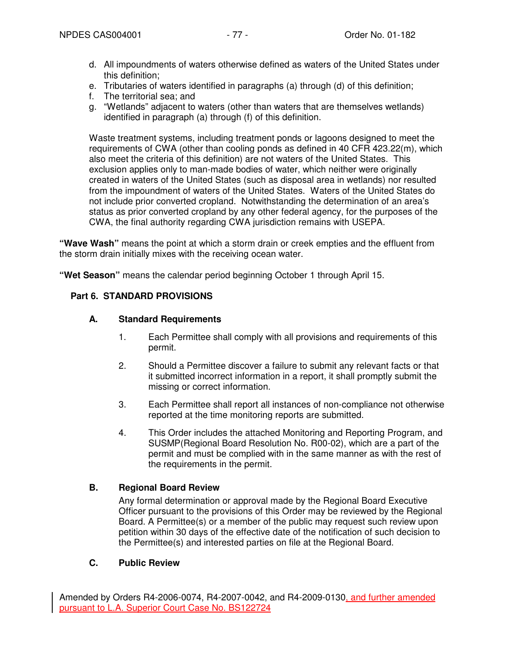- d. All impoundments of waters otherwise defined as waters of the United States under this definition;
- e. Tributaries of waters identified in paragraphs (a) through (d) of this definition;
- f. The territorial sea; and
- g. "Wetlands" adjacent to waters (other than waters that are themselves wetlands) identified in paragraph (a) through (f) of this definition.

Waste treatment systems, including treatment ponds or lagoons designed to meet the requirements of CWA (other than cooling ponds as defined in 40 CFR 423.22(m), which also meet the criteria of this definition) are not waters of the United States. This exclusion applies only to man-made bodies of water, which neither were originally created in waters of the United States (such as disposal area in wetlands) nor resulted from the impoundment of waters of the United States. Waters of the United States do not include prior converted cropland. Notwithstanding the determination of an area's status as prior converted cropland by any other federal agency, for the purposes of the CWA, the final authority regarding CWA jurisdiction remains with USEPA.

**"Wave Wash"** means the point at which a storm drain or creek empties and the effluent from the storm drain initially mixes with the receiving ocean water.

**"Wet Season"** means the calendar period beginning October 1 through April 15.

### **Part 6. STANDARD PROVISIONS**

### **A. Standard Requirements**

- 1. Each Permittee shall comply with all provisions and requirements of this permit.
- 2. Should a Permittee discover a failure to submit any relevant facts or that it submitted incorrect information in a report, it shall promptly submit the missing or correct information.
- 3. Each Permittee shall report all instances of non-compliance not otherwise reported at the time monitoring reports are submitted.
- 4. This Order includes the attached Monitoring and Reporting Program, and SUSMP(Regional Board Resolution No. R00-02), which are a part of the permit and must be complied with in the same manner as with the rest of the requirements in the permit.

### **B. Regional Board Review**

Any formal determination or approval made by the Regional Board Executive Officer pursuant to the provisions of this Order may be reviewed by the Regional Board. A Permittee(s) or a member of the public may request such review upon petition within 30 days of the effective date of the notification of such decision to the Permittee(s) and interested parties on file at the Regional Board.

### **C. Public Review**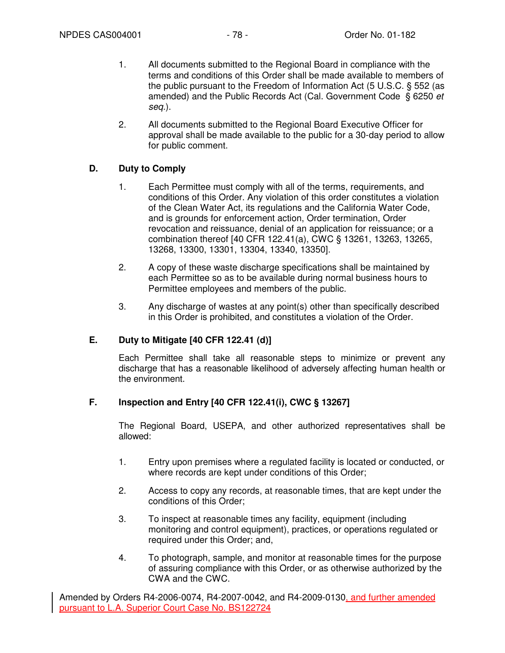- 1. All documents submitted to the Regional Board in compliance with the terms and conditions of this Order shall be made available to members of the public pursuant to the Freedom of Information Act (5 U.S.C. § 552 (as amended) and the Public Records Act (Cal. Government Code § 6250 et seq.).
- 2. All documents submitted to the Regional Board Executive Officer for approval shall be made available to the public for a 30-day period to allow for public comment.

# **D. Duty to Comply**

- 1. Each Permittee must comply with all of the terms, requirements, and conditions of this Order. Any violation of this order constitutes a violation of the Clean Water Act, its regulations and the California Water Code, and is grounds for enforcement action, Order termination, Order revocation and reissuance, denial of an application for reissuance; or a combination thereof [40 CFR 122.41(a), CWC § 13261, 13263, 13265, 13268, 13300, 13301, 13304, 13340, 13350].
- 2. A copy of these waste discharge specifications shall be maintained by each Permittee so as to be available during normal business hours to Permittee employees and members of the public.
- 3. Any discharge of wastes at any point(s) other than specifically described in this Order is prohibited, and constitutes a violation of the Order.

### **E. Duty to Mitigate [40 CFR 122.41 (d)]**

Each Permittee shall take all reasonable steps to minimize or prevent any discharge that has a reasonable likelihood of adversely affecting human health or the environment.

### **F. Inspection and Entry [40 CFR 122.41(i), CWC § 13267]**

The Regional Board, USEPA, and other authorized representatives shall be allowed:

- 1. Entry upon premises where a regulated facility is located or conducted, or where records are kept under conditions of this Order;
- 2. Access to copy any records, at reasonable times, that are kept under the conditions of this Order;
- 3. To inspect at reasonable times any facility, equipment (including monitoring and control equipment), practices, or operations regulated or required under this Order; and,
- 4. To photograph, sample, and monitor at reasonable times for the purpose of assuring compliance with this Order, or as otherwise authorized by the CWA and the CWC.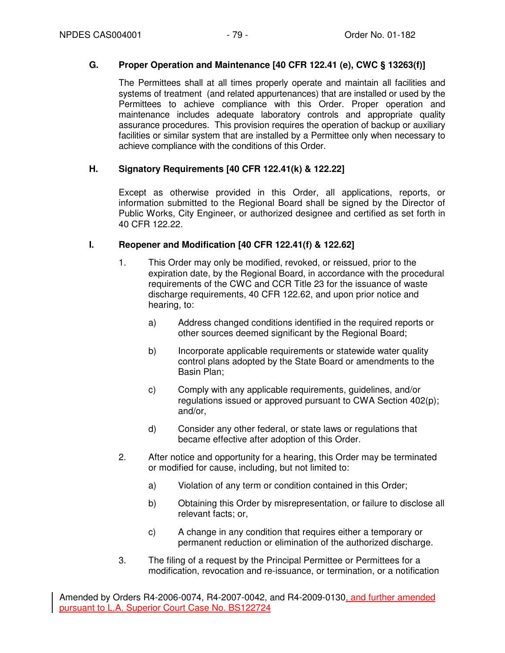## **G. Proper Operation and Maintenance [40 CFR 122.41 (e), CWC § 13263(f)]**

The Permittees shall at all times properly operate and maintain all facilities and systems of treatment (and related appurtenances) that are installed or used by the Permittees to achieve compliance with this Order. Proper operation and maintenance includes adequate laboratory controls and appropriate quality assurance procedures. This provision requires the operation of backup or auxiliary facilities or similar system that are installed by a Permittee only when necessary to achieve compliance with the conditions of this Order.

## **H. Signatory Requirements [40 CFR 122.41(k) & 122.22]**

Except as otherwise provided in this Order, all applications, reports, or information submitted to the Regional Board shall be signed by the Director of Public Works, City Engineer, or authorized designee and certified as set forth in 40 CFR 122.22.

### **I. Reopener and Modification [40 CFR 122.41(f) & 122.62]**

- 1. This Order may only be modified, revoked, or reissued, prior to the expiration date, by the Regional Board, in accordance with the procedural requirements of the CWC and CCR Title 23 for the issuance of waste discharge requirements, 40 CFR 122.62, and upon prior notice and hearing, to:
	- a) Address changed conditions identified in the required reports or other sources deemed significant by the Regional Board;
	- b) Incorporate applicable requirements or statewide water quality control plans adopted by the State Board or amendments to the Basin Plan;
	- c) Comply with any applicable requirements, guidelines, and/or regulations issued or approved pursuant to CWA Section 402(p); and/or,
	- d) Consider any other federal, or state laws or regulations that became effective after adoption of this Order.
- 2. After notice and opportunity for a hearing, this Order may be terminated or modified for cause, including, but not limited to:
	- a) Violation of any term or condition contained in this Order;
	- b) Obtaining this Order by misrepresentation, or failure to disclose all relevant facts; or,
	- c) A change in any condition that requires either a temporary or permanent reduction or elimination of the authorized discharge.
- 3. The filing of a request by the Principal Permittee or Permittees for a modification, revocation and re-issuance, or termination, or a notification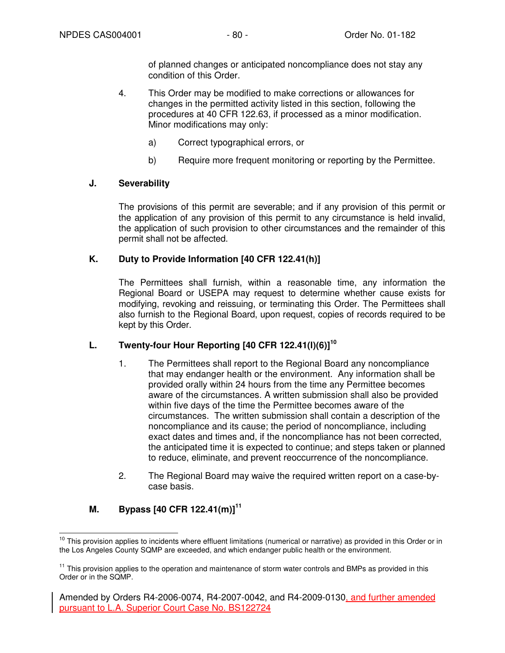of planned changes or anticipated noncompliance does not stay any condition of this Order.

- 4. This Order may be modified to make corrections or allowances for changes in the permitted activity listed in this section, following the procedures at 40 CFR 122.63, if processed as a minor modification. Minor modifications may only:
	- a) Correct typographical errors, or
	- b) Require more frequent monitoring or reporting by the Permittee.

# **J. Severability**

The provisions of this permit are severable; and if any provision of this permit or the application of any provision of this permit to any circumstance is held invalid, the application of such provision to other circumstances and the remainder of this permit shall not be affected.

# **K. Duty to Provide Information [40 CFR 122.41(h)]**

The Permittees shall furnish, within a reasonable time, any information the Regional Board or USEPA may request to determine whether cause exists for modifying, revoking and reissuing, or terminating this Order. The Permittees shall also furnish to the Regional Board, upon request, copies of records required to be kept by this Order.

# **L. Twenty-four Hour Reporting [40 CFR 122.41(l)(6)]<sup>10</sup>**

- 1. The Permittees shall report to the Regional Board any noncompliance that may endanger health or the environment. Any information shall be provided orally within 24 hours from the time any Permittee becomes aware of the circumstances. A written submission shall also be provided within five days of the time the Permittee becomes aware of the circumstances. The written submission shall contain a description of the noncompliance and its cause; the period of noncompliance, including exact dates and times and, if the noncompliance has not been corrected, the anticipated time it is expected to continue; and steps taken or planned to reduce, eliminate, and prevent reoccurrence of the noncompliance.
- 2. The Regional Board may waive the required written report on a case-bycase basis.

# **M. Bypass [40 CFR 122.41(m)]<sup>11</sup>**

j <sup>10</sup> This provision applies to incidents where effluent limitations (numerical or narrative) as provided in this Order or in the Los Angeles County SQMP are exceeded, and which endanger public health or the environment.

 $11$  This provision applies to the operation and maintenance of storm water controls and BMPs as provided in this Order or in the SQMP.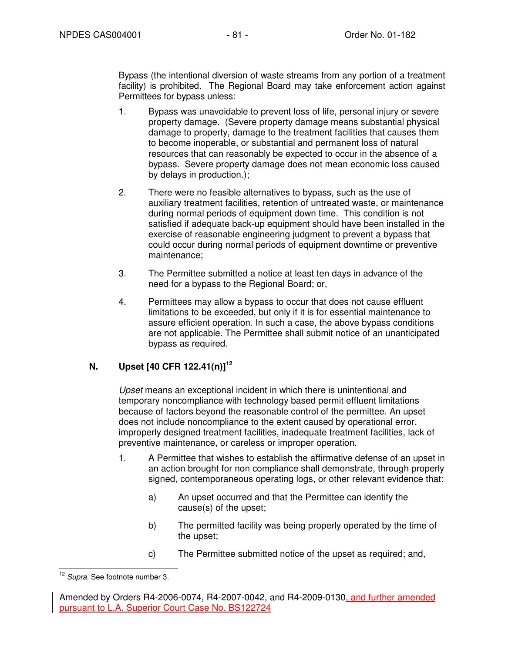Bypass (the intentional diversion of waste streams from any portion of a treatment facility) is prohibited. The Regional Board may take enforcement action against Permittees for bypass unless:

- 1. Bypass was unavoidable to prevent loss of life, personal injury or severe property damage. (Severe property damage means substantial physical damage to property, damage to the treatment facilities that causes them to become inoperable, or substantial and permanent loss of natural resources that can reasonably be expected to occur in the absence of a bypass. Severe property damage does not mean economic loss caused by delays in production.);
- 2. There were no feasible alternatives to bypass, such as the use of auxiliary treatment facilities, retention of untreated waste, or maintenance during normal periods of equipment down time. This condition is not satisfied if adequate back-up equipment should have been installed in the exercise of reasonable engineering judgment to prevent a bypass that could occur during normal periods of equipment downtime or preventive maintenance;
- 3. The Permittee submitted a notice at least ten days in advance of the need for a bypass to the Regional Board; or,
- 4. Permittees may allow a bypass to occur that does not cause effluent limitations to be exceeded, but only if it is for essential maintenance to assure efficient operation. In such a case, the above bypass conditions are not applicable. The Permittee shall submit notice of an unanticipated bypass as required.

# **N. Upset [40 CFR 122.41(n)]<sup>12</sup>**

Upset means an exceptional incident in which there is unintentional and temporary noncompliance with technology based permit effluent limitations because of factors beyond the reasonable control of the permittee. An upset does not include noncompliance to the extent caused by operational error, improperly designed treatment facilities, inadequate treatment facilities, lack of preventive maintenance, or careless or improper operation.

- 1. A Permittee that wishes to establish the affirmative defense of an upset in an action brought for non compliance shall demonstrate, through properly signed, contemporaneous operating logs, or other relevant evidence that:
	- a) An upset occurred and that the Permittee can identify the cause(s) of the upset;
	- b) The permitted facility was being properly operated by the time of the upset;
	- c) The Permittee submitted notice of the upset as required; and,

j <sup>12</sup> Supra. See footnote number 3.

Amended by Orders R4-2006-0074, R4-2007-0042, and R4-2009-0130, and further amended pursuant to L.A. Superior Court Case No. BS122724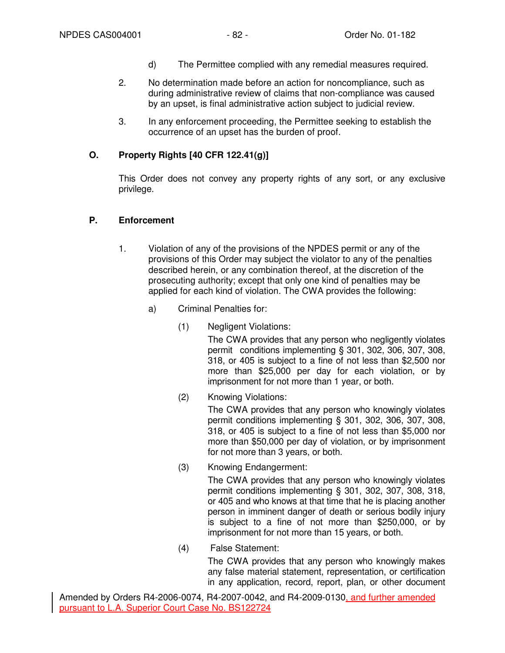- d) The Permittee complied with any remedial measures required.
- 2. No determination made before an action for noncompliance, such as during administrative review of claims that non-compliance was caused by an upset, is final administrative action subject to judicial review.
- 3. In any enforcement proceeding, the Permittee seeking to establish the occurrence of an upset has the burden of proof.

## **O. Property Rights [40 CFR 122.41(g)]**

This Order does not convey any property rights of any sort, or any exclusive privilege.

#### **P. Enforcement**

- 1. Violation of any of the provisions of the NPDES permit or any of the provisions of this Order may subject the violator to any of the penalties described herein, or any combination thereof, at the discretion of the prosecuting authority; except that only one kind of penalties may be applied for each kind of violation. The CWA provides the following:
	- a) Criminal Penalties for:
		- (1) Negligent Violations:

The CWA provides that any person who negligently violates permit conditions implementing § 301, 302, 306, 307, 308, 318, or 405 is subject to a fine of not less than \$2,500 nor more than \$25,000 per day for each violation, or by imprisonment for not more than 1 year, or both.

(2) Knowing Violations:

The CWA provides that any person who knowingly violates permit conditions implementing § 301, 302, 306, 307, 308, 318, or 405 is subject to a fine of not less than \$5,000 nor more than \$50,000 per day of violation, or by imprisonment for not more than 3 years, or both.

(3) Knowing Endangerment:

The CWA provides that any person who knowingly violates permit conditions implementing § 301, 302, 307, 308, 318, or 405 and who knows at that time that he is placing another person in imminent danger of death or serious bodily injury is subject to a fine of not more than \$250,000, or by imprisonment for not more than 15 years, or both.

(4) False Statement:

The CWA provides that any person who knowingly makes any false material statement, representation, or certification in any application, record, report, plan, or other document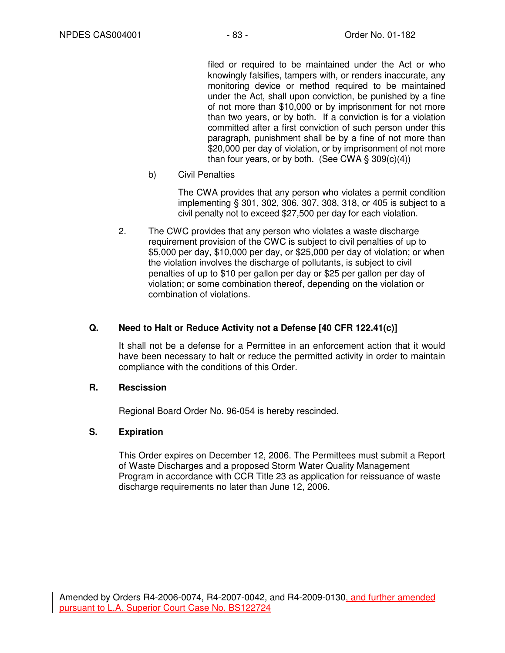filed or required to be maintained under the Act or who knowingly falsifies, tampers with, or renders inaccurate, any monitoring device or method required to be maintained under the Act, shall upon conviction, be punished by a fine of not more than \$10,000 or by imprisonment for not more than two years, or by both. If a conviction is for a violation committed after a first conviction of such person under this paragraph, punishment shall be by a fine of not more than \$20,000 per day of violation, or by imprisonment of not more than four years, or by both. (See CWA  $\S$  309(c)(4))

b) Civil Penalties

The CWA provides that any person who violates a permit condition implementing § 301, 302, 306, 307, 308, 318, or 405 is subject to a civil penalty not to exceed \$27,500 per day for each violation.

2. The CWC provides that any person who violates a waste discharge requirement provision of the CWC is subject to civil penalties of up to \$5,000 per day, \$10,000 per day, or \$25,000 per day of violation; or when the violation involves the discharge of pollutants, is subject to civil penalties of up to \$10 per gallon per day or \$25 per gallon per day of violation; or some combination thereof, depending on the violation or combination of violations.

# **Q. Need to Halt or Reduce Activity not a Defense [40 CFR 122.41(c)]**

It shall not be a defense for a Permittee in an enforcement action that it would have been necessary to halt or reduce the permitted activity in order to maintain compliance with the conditions of this Order.

### **R. Rescission**

Regional Board Order No. 96-054 is hereby rescinded.

### **S. Expiration**

This Order expires on December 12, 2006. The Permittees must submit a Report of Waste Discharges and a proposed Storm Water Quality Management Program in accordance with CCR Title 23 as application for reissuance of waste discharge requirements no later than June 12, 2006.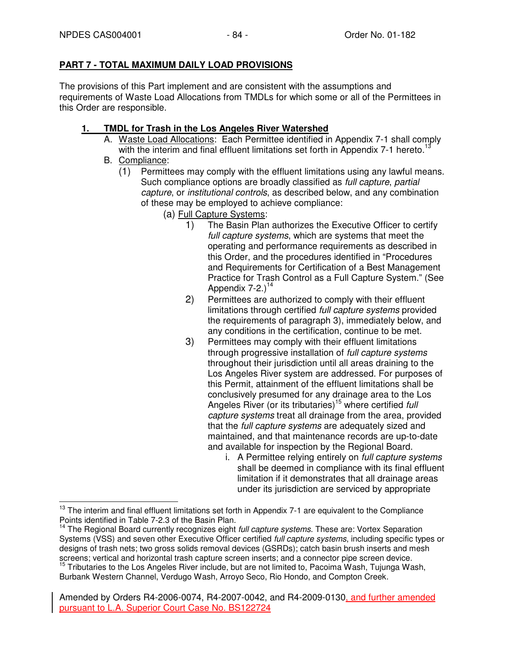# **PART 7 - TOTAL MAXIMUM DAILY LOAD PROVISIONS**

The provisions of this Part implement and are consistent with the assumptions and requirements of Waste Load Allocations from TMDLs for which some or all of the Permittees in this Order are responsible.

# **1. TMDL for Trash in the Los Angeles River Watershed**

- A. Waste Load Allocations: Each Permittee identified in Appendix 7-1 shall comply with the interim and final effluent limitations set forth in Appendix 7-1 hereto.<sup>1</sup>
- B. Compliance:
	- (1) Permittees may comply with the effluent limitations using any lawful means. Such compliance options are broadly classified as *full capture*, partial capture, or institutional controls, as described below, and any combination of these may be employed to achieve compliance:
		- (a) Full Capture Systems:
			- 1) The Basin Plan authorizes the Executive Officer to certify full capture systems, which are systems that meet the operating and performance requirements as described in this Order, and the procedures identified in "Procedures and Requirements for Certification of a Best Management Practice for Trash Control as a Full Capture System." (See Appendix  $7-2.1$ <sup>14</sup>
			- 2) Permittees are authorized to comply with their effluent limitations through certified full capture systems provided the requirements of paragraph 3), immediately below, and any conditions in the certification, continue to be met.
			- 3) Permittees may comply with their effluent limitations through progressive installation of *full capture systems* throughout their jurisdiction until all areas draining to the Los Angeles River system are addressed. For purposes of this Permit, attainment of the effluent limitations shall be conclusively presumed for any drainage area to the Los Angeles River (or its tributaries)<sup>15</sup> where certified full capture systems treat all drainage from the area, provided that the full capture systems are adequately sized and maintained, and that maintenance records are up-to-date and available for inspection by the Regional Board.
				- i. A Permittee relying entirely on full capture systems shall be deemed in compliance with its final effluent limitation if it demonstrates that all drainage areas under its jurisdiction are serviced by appropriate

j <sup>13</sup> The interim and final effluent limitations set forth in Appendix 7-1 are equivalent to the Compliance Points identified in Table 7-2.3 of the Basin Plan.

The Regional Board currently recognizes eight full capture systems. These are: Vortex Separation Systems (VSS) and seven other Executive Officer certified full capture systems, including specific types or designs of trash nets; two gross solids removal devices (GSRDs); catch basin brush inserts and mesh screens; vertical and horizontal trash capture screen inserts; and a connector pipe screen device. <sup>15</sup> Tributaries to the Los Angeles River include, but are not limited to, Pacoima Wash, Tujunga Wash, Burbank Western Channel, Verdugo Wash, Arroyo Seco, Rio Hondo, and Compton Creek.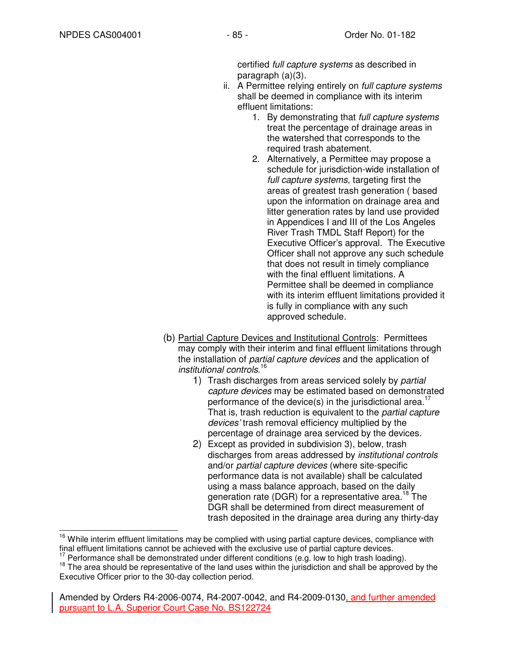certified full capture systems as described in paragraph (a)(3).

- ii. A Permittee relying entirely on *full capture systems* shall be deemed in compliance with its interim effluent limitations:
	- 1. By demonstrating that full capture systems treat the percentage of drainage areas in the watershed that corresponds to the required trash abatement.
	- 2. Alternatively, a Permittee may propose a schedule for jurisdiction-wide installation of full capture systems, targeting first the areas of greatest trash generation ( based upon the information on drainage area and litter generation rates by land use provided in Appendices I and III of the Los Angeles River Trash TMDL Staff Report) for the Executive Officer's approval. The Executive Officer shall not approve any such schedule that does not result in timely compliance with the final effluent limitations. A Permittee shall be deemed in compliance with its interim effluent limitations provided it is fully in compliance with any such approved schedule.
- (b) Partial Capture Devices and Institutional Controls: Permittees may comply with their interim and final effluent limitations through the installation of *partial capture devices* and the application of institutional controls. 16
	- 1) Trash discharges from areas serviced solely by partial capture devices may be estimated based on demonstrated performance of the device(s) in the jurisdictional area.<sup>1</sup> That is, trash reduction is equivalent to the *partial capture* devices' trash removal efficiency multiplied by the percentage of drainage area serviced by the devices.
	- 2) Except as provided in subdivision 3), below, trash discharges from areas addressed by institutional controls and/or partial capture devices (where site-specific performance data is not available) shall be calculated using a mass balance approach, based on the daily generation rate (DGR) for a representative area.<sup>18</sup> The DGR shall be determined from direct measurement of trash deposited in the drainage area during any thirty-day

 $\overline{a}$ <sup>16</sup> While interim effluent limitations may be complied with using partial capture devices, compliance with final effluent limitations cannot be achieved with the exclusive use of partial capture devices.

Performance shall be demonstrated under different conditions (e.g. low to high trash loading).

 $18$  The area should be representative of the land uses within the jurisdiction and shall be approved by the Executive Officer prior to the 30-day collection period.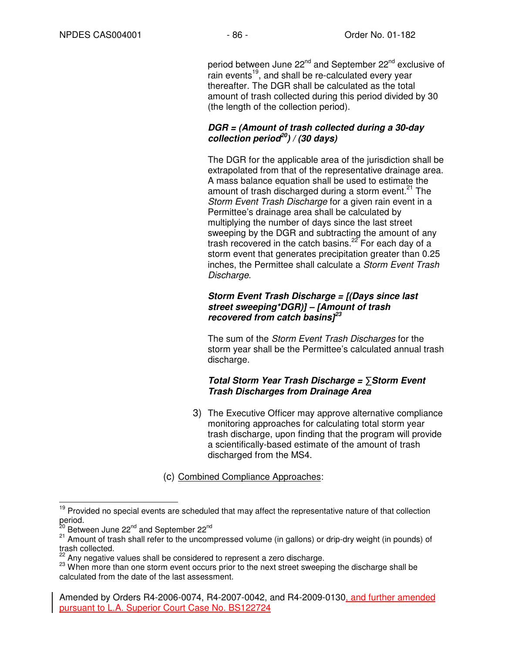period between June 22<sup>nd</sup> and September 22<sup>nd</sup> exclusive of rain events<sup>19</sup>, and shall be re-calculated every year thereafter. The DGR shall be calculated as the total amount of trash collected during this period divided by 30 (the length of the collection period).

### **DGR = (Amount of trash collected during a 30-day collection period<sup>20</sup>) / (30 days)**

The DGR for the applicable area of the jurisdiction shall be extrapolated from that of the representative drainage area. A mass balance equation shall be used to estimate the amount of trash discharged during a storm event. $21$  The Storm Event Trash Discharge for a given rain event in a Permittee's drainage area shall be calculated by multiplying the number of days since the last street sweeping by the DGR and subtracting the amount of any trash recovered in the catch basins.<sup>22</sup> For each day of a storm event that generates precipitation greater than 0.25 inches, the Permittee shall calculate a Storm Event Trash Discharge.

### **Storm Event Trash Discharge = [(Days since last street sweeping\*DGR)] – [Amount of trash recovered from catch basins]<sup>23</sup>**

The sum of the *Storm Event Trash Discharges* for the storm year shall be the Permittee's calculated annual trash discharge.

## **Total Storm Year Trash Discharge =** ∑**Storm Event Trash Discharges from Drainage Area**

- 3) The Executive Officer may approve alternative compliance monitoring approaches for calculating total storm year trash discharge, upon finding that the program will provide a scientifically-based estimate of the amount of trash discharged from the MS4.
- (c) Combined Compliance Approaches:

 $\overline{a}$ <sup>19</sup> Provided no special events are scheduled that may affect the representative nature of that collection period.

<sup>&</sup>lt;sup>20</sup> Between June 22<sup>nd</sup> and September 22<sup>nd</sup>

 $21$  Amount of trash shall refer to the uncompressed volume (in gallons) or drip-dry weight (in pounds) of trash collected.

Any negative values shall be considered to represent a zero discharge.

<sup>&</sup>lt;sup>23</sup> When more than one storm event occurs prior to the next street sweeping the discharge shall be calculated from the date of the last assessment.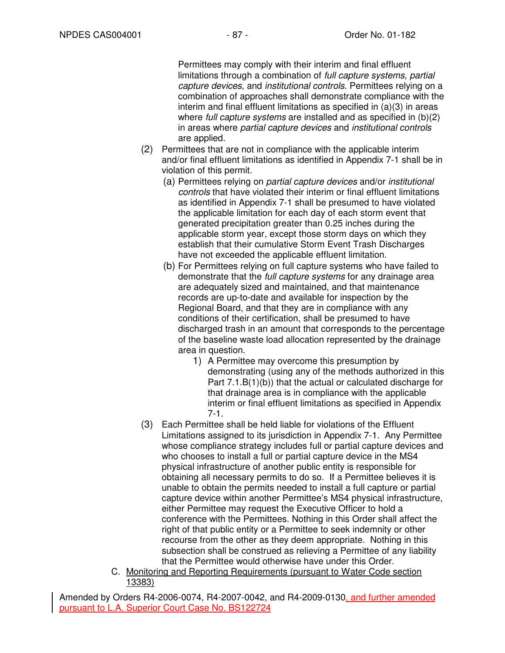Permittees may comply with their interim and final effluent limitations through a combination of full capture systems, partial capture devices, and institutional controls. Permittees relying on a combination of approaches shall demonstrate compliance with the interim and final effluent limitations as specified in (a)(3) in areas where *full capture systems* are installed and as specified in (b)(2) in areas where partial capture devices and institutional controls are applied.

- (2) Permittees that are not in compliance with the applicable interim and/or final effluent limitations as identified in Appendix 7-1 shall be in violation of this permit.
	- (a) Permittees relying on partial capture devices and/or institutional controls that have violated their interim or final effluent limitations as identified in Appendix 7-1 shall be presumed to have violated the applicable limitation for each day of each storm event that generated precipitation greater than 0.25 inches during the applicable storm year, except those storm days on which they establish that their cumulative Storm Event Trash Discharges have not exceeded the applicable effluent limitation.
	- (b) For Permittees relying on full capture systems who have failed to demonstrate that the *full capture systems* for any drainage area are adequately sized and maintained, and that maintenance records are up-to-date and available for inspection by the Regional Board, and that they are in compliance with any conditions of their certification, shall be presumed to have discharged trash in an amount that corresponds to the percentage of the baseline waste load allocation represented by the drainage area in question.
		- 1) A Permittee may overcome this presumption by demonstrating (using any of the methods authorized in this Part 7.1.B(1)(b)) that the actual or calculated discharge for that drainage area is in compliance with the applicable interim or final effluent limitations as specified in Appendix 7-1.
- (3) Each Permittee shall be held liable for violations of the Effluent Limitations assigned to its jurisdiction in Appendix 7-1. Any Permittee whose compliance strategy includes full or partial capture devices and who chooses to install a full or partial capture device in the MS4 physical infrastructure of another public entity is responsible for obtaining all necessary permits to do so. If a Permittee believes it is unable to obtain the permits needed to install a full capture or partial capture device within another Permittee's MS4 physical infrastructure, either Permittee may request the Executive Officer to hold a conference with the Permittees. Nothing in this Order shall affect the right of that public entity or a Permittee to seek indemnity or other recourse from the other as they deem appropriate. Nothing in this subsection shall be construed as relieving a Permittee of any liability that the Permittee would otherwise have under this Order.
- C. Monitoring and Reporting Requirements (pursuant to Water Code section 13383)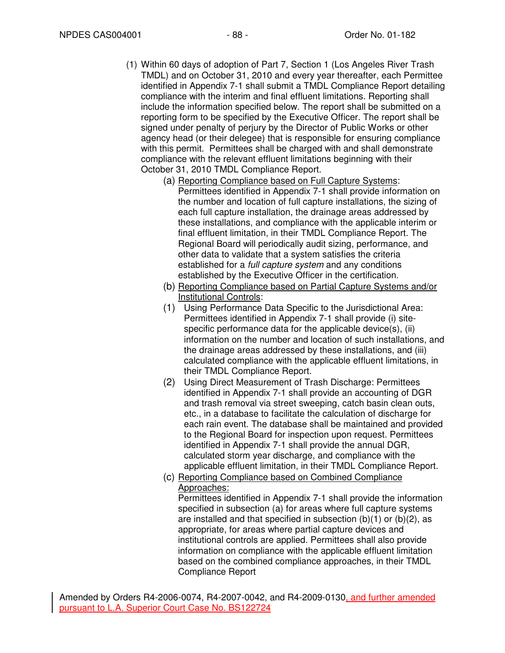- (1) Within 60 days of adoption of Part 7, Section 1 (Los Angeles River Trash TMDL) and on October 31, 2010 and every year thereafter, each Permittee identified in Appendix 7-1 shall submit a TMDL Compliance Report detailing compliance with the interim and final effluent limitations. Reporting shall include the information specified below. The report shall be submitted on a reporting form to be specified by the Executive Officer. The report shall be signed under penalty of perjury by the Director of Public Works or other agency head (or their delegee) that is responsible for ensuring compliance with this permit. Permittees shall be charged with and shall demonstrate compliance with the relevant effluent limitations beginning with their October 31, 2010 TMDL Compliance Report.
	- (a) Reporting Compliance based on Full Capture Systems: Permittees identified in Appendix 7-1 shall provide information on the number and location of full capture installations, the sizing of each full capture installation, the drainage areas addressed by these installations, and compliance with the applicable interim or final effluent limitation, in their TMDL Compliance Report. The Regional Board will periodically audit sizing, performance, and other data to validate that a system satisfies the criteria established for a full capture system and any conditions established by the Executive Officer in the certification.
	- (b) Reporting Compliance based on Partial Capture Systems and/or Institutional Controls:
	- (1) Using Performance Data Specific to the Jurisdictional Area: Permittees identified in Appendix 7-1 shall provide (i) sitespecific performance data for the applicable device(s), (ii) information on the number and location of such installations, and the drainage areas addressed by these installations, and (iii) calculated compliance with the applicable effluent limitations, in their TMDL Compliance Report.
	- (2) Using Direct Measurement of Trash Discharge: Permittees identified in Appendix 7-1 shall provide an accounting of DGR and trash removal via street sweeping, catch basin clean outs, etc., in a database to facilitate the calculation of discharge for each rain event. The database shall be maintained and provided to the Regional Board for inspection upon request. Permittees identified in Appendix 7-1 shall provide the annual DGR, calculated storm year discharge, and compliance with the applicable effluent limitation, in their TMDL Compliance Report.
	- (c) Reporting Compliance based on Combined Compliance Approaches:

Permittees identified in Appendix 7-1 shall provide the information specified in subsection (a) for areas where full capture systems are installed and that specified in subsection  $(b)(1)$  or  $(b)(2)$ , as appropriate, for areas where partial capture devices and institutional controls are applied. Permittees shall also provide information on compliance with the applicable effluent limitation based on the combined compliance approaches, in their TMDL Compliance Report